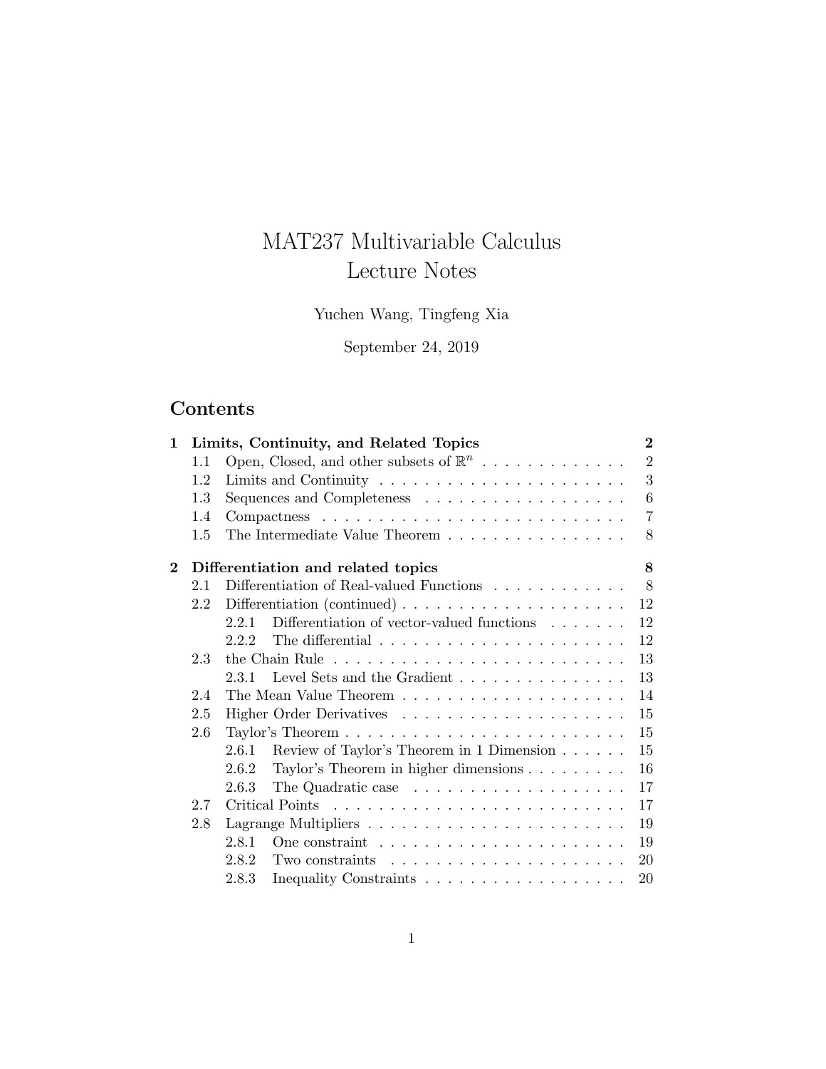# MAT237 Multivariable Calculus Lecture Notes

Yuchen Wang, Tingfeng Xia

September 24, 2019

# Contents

| 1                                                    | Limits, Continuity, and Related Topics |                                                                                |                |  |  |
|------------------------------------------------------|----------------------------------------|--------------------------------------------------------------------------------|----------------|--|--|
|                                                      | 1.1                                    | Open, Closed, and other subsets of $\mathbb{R}^n$                              | $\overline{2}$ |  |  |
|                                                      | 1.2                                    |                                                                                | 3              |  |  |
|                                                      | 1.3                                    |                                                                                | 6              |  |  |
|                                                      | 1.4                                    |                                                                                | $\overline{7}$ |  |  |
|                                                      | 1.5                                    | The Intermediate Value Theorem                                                 | 8              |  |  |
| $\overline{2}$<br>Differentiation and related topics |                                        |                                                                                |                |  |  |
|                                                      | 2.1                                    | Differentiation of Real-valued Functions $\ldots \ldots \ldots \ldots$         | 8              |  |  |
|                                                      | 2.2                                    | Differentiation (continued) $\ldots \ldots \ldots \ldots \ldots \ldots \ldots$ | 12             |  |  |
|                                                      |                                        | Differentiation of vector-valued functions $\ldots \ldots$<br>2.2.1            | 12             |  |  |
|                                                      |                                        | 2.2.2                                                                          | 12             |  |  |
|                                                      | 2.3                                    |                                                                                | 13             |  |  |
|                                                      |                                        | 2.3.1 Level Sets and the Gradient                                              | 13             |  |  |
|                                                      | 2.4                                    |                                                                                | 14             |  |  |
|                                                      | 2.5                                    |                                                                                | 15             |  |  |
| 2.6                                                  |                                        |                                                                                | 15             |  |  |
|                                                      |                                        | Review of Taylor's Theorem in 1 Dimension<br>2.6.1                             | 15             |  |  |
|                                                      |                                        | Taylor's Theorem in higher dimensions<br>2.6.2                                 | 16             |  |  |
|                                                      |                                        | 2.6.3                                                                          | $17\,$         |  |  |
|                                                      | 2.7                                    |                                                                                | 17             |  |  |
|                                                      | 2.8                                    |                                                                                | 19             |  |  |
|                                                      |                                        | 2.8.1                                                                          | 19             |  |  |
|                                                      |                                        | Two constraints $\ldots \ldots \ldots \ldots \ldots \ldots \ldots$<br>2.8.2    | 20             |  |  |
|                                                      |                                        | 2.8.3                                                                          | 20             |  |  |
|                                                      |                                        |                                                                                |                |  |  |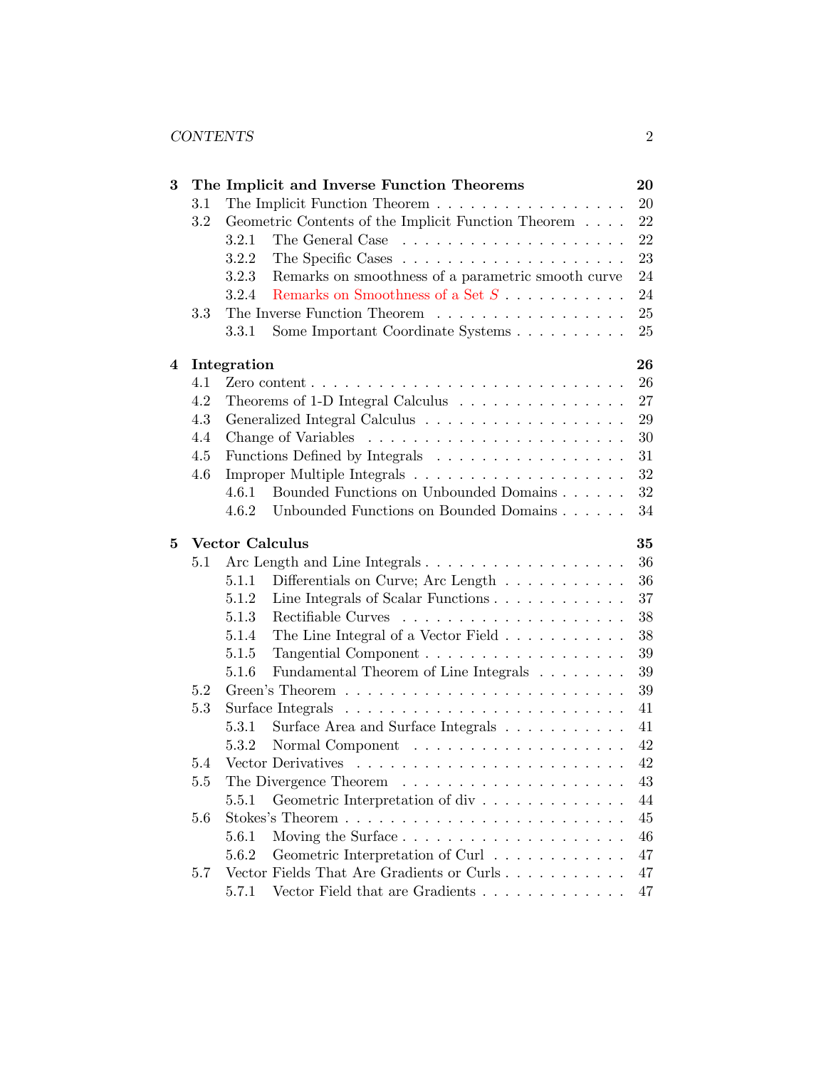| 3 |         |                        | The Implicit and Inverse Function Theorems                                           | 20     |
|---|---------|------------------------|--------------------------------------------------------------------------------------|--------|
|   | 3.1     |                        | The Implicit Function Theorem                                                        | 20     |
|   | 3.2     |                        | Geometric Contents of the Implicit Function Theorem $\ldots$ .                       | 22     |
|   |         | 3.2.1                  |                                                                                      | 22     |
|   |         | 3.2.2                  |                                                                                      | 23     |
|   |         | 3.2.3                  | Remarks on smoothness of a parametric smooth curve                                   | 24     |
|   |         | 3.2.4                  | Remarks on Smoothness of a Set $S$                                                   | 24     |
|   | 3.3     |                        | The Inverse Function Theorem                                                         | 25     |
|   |         | 3.3.1                  | Some Important Coordinate Systems                                                    | 25     |
| 4 |         | Integration            |                                                                                      | 26     |
|   | 4.1     |                        | Zero content $\ldots \ldots \ldots \ldots \ldots \ldots \ldots \ldots \ldots \ldots$ | 26     |
|   | 4.2     |                        | Theorems of 1-D Integral Calculus                                                    | 27     |
|   | 4.3     |                        | Generalized Integral Calculus $\dots \dots \dots \dots \dots \dots \dots$            | 29     |
|   | 4.4     |                        |                                                                                      | 30     |
|   | 4.5     |                        | Functions Defined by Integrals                                                       | 31     |
|   | 4.6     |                        |                                                                                      | 32     |
|   |         | 4.6.1                  | Bounded Functions on Unbounded Domains                                               | 32     |
|   |         | 4.6.2                  | Unbounded Functions on Bounded Domains                                               | 34     |
| 5 |         | <b>Vector Calculus</b> |                                                                                      | 35     |
|   | 5.1     |                        |                                                                                      | 36     |
|   |         | 5.1.1                  | Differentials on Curve; Arc Length $\dots \dots \dots$                               | 36     |
|   |         | 5.1.2                  |                                                                                      | 37     |
|   |         | 5.1.3                  |                                                                                      | 38     |
|   |         | 5.1.4                  | The Line Integral of a Vector Field                                                  | 38     |
|   |         | 5.1.5                  |                                                                                      | 39     |
|   |         | 5.1.6                  | Fundamental Theorem of Line Integrals                                                | 39     |
|   | 5.2     |                        |                                                                                      | 39     |
|   | 5.3     |                        | Surface Integrals $\dots \dots \dots \dots \dots \dots \dots \dots \dots \dots$      | 41     |
|   |         | 5.3.1                  | Surface Area and Surface Integrals                                                   | 41     |
|   |         | 5.3.2                  |                                                                                      | 42     |
|   | 5.4     |                        |                                                                                      | 42     |
|   | $5.5\,$ |                        | The Divergence Theorem $\ldots \ldots \ldots \ldots \ldots \ldots$                   | $43\,$ |
|   |         | 5.5.1                  | Geometric Interpretation of div                                                      | 44     |
|   | 5.6     |                        |                                                                                      | 45     |
|   |         | 5.6.1                  |                                                                                      | 46     |
|   |         | 5.6.2                  | Geometric Interpretation of Curl                                                     | 47     |
|   | 5.7     |                        | Vector Fields That Are Gradients or Curls                                            | 47     |
|   |         | 5.7.1                  | Vector Field that are Gradients                                                      | 47     |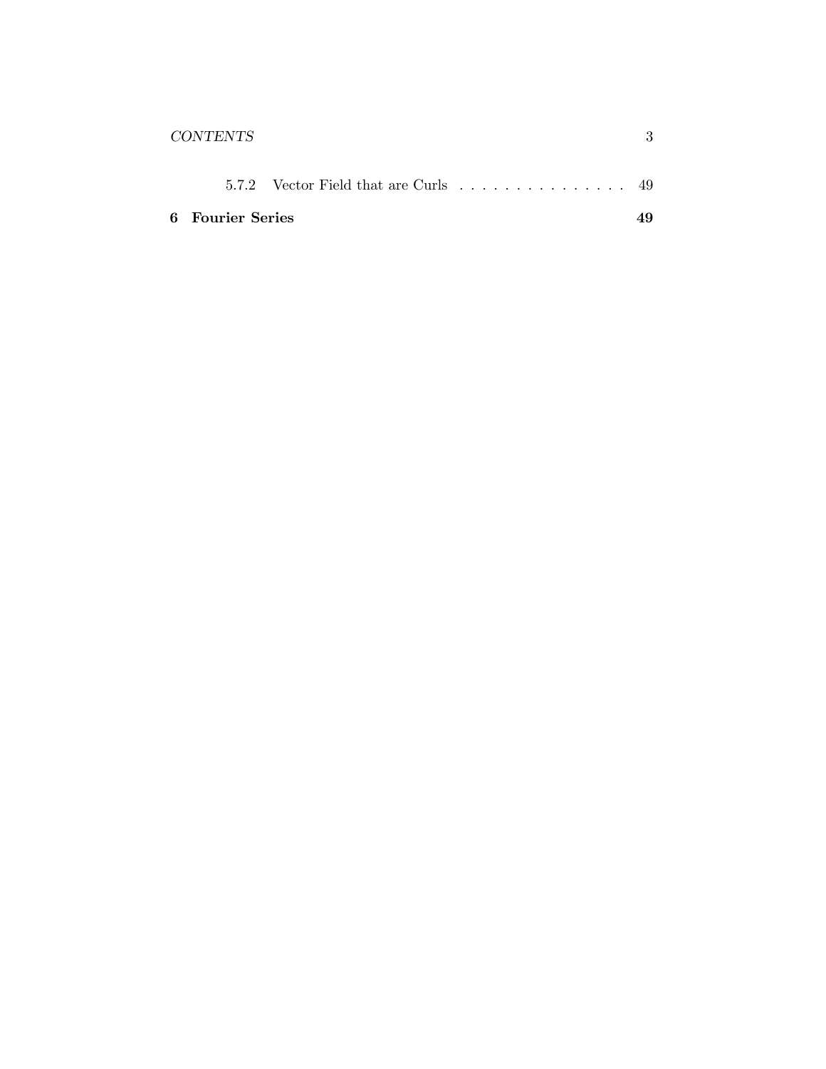| CONTENTS                |                                      |  |
|-------------------------|--------------------------------------|--|
|                         | 5.7.2 Vector Field that are Curls 49 |  |
| <b>6</b> Fourier Series |                                      |  |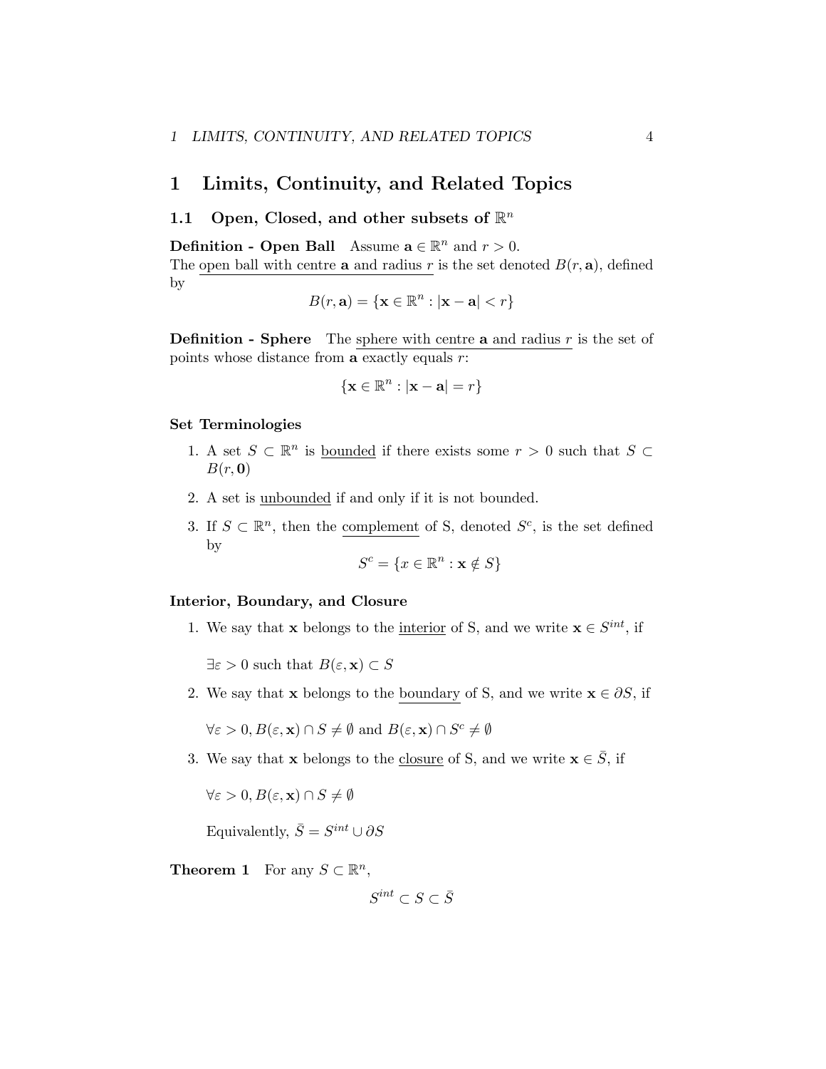## <span id="page-3-0"></span>1 Limits, Continuity, and Related Topics

## <span id="page-3-1"></span>1.1 Open, Closed, and other subsets of R*<sup>n</sup>*

**Definition - Open Ball** Assume  $\mathbf{a} \in \mathbb{R}^n$  and  $r > 0$ . The open ball with centre **a** and radius  $r$  is the set denoted  $B(r, \mathbf{a})$ , defined by

$$
B(r, \mathbf{a}) = \{ \mathbf{x} \in \mathbb{R}^n : |\mathbf{x} - \mathbf{a}| < r \}
$$

Definition - Sphere The sphere with centre a and radius *r* is the set of points whose distance from a exactly equals *r*:

$$
\{{\bf x}\in\mathbb{R}^n: |{\bf x}-{\bf a}|=r\}
$$

#### Set Terminologies

- 1. A set  $S \subset \mathbb{R}^n$  is <u>bounded</u> if there exists some  $r > 0$  such that  $S \subset$ *B*(*r,* 0)
- 2. A set is unbounded if and only if it is not bounded.
- 3. If  $S \subset \mathbb{R}^n$ , then the complement of S, denoted  $S^c$ , is the set defined by

$$
S^c = \{ x \in \mathbb{R}^n : \mathbf{x} \notin S \}
$$

#### Interior, Boundary, and Closure

1. We say that **x** belongs to the <u>interior</u> of S, and we write **x**  $\in S^{int}$ , if

 $\exists \varepsilon > 0$  such that  $B(\varepsilon, \mathbf{x}) \subset S$ 

2. We say that **x** belongs to the boundary of S, and we write  $\mathbf{x} \in \partial S$ , if

 $\forall \varepsilon > 0, B(\varepsilon, \mathbf{x}) \cap S \neq \emptyset$  and  $B(\varepsilon, \mathbf{x}) \cap S^c \neq \emptyset$ 

3. We say that x belongs to the closure of S, and we write  $x \in \overline{S}$ , if

 $\forall \varepsilon > 0, B(\varepsilon, \mathbf{x}) \cap S \neq \emptyset$ 

Equivalently,  $\bar{S} = S^{int} \cup \partial S$ 

**Theorem 1** For any  $S \subset \mathbb{R}^n$ ,

 $S^{int} ⊂ S ⊂ \overline{S}$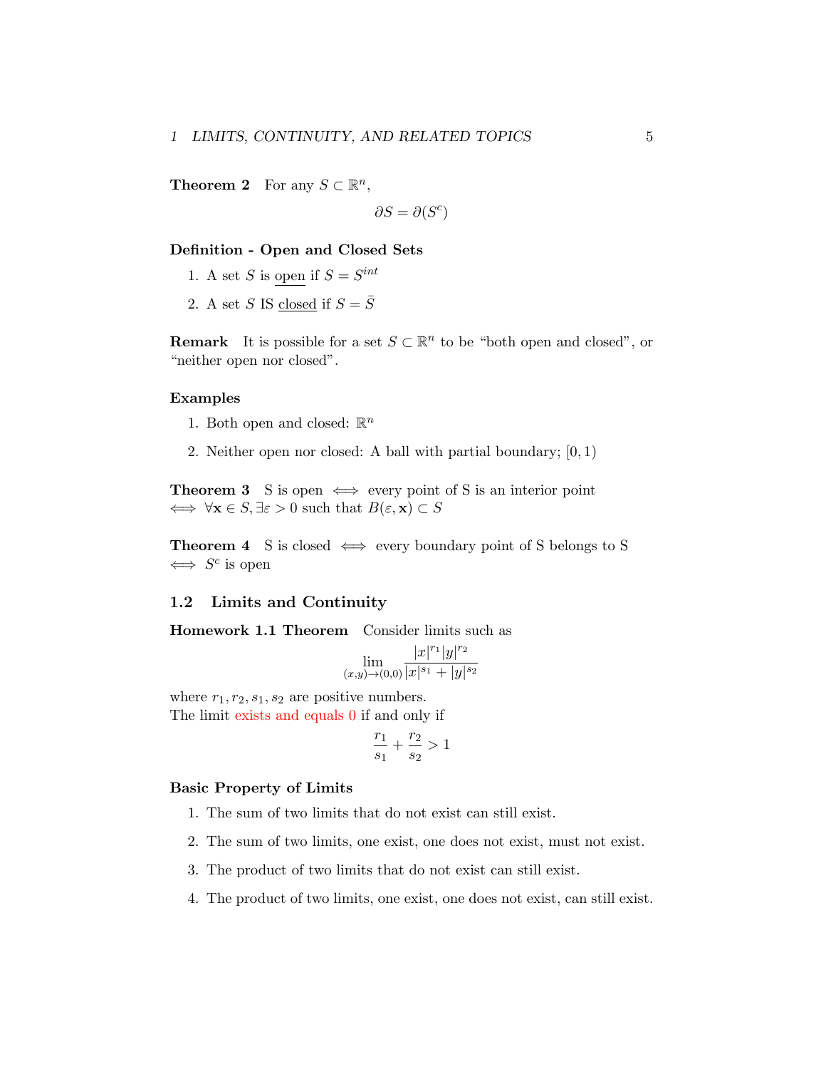**Theorem 2** For any  $S \subset \mathbb{R}^n$ ,

 $\partial S = \partial(S^c)$ 

#### Definition - Open and Closed Sets

- 1. A set *S* is open if  $S = S^{int}$
- 2. A set *S* IS closed if  $S = \overline{S}$

**Remark** It is possible for a set  $S \subset \mathbb{R}^n$  to be "both open and closed", or "neither open nor closed".

#### Examples

- 1. Both open and closed:  $\mathbb{R}^n$
- 2. Neither open nor closed: A ball with partial boundary; [0*,* 1)

**Theorem 3** S is open  $\iff$  every point of S is an interior point  $\iff \forall x \in S, \exists \varepsilon > 0 \text{ such that } B(\varepsilon, x) \subset S$ 

**Theorem 4** S is closed  $\iff$  every boundary point of S belongs to S  $\iff S^c$  is open

#### <span id="page-4-0"></span>1.2 Limits and Continuity

Homework 1.1 Theorem Consider limits such as

$$
\lim_{(x,y)\to(0,0)}\frac{|x|^{r_1}|y|^{r_2}}{|x|^{s_1}+|y|^{s_2}}
$$

where  $r_1, r_2, s_1, s_2$  are positive numbers.

The limit exists and equals 0 if and only if

$$
\frac{r_1}{s_1} + \frac{r_2}{s_2} > 1
$$

#### Basic Property of Limits

- 1. The sum of two limits that do not exist can still exist.
- 2. The sum of two limits, one exist, one does not exist, must not exist.
- 3. The product of two limits that do not exist can still exist.
- 4. The product of two limits, one exist, one does not exist, can still exist.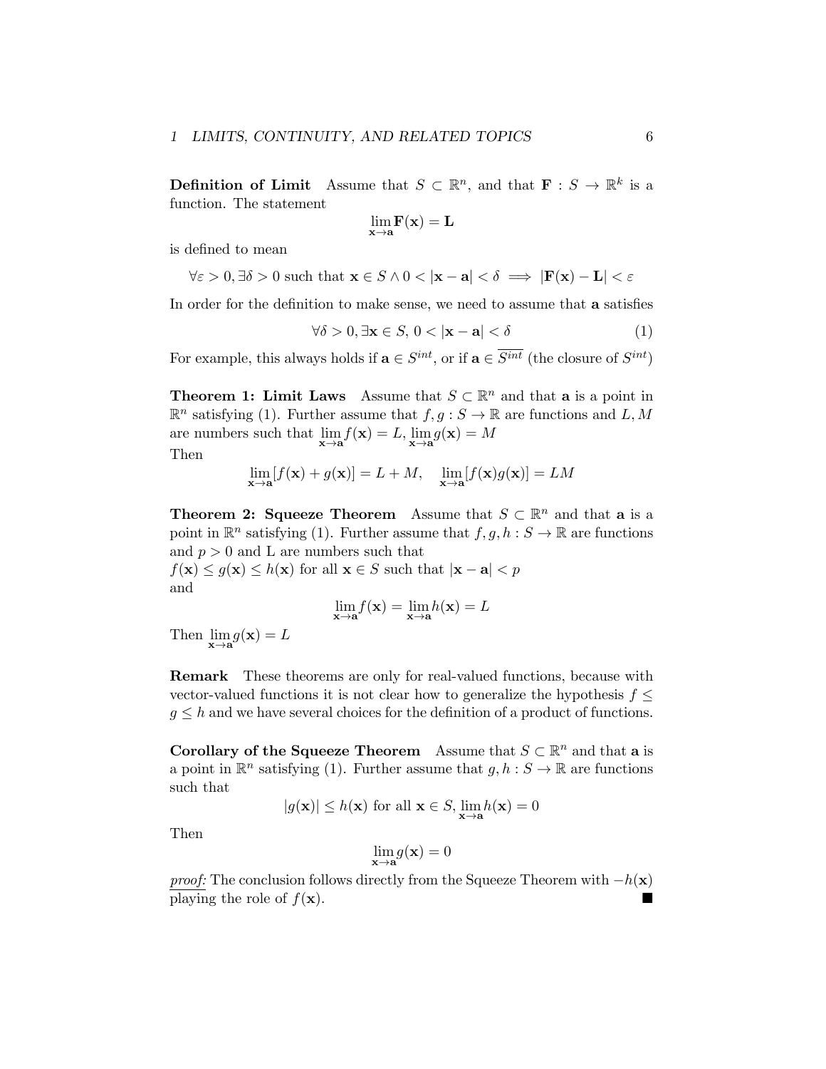**Definition of Limit** Assume that  $S \subset \mathbb{R}^n$ , and that  $\mathbf{F} : S \to \mathbb{R}^k$  is a function. The statement

$$
\underset{\mathbf{x}\rightarrow\mathbf{a}}{\lim}\mathbf{F}(\mathbf{x})=\mathbf{L}
$$

is defined to mean

$$
\forall \varepsilon > 0, \exists \delta > 0 \text{ such that } \mathbf{x} \in S \land 0 < |\mathbf{x} - \mathbf{a}| < \delta \implies |\mathbf{F}(\mathbf{x}) - \mathbf{L}| < \varepsilon
$$

In order for the definition to make sense, we need to assume that a satisfies

$$
\forall \delta > 0, \exists \mathbf{x} \in S, \, 0 < |\mathbf{x} - \mathbf{a}| < \delta \tag{1}
$$

For example, this always holds if  $\mathbf{a} \in S^{int}$ , or if  $\mathbf{a} \in \overline{S^{int}}$  (the closure of  $S^{int}$ )

**Theorem 1: Limit Laws** Assume that  $S \subset \mathbb{R}^n$  and that **a** is a point in  $\mathbb{R}^n$  satisfying (1). Further assume that  $f, g: S \to \mathbb{R}$  are functions and *L*, *M* are numbers such that  $\lim_{\mathbf{x} \to \mathbf{a}} f(\mathbf{x}) = L$ ,  $\lim_{\mathbf{x} \to \mathbf{a}} g(\mathbf{x}) = M$ 

Then

$$
\lim_{\mathbf{x}\to\mathbf{a}}[f(\mathbf{x}) + g(\mathbf{x})] = L + M, \quad \lim_{\mathbf{x}\to\mathbf{a}}[f(\mathbf{x})g(\mathbf{x})] = LM
$$

**Theorem 2: Squeeze Theorem** Assume that  $S \subset \mathbb{R}^n$  and that **a** is a point in  $\mathbb{R}^n$  satisfying (1). Further assume that  $f, g, h : S \to \mathbb{R}$  are functions and  $p > 0$  and L are numbers such that

 $f(\mathbf{x}) \leq g(\mathbf{x}) \leq h(\mathbf{x})$  for all  $\mathbf{x} \in S$  such that  $|\mathbf{x} - \mathbf{a}| < p$ and

$$
\lim_{\mathbf{x}\to\mathbf{a}} f(\mathbf{x}) = \lim_{\mathbf{x}\to\mathbf{a}} h(\mathbf{x}) = L
$$

Then  $\lim_{\mathbf{x}\to\mathbf{a}} g(\mathbf{x}) = L$ 

Remark These theorems are only for real-valued functions, because with vector-valued functions it is not clear how to generalize the hypothesis  $f \leq$  $g \leq h$  and we have several choices for the definition of a product of functions.

**Corollary of the Squeeze Theorem** Assume that  $S \subset \mathbb{R}^n$  and that **a** is a point in  $\mathbb{R}^n$  satisfying (1). Further assume that  $q, h : S \to \mathbb{R}$  are functions such that

$$
|g(\mathbf{x})| \le h(\mathbf{x}) \text{ for all } \mathbf{x} \in S, \lim_{\mathbf{x} \to \mathbf{a}} h(\mathbf{x}) = 0
$$

Then

$$
\lim_{\mathbf{x}\to\mathbf{a}}g(\mathbf{x})=0
$$

*proof:* The conclusion follows directly from the Squeeze Theorem with  $-h(\mathbf{x})$ <br>playing the role of  $f(\mathbf{x})$ playing the role of  $f(\mathbf{x})$ .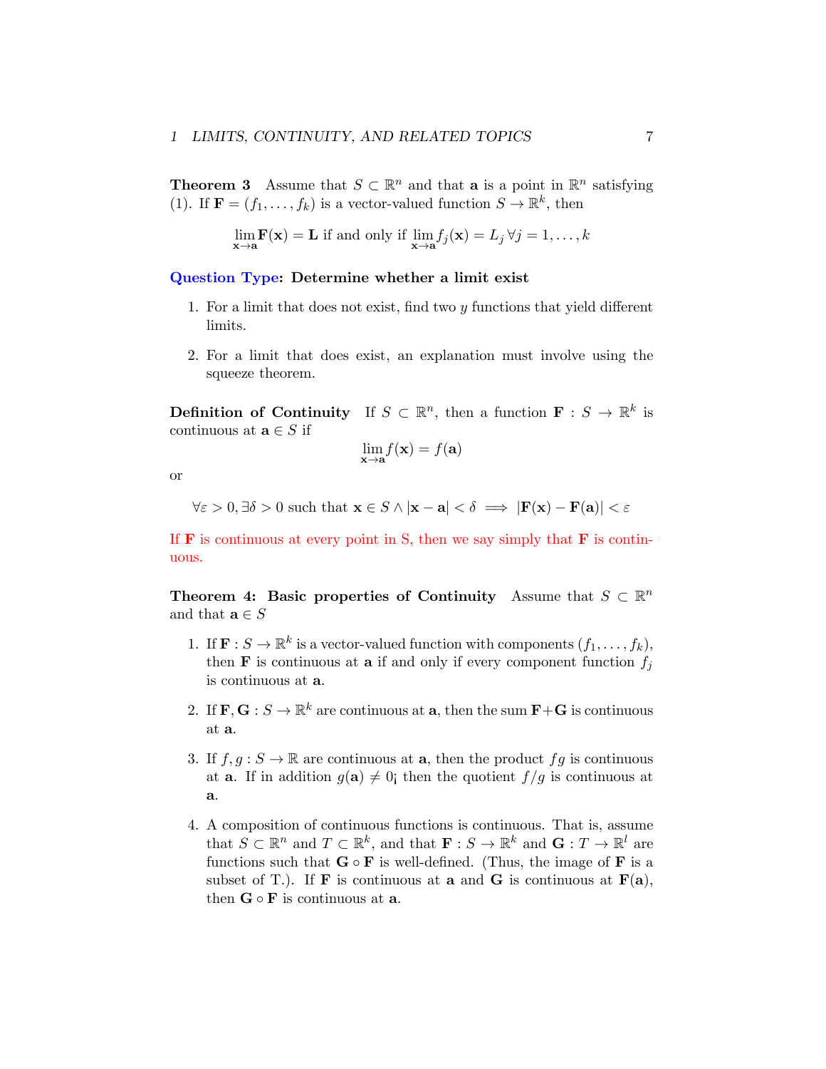**Theorem 3** Assume that  $S \subset \mathbb{R}^n$  and that **a** is a point in  $\mathbb{R}^n$  satisfying (1). If  $\mathbf{F} = (f_1, \ldots, f_k)$  is a vector-valued function  $S \to \mathbb{R}^k$ , then

$$
\lim_{\mathbf{x}\to\mathbf{a}} \mathbf{F}(\mathbf{x}) = \mathbf{L} \text{ if and only if } \lim_{\mathbf{x}\to\mathbf{a}} f_j(\mathbf{x}) = L_j \,\forall j = 1,\dots,k
$$

Question Type: Determine whether a limit exist

- 1. For a limit that does not exist, find two *y* functions that yield different limits.
- 2. For a limit that does exist, an explanation must involve using the squeeze theorem.

**Definition of Continuity** If  $S \subset \mathbb{R}^n$ , then a function  $\mathbf{F} : S \to \mathbb{R}^k$  is continuous at  $\mathbf{a} \in S$  if

$$
\lim_{\mathbf{x}\to\mathbf{a}} f(\mathbf{x}) = f(\mathbf{a})
$$

or

 $\forall \varepsilon > 0, \exists \delta > 0$  such that  $\mathbf{x} \in S \land |\mathbf{x} - \mathbf{a}| < \delta \implies |\mathbf{F}(\mathbf{x}) - \mathbf{F}(\mathbf{a})| < \varepsilon$ 

If  **is continuous at every point in S, then we say simply that**  $**F**$  **is contin**uous.

Theorem 4: Basic properties of Continuity Assume that  $S \subset \mathbb{R}^n$ and that  $\mathbf{a} \in S$ 

- 1. If  $\mathbf{F}: S \to \mathbb{R}^k$  is a vector-valued function with components  $(f_1, \ldots, f_k)$ , then **F** is continuous at **a** if and only if every component function  $f_i$ is continuous at a.
- 2. If  $\mathbf{F}, \mathbf{G} : S \to \mathbb{R}^k$  are continuous at **a**, then the sum  $\mathbf{F} + \mathbf{G}$  is continuous at a.
- 3. If  $f, g: S \to \mathbb{R}$  are continuous at **a**, then the product  $fg$  is continuous at **a**. If in addition  $g(\mathbf{a}) \neq 0$ ; then the quotient  $f/g$  is continuous at a.
- 4. A composition of continuous functions is continuous. That is, assume that  $S \subset \mathbb{R}^n$  and  $T \subset \mathbb{R}^k$ , and that  $\mathbf{F} : S \to \mathbb{R}^k$  and  $\mathbf{G} : T \to \mathbb{R}^l$  are functions such that  $G \circ F$  is well-defined. (Thus, the image of  $F$  is a subset of T.). If  $\bf{F}$  is continuous at  $\bf{a}$  and  $\bf{G}$  is continuous at  $\bf{F}(\bf{a})$ , then  $G \circ F$  is continuous at a.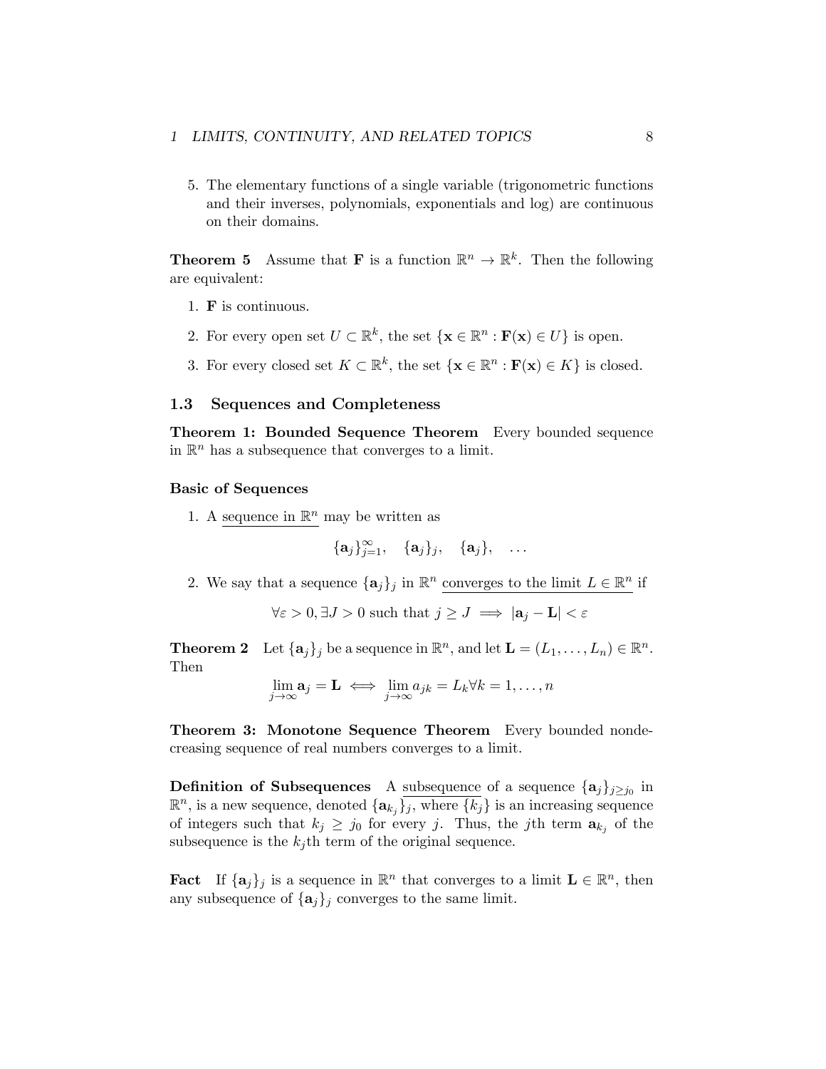5. The elementary functions of a single variable (trigonometric functions and their inverses, polynomials, exponentials and log) are continuous on their domains.

**Theorem 5** Assume that **F** is a function  $\mathbb{R}^n \to \mathbb{R}^k$ . Then the following are equivalent:

- 1. F is continuous.
- 2. For every open set  $U \subset \mathbb{R}^k$ , the set  $\{ \mathbf{x} \in \mathbb{R}^n : \mathbf{F}(\mathbf{x}) \in U \}$  is open.
- 3. For every closed set  $K \subset \mathbb{R}^k$ , the set  $\{ \mathbf{x} \in \mathbb{R}^n : \mathbf{F}(\mathbf{x}) \in K \}$  is closed.

#### <span id="page-7-0"></span>1.3 Sequences and Completeness

Theorem 1: Bounded Sequence Theorem Every bounded sequence in  $\mathbb{R}^n$  has a subsequence that converges to a limit.

#### Basic of Sequences

1. A sequence in  $\mathbb{R}^n$  may be written as

$$
\{\mathbf a_j\}_{j=1}^\infty, \quad \{\mathbf a_j\}_j, \quad \{\mathbf a_j\}, \quad \ldots
$$

2. We say that a sequence  $\{a_j\}_j$  in  $\mathbb{R}^n$  converges to the limit  $L \in \mathbb{R}^n$  if

 $\forall \varepsilon > 0, \exists J > 0$  such that  $j \ge J \implies |\mathbf{a}_j - \mathbf{L}| < \varepsilon$ 

**Theorem 2** Let  $\{a_j\}$  be a sequence in  $\mathbb{R}^n$ , and let  $\mathbf{L} = (L_1, \ldots, L_n) \in \mathbb{R}^n$ . Then

$$
\lim_{j \to \infty} \mathbf{a}_j = \mathbf{L} \iff \lim_{j \to \infty} a_{jk} = L_k \forall k = 1, \dots, n
$$

Theorem 3: Monotone Sequence Theorem Every bounded nondecreasing sequence of real numbers converges to a limit.

**Definition of Subsequences** A subsequence of a sequence  $\{a_j\}_{j\geq j_0}$  in  $\mathbb{R}^n$ , is a new sequence, denoted  $\{a_{k_j}\}\$  , where  $\{k_j\}$  is an increasing sequence of integers such that  $k_j \geq j_0$  for every *j*. Thus, the *j*th term  $a_{k_j}$  of the subsequence is the  $k_j$ <sup>th</sup> term of the original sequence.

**Fact** If  $\{a_j\}_j$  is a sequence in  $\mathbb{R}^n$  that converges to a limit  $L \in \mathbb{R}^n$ , then any subsequence of  $\{a_j\}$  converges to the same limit.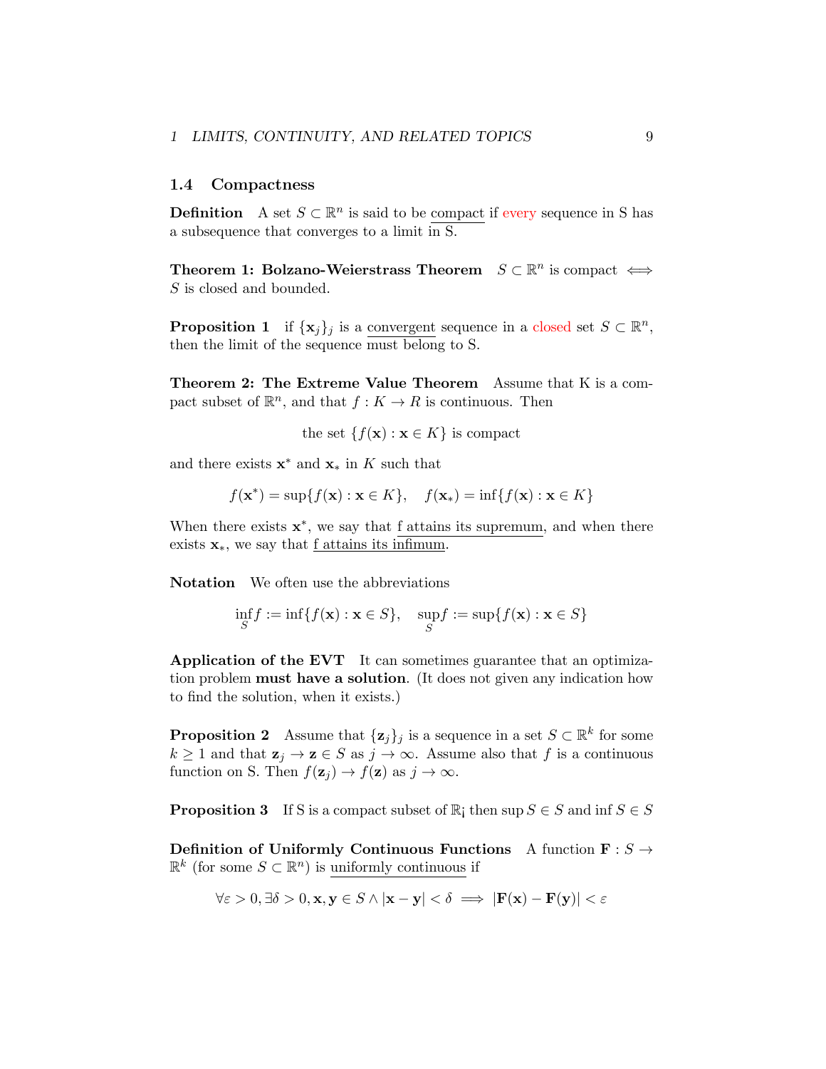#### <span id="page-8-0"></span>1.4 Compactness

**Definition** A set  $S \subset \mathbb{R}^n$  is said to be compact if every sequence in S has a subsequence that converges to a limit in S.

Theorem 1: Bolzano-Weierstrass Theorem  $S \subset \mathbb{R}^n$  is compact  $\iff$ *S* is closed and bounded.

**Proposition 1** if  $\{x_j\}_j$  is a convergent sequence in a closed set  $S \subset \mathbb{R}^n$ , then the limit of the sequence must belong to S.

Theorem 2: The Extreme Value Theorem Assume that K is a compact subset of  $\mathbb{R}^n$ , and that  $f: K \to R$  is continuous. Then

the set  $\{f(\mathbf{x}) : \mathbf{x} \in K\}$  is compact

and there exists  $\mathbf{x}^*$  and  $\mathbf{x}_*$  in *K* such that

$$
f(\mathbf{x}^*) = \sup\{f(\mathbf{x}) : \mathbf{x} \in K\}, \quad f(\mathbf{x}_*) = \inf\{f(\mathbf{x}) : \mathbf{x} \in K\}
$$

When there exists  $x^*$ , we say that f attains its supremum, and when there exists  $\mathbf{x}_{*}$ , we say that <u>f attains its infimum</u>.

Notation We often use the abbreviations

$$
\inf_{S} f := \inf \{ f(\mathbf{x}) : \mathbf{x} \in S \}, \quad \sup_{S} f := \sup \{ f(\mathbf{x}) : \mathbf{x} \in S \}
$$

Application of the EVT It can sometimes guarantee that an optimization problem must have a solution. (It does not given any indication how to find the solution, when it exists.)

**Proposition 2** Assume that  $\{z_j\}_j$  is a sequence in a set  $S \subset \mathbb{R}^k$  for some  $k \geq 1$  and that  $\mathbf{z}_j \to \mathbf{z} \in S$  as  $j \to \infty$ . Assume also that *f* is a continuous function on S. Then  $f(\mathbf{z}_i) \to f(\mathbf{z})$  as  $j \to \infty$ .

**Proposition 3** If S is a compact subset of  $\mathbb{R}$ ; then sup  $S \in S$  and inf  $S \in S$ 

Definition of Uniformly Continuous Functions A function  $\mathbf{F}: S \to$  $\mathbb{R}$ <sup>k</sup> (for some *S* ⊂  $\mathbb{R}$ <sup>n</sup>) is uniformly continuous if

$$
\forall \varepsilon > 0, \exists \delta > 0, \mathbf{x}, \mathbf{y} \in S \land |\mathbf{x} - \mathbf{y}| < \delta \implies |\mathbf{F}(\mathbf{x}) - \mathbf{F}(\mathbf{y})| < \varepsilon
$$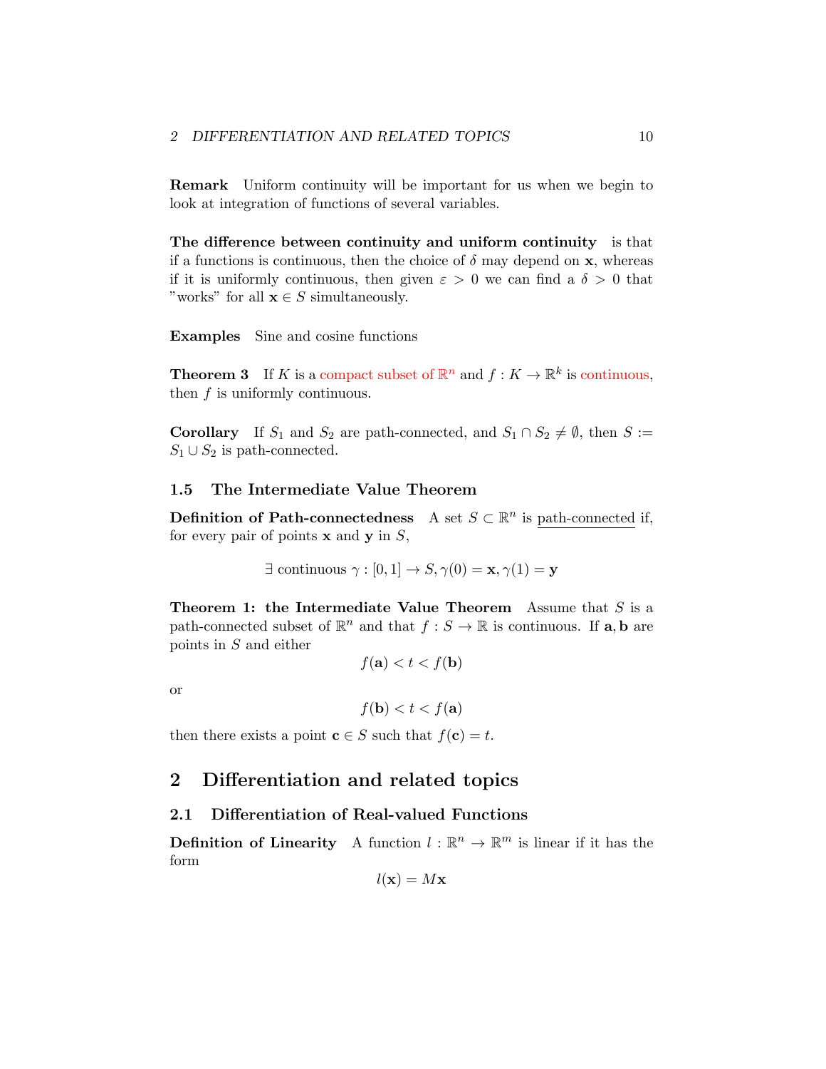Remark Uniform continuity will be important for us when we begin to look at integration of functions of several variables.

The difference between continuity and uniform continuity is that if a functions is continuous, then the choice of  $\delta$  may depend on **x**, whereas if it is uniformly continuous, then given  $\varepsilon > 0$  we can find a  $\delta > 0$  that "works" for all  $\mathbf{x} \in S$  simultaneously.

Examples Sine and cosine functions

**Theorem 3** If *K* is a compact subset of  $\mathbb{R}^n$  and  $f: K \to \mathbb{R}^k$  is continuous, then *f* is uniformly continuous.

**Corollary** If  $S_1$  and  $S_2$  are path-connected, and  $S_1 \cap S_2 \neq \emptyset$ , then  $S :=$  $S_1 \cup S_2$  is path-connected.

## <span id="page-9-0"></span>1.5 The Intermediate Value Theorem

**Definition of Path-connectedness** A set *S* ⊂  $\mathbb{R}^n$  is path-connected if, for every pair of points x and y in *S*,

$$
\exists \text{ continuous } \gamma : [0,1] \to S, \gamma(0) = \mathbf{x}, \gamma(1) = \mathbf{y}
$$

Theorem 1: the Intermediate Value Theorem Assume that *S* is a path-connected subset of  $\mathbb{R}^n$  and that  $f : S \to \mathbb{R}$  is continuous. If **a**, **b** are points in *S* and either

 $f(\mathbf{a}) < t < f(\mathbf{b})$ 

or

 $f(\mathbf{b}) < t < f(\mathbf{a})$ 

then there exists a point  $c \in S$  such that  $f(c) = t$ .

# <span id="page-9-1"></span>2 Differentiation and related topics

#### <span id="page-9-2"></span>2.1 Differentiation of Real-valued Functions

**Definition of Linearity** A function  $l : \mathbb{R}^n \to \mathbb{R}^m$  is linear if it has the form

$$
l(\mathbf{x}) = M\mathbf{x}
$$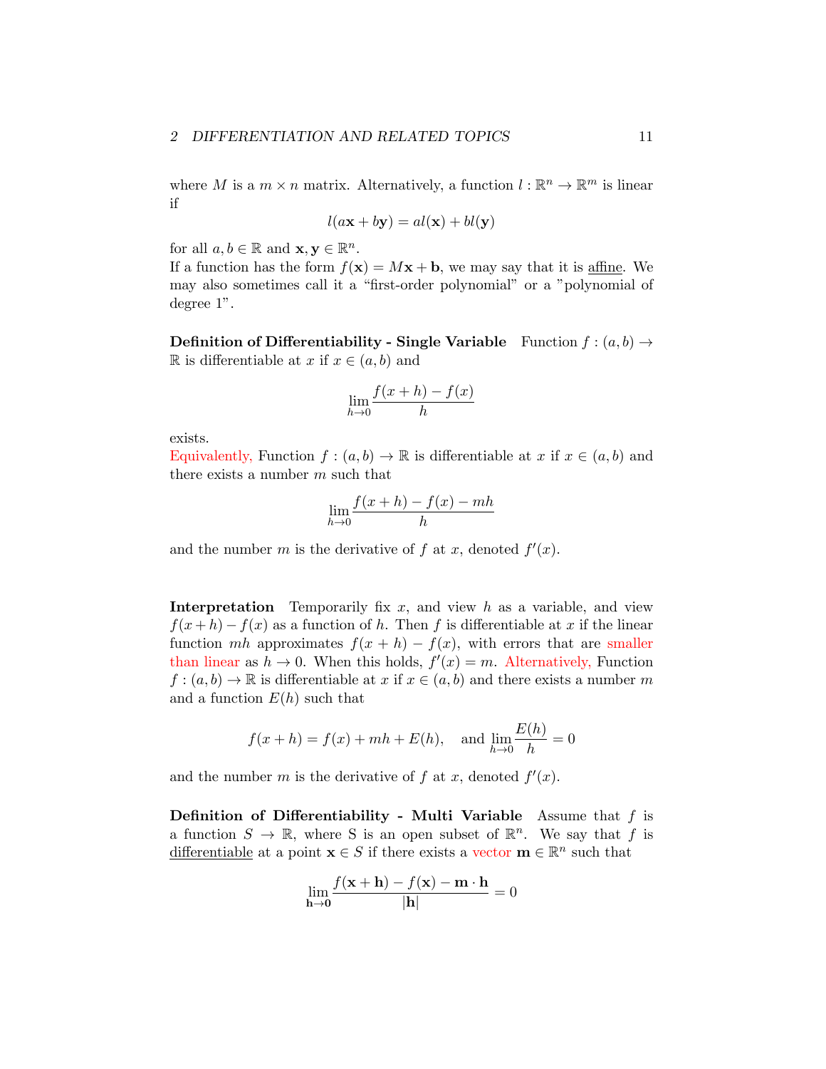where *M* is a  $m \times n$  matrix. Alternatively, a function  $l : \mathbb{R}^n \to \mathbb{R}^m$  is linear if

$$
l(a\mathbf{x} + b\mathbf{y}) = al(\mathbf{x}) + bl(\mathbf{y})
$$

for all  $a, b \in \mathbb{R}$  and  $\mathbf{x}, \mathbf{y} \in \mathbb{R}^n$ .

If a function has the form  $f(\mathbf{x}) = M\mathbf{x} + \mathbf{b}$ , we may say that it is affine. We may also sometimes call it a "first-order polynomial" or a "polynomial of degree 1".

**Definition of Differentiability - Single Variable** Function  $f : (a, b) \rightarrow$ R is differentiable at *x* if *x* ∈ (*a, b*) and

$$
\lim_{h \to 0} \frac{f(x+h) - f(x)}{h}
$$

exists.

Equivalently, Function  $f : (a, b) \to \mathbb{R}$  is differentiable at  $x$  if  $x \in (a, b)$  and there exists a number *m* such that

$$
\lim_{h \to 0} \frac{f(x+h) - f(x) - mh}{h}
$$

and the number *m* is the derivative of  $f$  at  $x$ , denoted  $f'(x)$ .

Interpretation Temporarily fix *x*, and view *h* as a variable, and view  $f(x+h) - f(x)$  as a function of *h*. Then *f* is differentiable at *x* if the linear function *mh* approximates  $f(x + h) - f(x)$ , with errors that are smaller than linear as  $h \to 0$ . When this holds,  $f'(x) = m$ . Alternatively, Function  $f:(a,b)\to\mathbb{R}$  is differentiable at *x* if  $x\in(a,b)$  and there exists a number *m* and a function  $E(h)$  such that

$$
f(x+h) = f(x) + mh + E(h)
$$
, and  $\lim_{h \to 0} \frac{E(h)}{h} = 0$ 

and the number *m* is the derivative of  $f$  at  $x$ , denoted  $f'(x)$ .

Definition of Differentiability - Multi Variable Assume that *f* is a function  $S \to \mathbb{R}$ , where S is an open subset of  $\mathbb{R}^n$ . We say that f is differentiable at a point  $\mathbf{x} \in S$  if there exists a vector  $\mathbf{m} \in \mathbb{R}^n$  such that

$$
\lim_{\mathbf{h}\to\mathbf{0}}\frac{f(\mathbf{x}+\mathbf{h})-f(\mathbf{x})-\mathbf{m}\cdot\mathbf{h}}{|\mathbf{h}|}=0
$$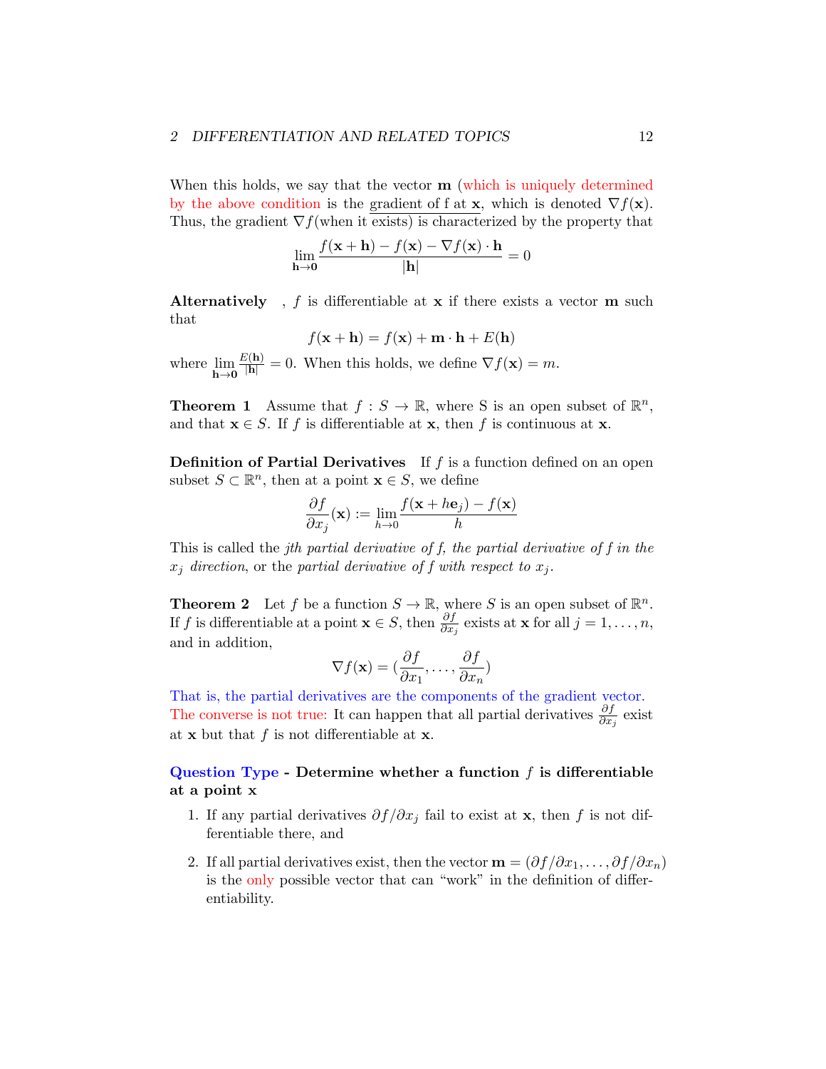When this holds, we say that the vector  $\mathbf{m}$  (which is uniquely determined by the above condition is the gradient of f at **x**, which is denoted  $\nabla f(\mathbf{x})$ . Thus, the gradient  $\nabla f$ (when it exists) is characterized by the property that

$$
\lim_{\mathbf{h}\to\mathbf{0}}\frac{f(\mathbf{x}+\mathbf{h})-f(\mathbf{x})-\nabla f(\mathbf{x})\cdot\mathbf{h}}{|\mathbf{h}|}=0
$$

Alternatively, f is differentiable at x if there exists a vector m such that

$$
f(\mathbf{x} + \mathbf{h}) = f(\mathbf{x}) + \mathbf{m} \cdot \mathbf{h} + E(\mathbf{h})
$$

where lim  $h\rightarrow 0$  $\frac{E(\mathbf{h})}{|\mathbf{h}|} = 0$ . When this holds, we define  $\nabla f(\mathbf{x}) = m$ .

**Theorem 1** Assume that  $f : S \to \mathbb{R}$ , where S is an open subset of  $\mathbb{R}^n$ , and that  $\mathbf{x} \in S$ . If *f* is differentiable at **x**, then *f* is continuous at **x**.

Definition of Partial Derivatives If *f* is a function defined on an open subset  $S \subset \mathbb{R}^n$ , then at a point  $\mathbf{x} \in S$ , we define

$$
\frac{\partial f}{\partial x_j}(\mathbf{x}) := \lim_{h \to 0} \frac{f(\mathbf{x} + h\mathbf{e}_j) - f(\mathbf{x})}{h}
$$

This is called the *jth partial derivative of f, the partial derivative of f in the*  $x_j$  *direction*, or the *partial derivative* of *f with respect to*  $x_j$ .

**Theorem 2** Let *f* be a function  $S \to \mathbb{R}$ , where *S* is an open subset of  $\mathbb{R}^n$ . If *f* is differentiable at a point  $\mathbf{x} \in S$ , then  $\frac{\partial f}{\partial x_j}$  exists at  $\mathbf{x}$  for all  $j = 1, \ldots, n$ , and in addition,

$$
\nabla f(\mathbf{x}) = (\frac{\partial f}{\partial x_1}, \dots, \frac{\partial f}{\partial x_n})
$$

That is, the partial derivatives are the components of the gradient vector. The converse is not true: It can happen that all partial derivatives  $\frac{\partial f}{\partial x_j}$  exist at  $x$  but that  $f$  is not differentiable at  $x$ .

## Question Type - Determine whether a function *f* is differentiable at a point x

- 1. If any partial derivatives  $\partial f/\partial x_i$  fail to exist at **x**, then *f* is not differentiable there, and
- 2. If all partial derivatives exist, then the vector  $\mathbf{m} = (\partial f/\partial x_1, \dots, \partial f/\partial x_n)$ is the only possible vector that can "work" in the definition of differentiability.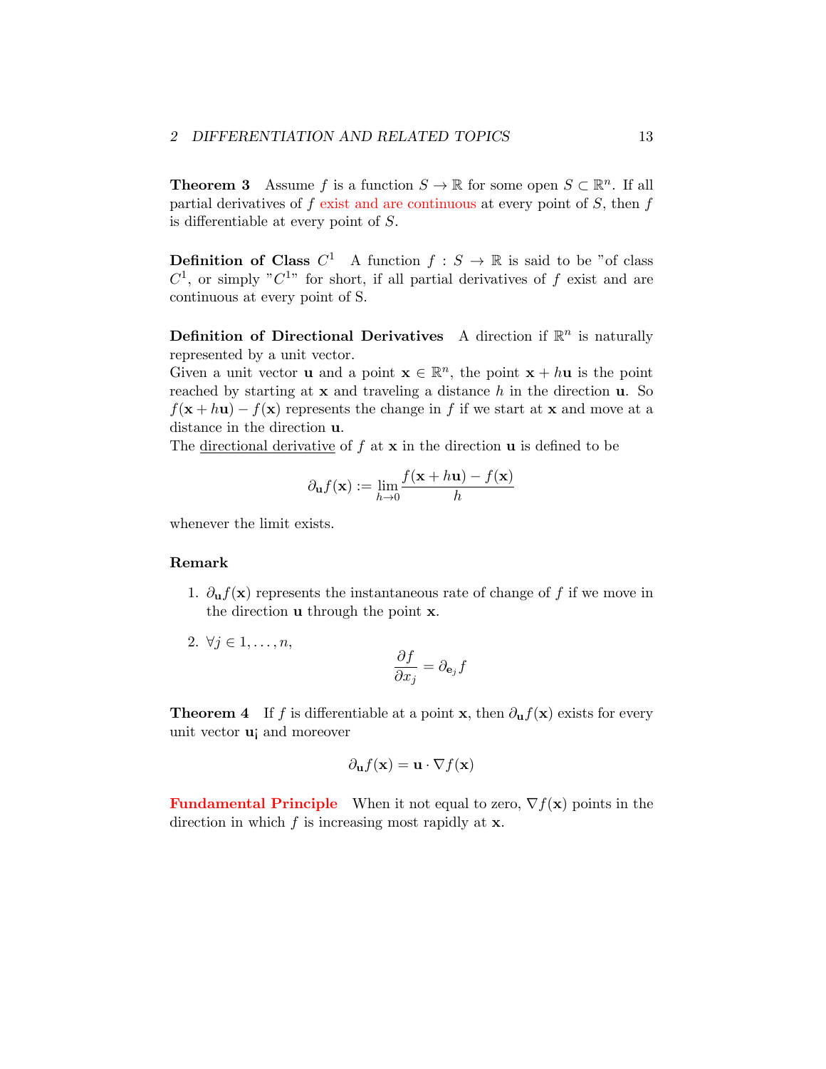**Theorem 3** Assume *f* is a function  $S \to \mathbb{R}$  for some open  $S \subset \mathbb{R}^n$ . If all partial derivatives of *f* exist and are continuous at every point of *S*, then *f* is differentiable at every point of *S*.

**Definition of Class**  $C^1$  A function  $f : S \to \mathbb{R}$  is said to be "of class  $C^1$ , or simply " $C^{1}$ " for short, if all partial derivatives of *f* exist and are continuous at every point of S.

**Definition of Directional Derivatives** A direction if  $\mathbb{R}^n$  is naturally represented by a unit vector.

Given a unit vector **u** and a point  $\mathbf{x} \in \mathbb{R}^n$ , the point  $\mathbf{x} + h\mathbf{u}$  is the point reached by starting at x and traveling a distance *h* in the direction u. So  $f(x + h\mathbf{u}) - f(\mathbf{x})$  represents the change in *f* if we start at x and move at a distance in the direction u.

The <u>directional derivative</u> of  $f$  at  $x$  in the direction  $u$  is defined to be

$$
\partial_{\mathbf{u}}f(\mathbf{x}) := \lim_{h \to 0} \frac{f(\mathbf{x} + h\mathbf{u}) - f(\mathbf{x})}{h}
$$

whenever the limit exists.

#### Remark

- 1.  $\partial_{\mathbf{u}} f(\mathbf{x})$  represents the instantaneous rate of change of f if we move in the direction u through the point x.
- 2.  $\forall j \in 1, ..., n,$

$$
\frac{\partial f}{\partial x_j} = \partial_{\mathbf{e}_j} f
$$

**Theorem 4** If *f* is differentiable at a point **x**, then  $\partial_{\mathbf{u}} f(\mathbf{x})$  exists for every unit vector u¡ and moreover

$$
\partial_{\mathbf{u}}f(\mathbf{x}) = \mathbf{u} \cdot \nabla f(\mathbf{x})
$$

**Fundamental Principle** When it not equal to zero,  $\nabla f(\mathbf{x})$  points in the direction in which *f* is increasing most rapidly at x.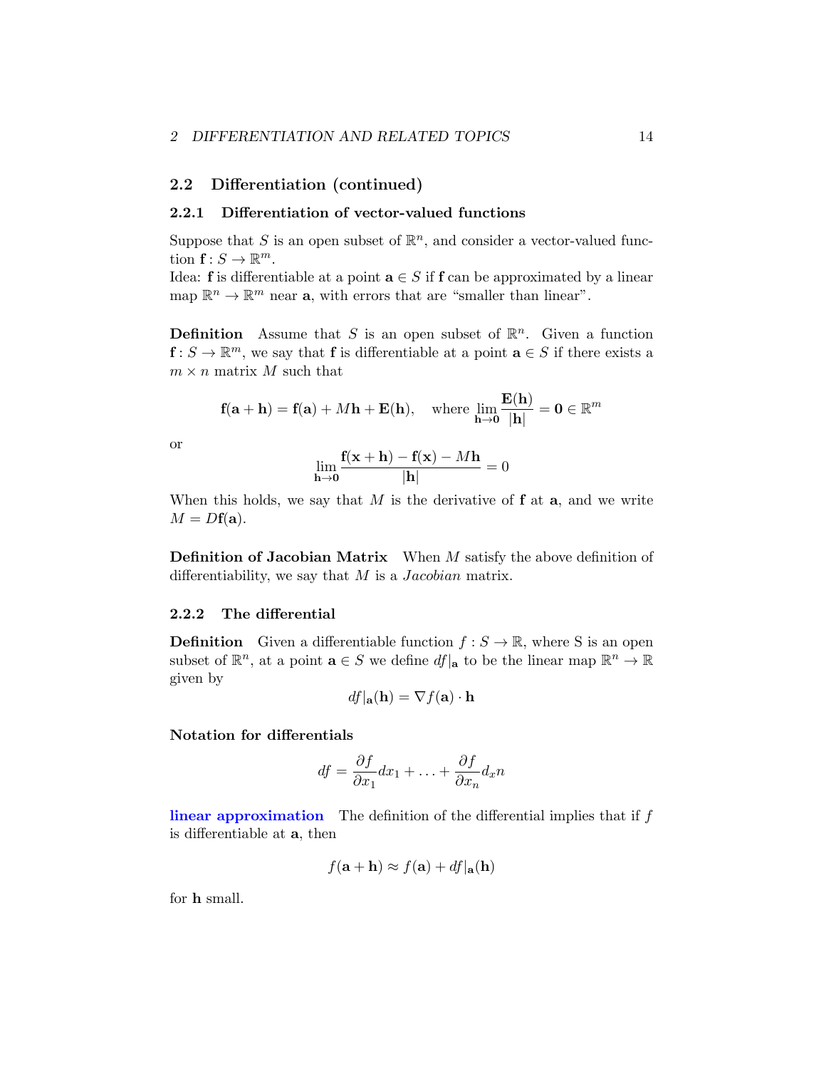## <span id="page-13-0"></span>2.2 Differentiation (continued)

#### <span id="page-13-1"></span>2.2.1 Differentiation of vector-valued functions

Suppose that *S* is an open subset of  $\mathbb{R}^n$ , and consider a vector-valued function  $f: S \to \mathbb{R}^m$ .

Idea: **f** is differentiable at a point  $\mathbf{a} \in S$  if **f** can be approximated by a linear map  $\mathbb{R}^n \to \mathbb{R}^m$  near **a**, with errors that are "smaller than linear".

**Definition** Assume that *S* is an open subset of  $\mathbb{R}^n$ . Given a function  $f: S \to \mathbb{R}^m$ , we say that f is differentiable at a point  $\mathbf{a} \in S$  if there exists a  $m \times n$  matrix *M* such that

$$
\mathbf{f}(\mathbf{a} + \mathbf{h}) = \mathbf{f}(\mathbf{a}) + M\mathbf{h} + \mathbf{E}(\mathbf{h}), \quad \text{where } \lim_{\mathbf{h} \to \mathbf{0}} \frac{\mathbf{E}(\mathbf{h})}{|\mathbf{h}|} = \mathbf{0} \in \mathbb{R}^m
$$

or

$$
\lim_{\mathbf{h}\to\mathbf{0}}\frac{\mathbf{f}(\mathbf{x}+\mathbf{h})-\mathbf{f}(\mathbf{x})-M\mathbf{h}}{|\mathbf{h}|}=0
$$

When this holds, we say that  $M$  is the derivative of  $f$  at  $a$ , and we write  $M = Df(\mathbf{a}).$ 

Definition of Jacobian Matrix When *M* satisfy the above definition of differentiability, we say that *M* is a *Jacobian* matrix.

#### <span id="page-13-2"></span>2.2.2 The differential

**Definition** Given a differentiable function  $f : S \to \mathbb{R}$ , where S is an open subset of  $\mathbb{R}^n$ , at a point  $\mathbf{a} \in S$  we define  $df|_{\mathbf{a}}$  to be the linear map  $\mathbb{R}^n \to \mathbb{R}$ given by

$$
df|_{\mathbf{a}}(\mathbf{h}) = \nabla f(\mathbf{a}) \cdot \mathbf{h}
$$

## Notation for differentials

$$
df = \frac{\partial f}{\partial x_1} dx_1 + \ldots + \frac{\partial f}{\partial x_n} dx_n
$$

linear approximation The definition of the differential implies that if *f* is differentiable at a, then

$$
f(\mathbf{a} + \mathbf{h}) \approx f(\mathbf{a}) + df|\mathbf{a}(\mathbf{h})
$$

for h small.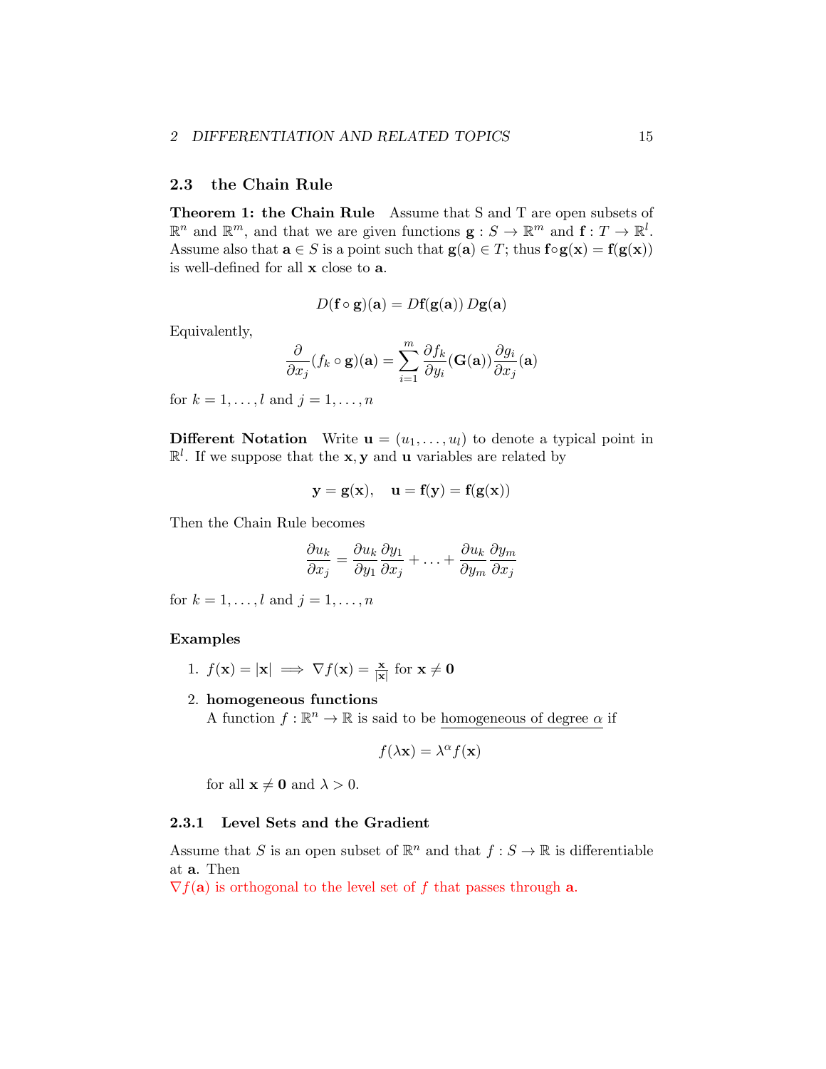## <span id="page-14-0"></span>2.3 the Chain Rule

Theorem 1: the Chain Rule Assume that S and T are open subsets of  $\mathbb{R}^n$  and  $\mathbb{R}^m$ , and that we are given functions  $\mathbf{g}: S \to \mathbb{R}^m$  and  $\mathbf{f}: T \to \mathbb{R}^l$ . Assume also that  $\mathbf{a} \in S$  is a point such that  $\mathbf{g}(\mathbf{a}) \in T$ ; thus  $\mathbf{f} \circ \mathbf{g}(\mathbf{x}) = \mathbf{f}(\mathbf{g}(\mathbf{x}))$ is well-defined for all x close to a.

$$
D(\mathbf{f} \circ \mathbf{g})(\mathbf{a}) = D\mathbf{f}(\mathbf{g}(\mathbf{a})) D\mathbf{g}(\mathbf{a})
$$

Equivalently,

$$
\frac{\partial}{\partial x_j}(f_k \circ \mathbf{g})(\mathbf{a}) = \sum_{i=1}^m \frac{\partial f_k}{\partial y_i}(\mathbf{G}(\mathbf{a})) \frac{\partial g_i}{\partial x_j}(\mathbf{a})
$$

for  $k = 1, ..., l$  and  $j = 1, ..., n$ 

**Different Notation** Write  $\mathbf{u} = (u_1, \ldots, u_l)$  to denote a typical point in  $\mathbb{R}^l$ . If we suppose that the **x**, **y** and **u** variables are related by

$$
\mathbf{y} = \mathbf{g}(\mathbf{x}), \quad \mathbf{u} = \mathbf{f}(\mathbf{y}) = \mathbf{f}(\mathbf{g}(\mathbf{x}))
$$

Then the Chain Rule becomes

$$
\frac{\partial u_k}{\partial x_j} = \frac{\partial u_k}{\partial y_1} \frac{\partial y_1}{\partial x_j} + \ldots + \frac{\partial u_k}{\partial y_m} \frac{\partial y_m}{\partial x_j}
$$

for  $k = 1, ..., l$  and  $j = 1, ..., n$ 

#### Examples

- 1.  $f(\mathbf{x}) = |\mathbf{x}| \implies \nabla f(\mathbf{x}) = \frac{\mathbf{x}}{|\mathbf{x}|}$  for  $\mathbf{x} \neq \mathbf{0}$
- 2. homogeneous functions

A function  $f : \mathbb{R}^n \to \mathbb{R}$  is said to be homogeneous of degree  $\alpha$  if

$$
f(\lambda \mathbf{x}) = \lambda^{\alpha} f(\mathbf{x})
$$

for all  $\mathbf{x} \neq \mathbf{0}$  and  $\lambda > 0$ .

#### <span id="page-14-1"></span>2.3.1 Level Sets and the Gradient

Assume that *S* is an open subset of  $\mathbb{R}^n$  and that  $f : S \to \mathbb{R}$  is differentiable at a. Then

 $\nabla f(\mathbf{a})$  is orthogonal to the level set of f that passes through **a**.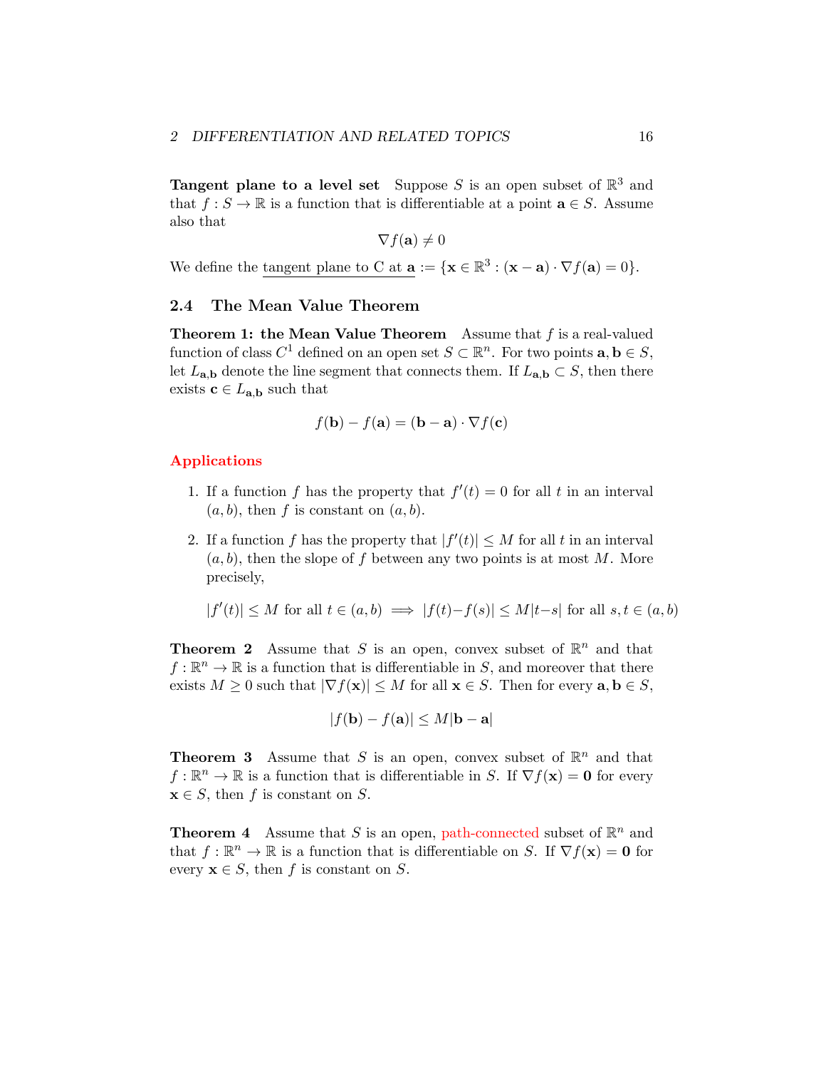**Tangent plane to a level set** Suppose *S* is an open subset of  $\mathbb{R}^3$  and that  $f : S \to \mathbb{R}$  is a function that is differentiable at a point  $\mathbf{a} \in S$ . Assume also that

$$
\nabla f(\mathbf{a}) \neq 0
$$

We define the tangent plane to C at  $\mathbf{a} := {\mathbf{x} \in \mathbb{R}^3 : (\mathbf{x} - \mathbf{a}) \cdot \nabla f(\mathbf{a}) = 0}.$ 

## <span id="page-15-0"></span>2.4 The Mean Value Theorem

Theorem 1: the Mean Value Theorem Assume that *f* is a real-valued function of class  $C^1$  defined on an open set  $S \subset \mathbb{R}^n$ . For two points  $\mathbf{a}, \mathbf{b} \in S$ , let  $L_{a,b}$  denote the line segment that connects them. If  $L_{a,b} \subset S$ , then there exists  $c \in L_{a,b}$  such that

$$
f(\mathbf{b}) - f(\mathbf{a}) = (\mathbf{b} - \mathbf{a}) \cdot \nabla f(\mathbf{c})
$$

#### Applications

- 1. If a function f has the property that  $f'(t) = 0$  for all t in an interval  $(a, b)$ , then f is constant on  $(a, b)$ .
- 2. If a function *f* has the property that  $|f'(t)| \leq M$  for all *t* in an interval  $(a, b)$ , then the slope of f between any two points is at most M. More precisely,

$$
|f'(t)| \le M \text{ for all } t \in (a, b) \implies |f(t) - f(s)| \le M|t - s| \text{ for all } s, t \in (a, b)
$$

**Theorem 2** Assume that *S* is an open, convex subset of  $\mathbb{R}^n$  and that  $f: \mathbb{R}^n \to \mathbb{R}$  is a function that is differentiable in *S*, and moreover that there exists  $M \geq 0$  such that  $|\nabla f(\mathbf{x})| \leq M$  for all  $\mathbf{x} \in S$ . Then for every  $\mathbf{a}, \mathbf{b} \in S$ ,

$$
|f(\mathbf{b}) - f(\mathbf{a})| \le M|\mathbf{b} - \mathbf{a}|
$$

**Theorem 3** Assume that *S* is an open, convex subset of  $\mathbb{R}^n$  and that  $f: \mathbb{R}^n \to \mathbb{R}$  is a function that is differentiable in *S*. If  $\nabla f(\mathbf{x}) = \mathbf{0}$  for every  $\mathbf{x} \in S$ , then *f* is constant on *S*.

**Theorem 4** Assume that *S* is an open, path-connected subset of  $\mathbb{R}^n$  and that  $f : \mathbb{R}^n \to \mathbb{R}$  is a function that is differentiable on *S*. If  $\nabla f(\mathbf{x}) = \mathbf{0}$  for every  $\mathbf{x} \in S$ , then *f* is constant on *S*.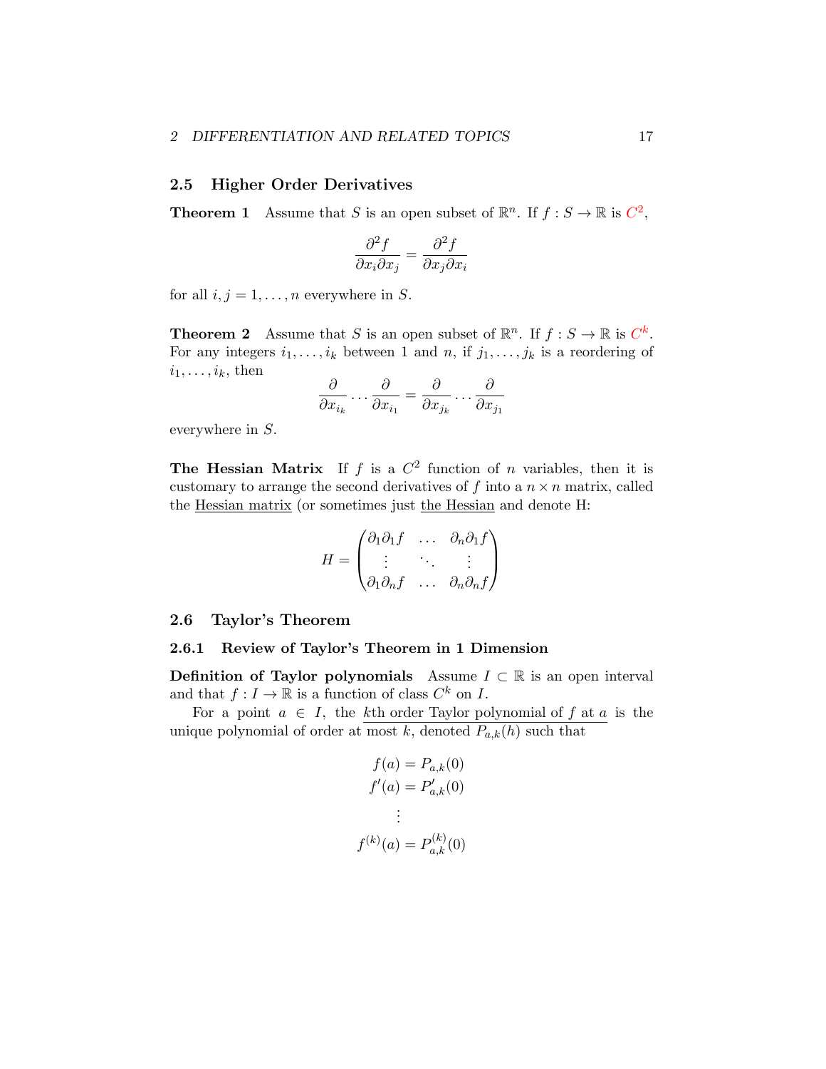## <span id="page-16-0"></span>2.5 Higher Order Derivatives

**Theorem 1** Assume that *S* is an open subset of  $\mathbb{R}^n$ . If  $f : S \to \mathbb{R}$  is  $C^2$ ,

$$
\frac{\partial^2 f}{\partial x_i \partial x_j} = \frac{\partial^2 f}{\partial x_j \partial x_i}
$$

for all  $i, j = 1, \ldots, n$  everywhere in *S*.

**Theorem 2** Assume that *S* is an open subset of  $\mathbb{R}^n$ . If  $f : S \to \mathbb{R}$  is  $C^k$ . For any integers  $i_1, \ldots, i_k$  between 1 and *n*, if  $j_1, \ldots, j_k$  is a reordering of  $i_1, \ldots, i_k$ , then

$$
\frac{\partial}{\partial x_{i_k}}\dots\frac{\partial}{\partial x_{i_1}}=\frac{\partial}{\partial x_{j_k}}\dots\frac{\partial}{\partial x_{j_1}}
$$

everywhere in *S*.

**The Hessian Matrix** If  $f$  is a  $C^2$  function of  $n$  variables, then it is customary to arrange the second derivatives of  $f$  into a  $n \times n$  matrix, called the <u>Hessian matrix</u> (or sometimes just the Hessian and denote H:

$$
H = \begin{pmatrix} \partial_1 \partial_1 f & \dots & \partial_n \partial_1 f \\ \vdots & \ddots & \vdots \\ \partial_1 \partial_n f & \dots & \partial_n \partial_n f \end{pmatrix}
$$

#### <span id="page-16-1"></span>2.6 Taylor's Theorem

#### <span id="page-16-2"></span>2.6.1 Review of Taylor's Theorem in 1 Dimension

**Definition of Taylor polynomials** Assume  $I \subset \mathbb{R}$  is an open interval and that  $f: I \to \mathbb{R}$  is a function of class  $C^k$  on *I*.

For a point  $a \in I$ , the *k*th order Taylor polynomial of  $f$  at  $a$  is the unique polynomial of order at most *k*, denoted  $P_{a,k}(h)$  such that

$$
f(a) = P_{a,k}(0)
$$
  

$$
f'(a) = P'_{a,k}(0)
$$
  

$$
\vdots
$$
  

$$
f^{(k)}(a) = P^{(k)}_{a,k}(0)
$$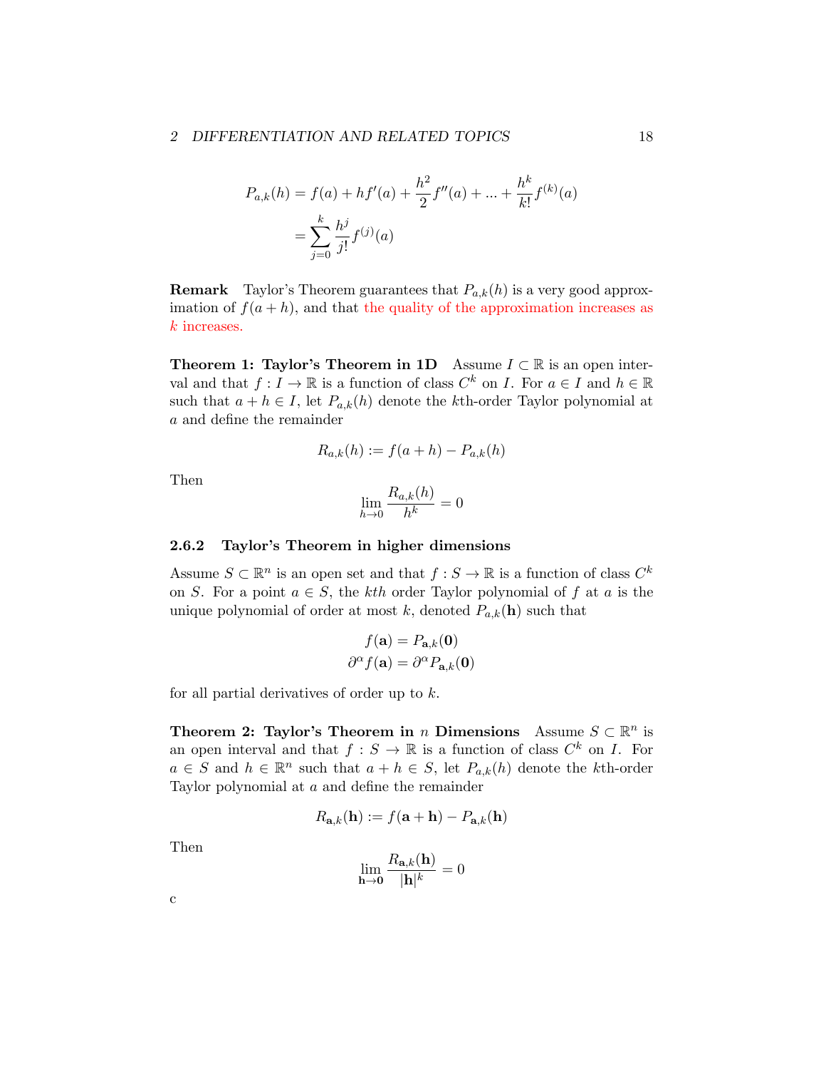$$
P_{a,k}(h) = f(a) + hf'(a) + \frac{h^2}{2}f''(a) + \dots + \frac{h^k}{k!}f^{(k)}(a)
$$

$$
= \sum_{j=0}^k \frac{h^j}{j!}f^{(j)}(a)
$$

**Remark** Taylor's Theorem guarantees that  $P_{a,k}(h)$  is a very good approximation of  $f(a+h)$ , and that the quality of the approximation increases as *k* increases.

**Theorem 1: Taylor's Theorem in 1D** Assume  $I \subset \mathbb{R}$  is an open interval and that  $f: I \to \mathbb{R}$  is a function of class  $C^k$  on *I*. For  $a \in I$  and  $h \in \mathbb{R}$ such that  $a + h \in I$ , let  $P_{a,k}(h)$  denote the *k*th-order Taylor polynomial at *a* and define the remainder

$$
R_{a,k}(h) := f(a+h) - P_{a,k}(h)
$$

Then

$$
\lim_{h \to 0} \frac{R_{a,k}(h)}{h^k} = 0
$$

#### <span id="page-17-0"></span>2.6.2 Taylor's Theorem in higher dimensions

Assume  $S \subset \mathbb{R}^n$  is an open set and that  $f : S \to \mathbb{R}$  is a function of class  $C^k$ on *S*. For a point  $a \in S$ , the *kth* order Taylor polynomial of *f* at *a* is the unique polynomial of order at most  $k$ , denoted  $P_{a,k}(\mathbf{h})$  such that

$$
f(\mathbf{a}) = P_{\mathbf{a},k}(\mathbf{0})
$$

$$
\partial^{\alpha} f(\mathbf{a}) = \partial^{\alpha} P_{\mathbf{a},k}(\mathbf{0})
$$

for all partial derivatives of order up to *k*.

Theorem 2: Taylor's Theorem in *n* Dimensions Assume  $S \subset \mathbb{R}^n$  is an open interval and that  $f : S \to \mathbb{R}$  is a function of class  $C^k$  on *I*. For *a* ∈ *S* and *h* ∈  $\mathbb{R}^n$  such that *a* + *h* ∈ *S*, let  $P_{a,k}(h)$  denote the *k*th-order Taylor polynomial at *a* and define the remainder

$$
R_{\mathbf{a},k}(\mathbf{h}) := f(\mathbf{a} + \mathbf{h}) - P_{\mathbf{a},k}(\mathbf{h})
$$

Then

$$
\lim_{\mathbf{h}\to\mathbf{0}}\frac{R_{\mathbf{a},k}(\mathbf{h})}{|\mathbf{h}|^k}=0
$$

c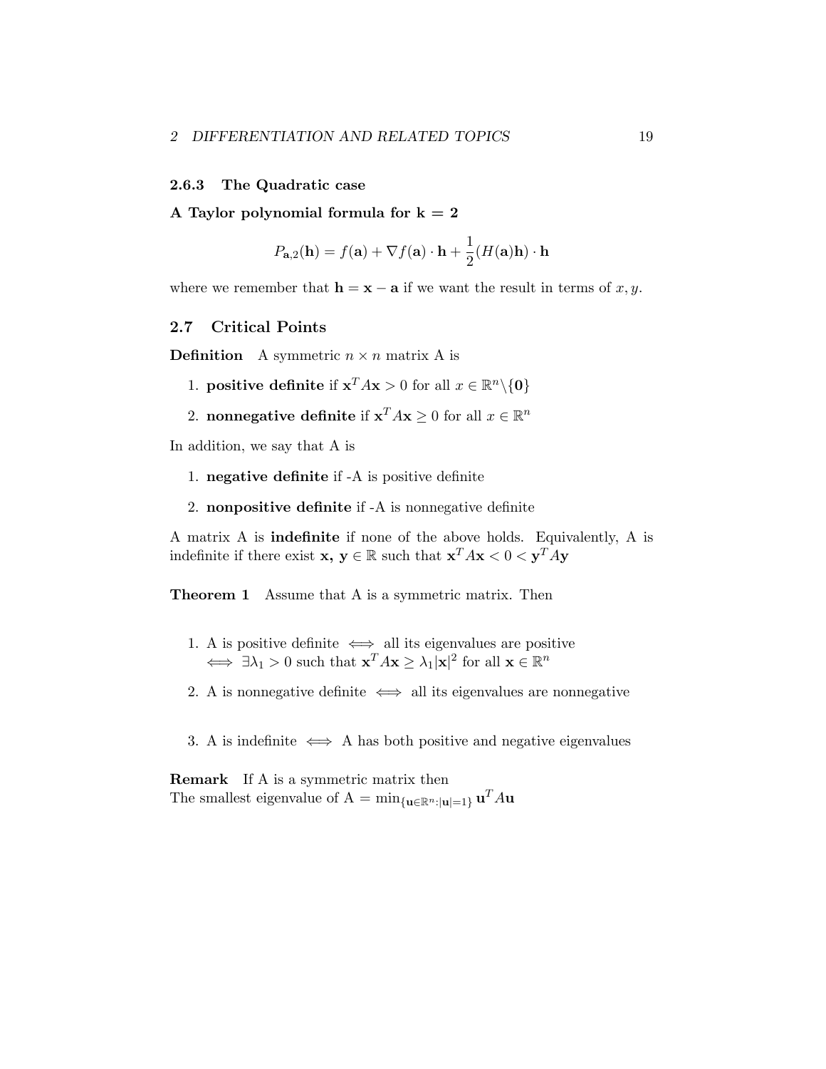#### <span id="page-18-0"></span>2.6.3 The Quadratic case

A Taylor polynomial formula for  $k = 2$ 

$$
P_{\mathbf{a},2}(\mathbf{h}) = f(\mathbf{a}) + \nabla f(\mathbf{a}) \cdot \mathbf{h} + \frac{1}{2}(H(\mathbf{a})\mathbf{h}) \cdot \mathbf{h}
$$

where we remember that  $h = x - a$  if we want the result in terms of *x*, *y*.

## <span id="page-18-1"></span>2.7 Critical Points

**Definition** A symmetric  $n \times n$  matrix A is

- 1. **positive definite** if  $\mathbf{x}^T A \mathbf{x} > 0$  for all  $x \in \mathbb{R}^n \setminus \{0\}$
- 2. **nonnegative definite** if  $\mathbf{x}^T A \mathbf{x} \ge 0$  for all  $x \in \mathbb{R}^n$

In addition, we say that A is

- 1. negative definite if -A is positive definite
- 2. nonpositive definite if -A is nonnegative definite

A matrix A is indefinite if none of the above holds. Equivalently, A is indefinite if there exist  $\mathbf{x}, \mathbf{y} \in \mathbb{R}$  such that  $\mathbf{x}^T A \mathbf{x} < 0 < \mathbf{y}^T A \mathbf{y}$ 

**Theorem 1** Assume that A is a symmetric matrix. Then

- 1. A is positive definite  $\iff$  all its eigenvalues are positive  $\iff \exists \lambda_1 > 0$  such that  $\mathbf{x}^T A \mathbf{x} \ge \lambda_1 |\mathbf{x}|^2$  for all  $\mathbf{x} \in \mathbb{R}^n$
- 2. A is nonnegative definite  $\iff$  all its eigenvalues are nonnegative
- 3. A is indefinite  $\iff$  A has both positive and negative eigenvalues

Remark If A is a symmetric matrix then The smallest eigenvalue of A =  $\min_{\{\mathbf{u} \in \mathbb{R}^n : |\mathbf{u}| = 1\}} \mathbf{u}^T A \mathbf{u}$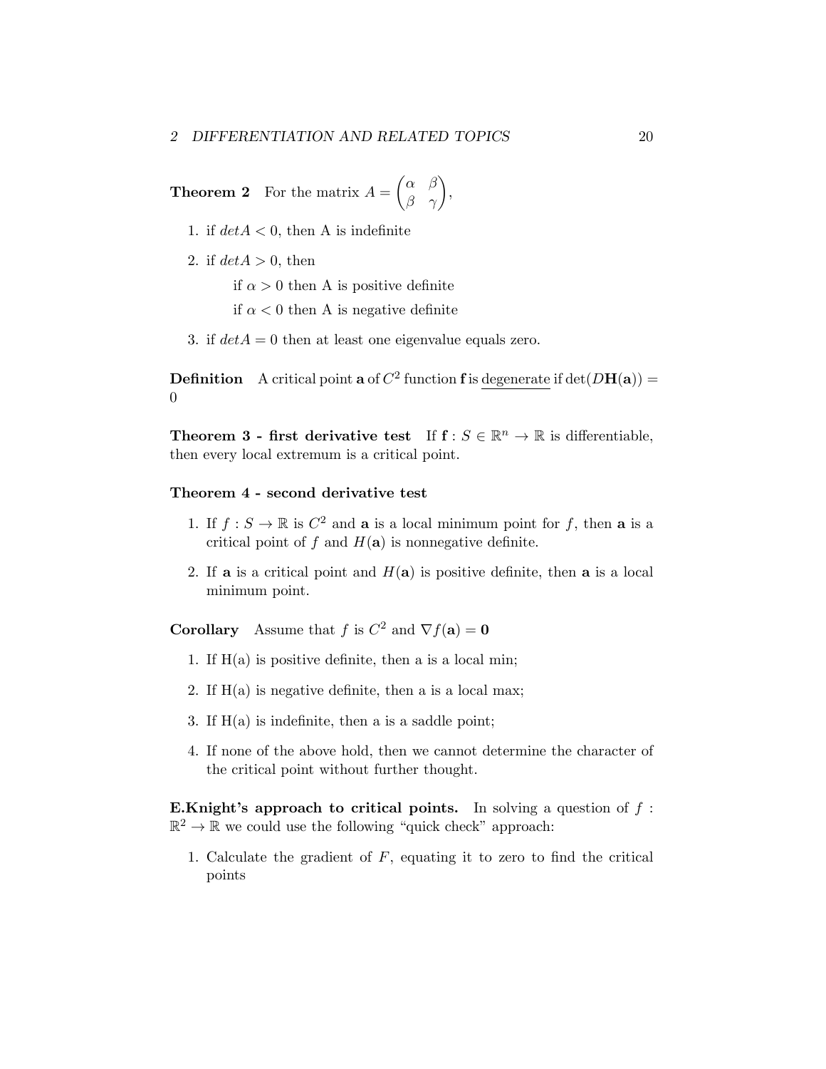**Theorem 2** For the matrix  $A =$  $\begin{pmatrix} \alpha & \beta \end{pmatrix}$  $\beta$   $\gamma$  $\setminus$ 

- 1. if  $det A < 0$ , then A is indefinite
- 2. if  $det A > 0$ , then

if  $\alpha > 0$  then A is positive definite

- if  $\alpha$  < 0 then A is negative definite
- 3. if  $det A = 0$  then at least one eigenvalue equals zero.

**Definition** A critical point **a** of  $C^2$  function **f** is degenerate if  $det(DH(a))$  =  $\Omega$ 

,

**Theorem 3 - first derivative test** If  $f : S \in \mathbb{R}^n \to \mathbb{R}$  is differentiable, then every local extremum is a critical point.

#### Theorem 4 - second derivative test

- 1. If  $f : S \to \mathbb{R}$  is  $C^2$  and **a** is a local minimum point for f, then **a** is a critical point of  $f$  and  $H(a)$  is nonnegative definite.
- 2. If **a** is a critical point and  $H(a)$  is positive definite, then **a** is a local minimum point.

**Corollary** Assume that *f* is  $C^2$  and  $\nabla f(\mathbf{a}) = \mathbf{0}$ 

- 1. If  $H(a)$  is positive definite, then a is a local min;
- 2. If  $H(a)$  is negative definite, then a is a local max;
- 3. If  $H(a)$  is indefinite, then a is a saddle point;
- 4. If none of the above hold, then we cannot determine the character of the critical point without further thought.

E.Knight's approach to critical points. In solving a question of *f* :  $\mathbb{R}^2 \to \mathbb{R}$  we could use the following "quick check" approach:

1. Calculate the gradient of *F*, equating it to zero to find the critical points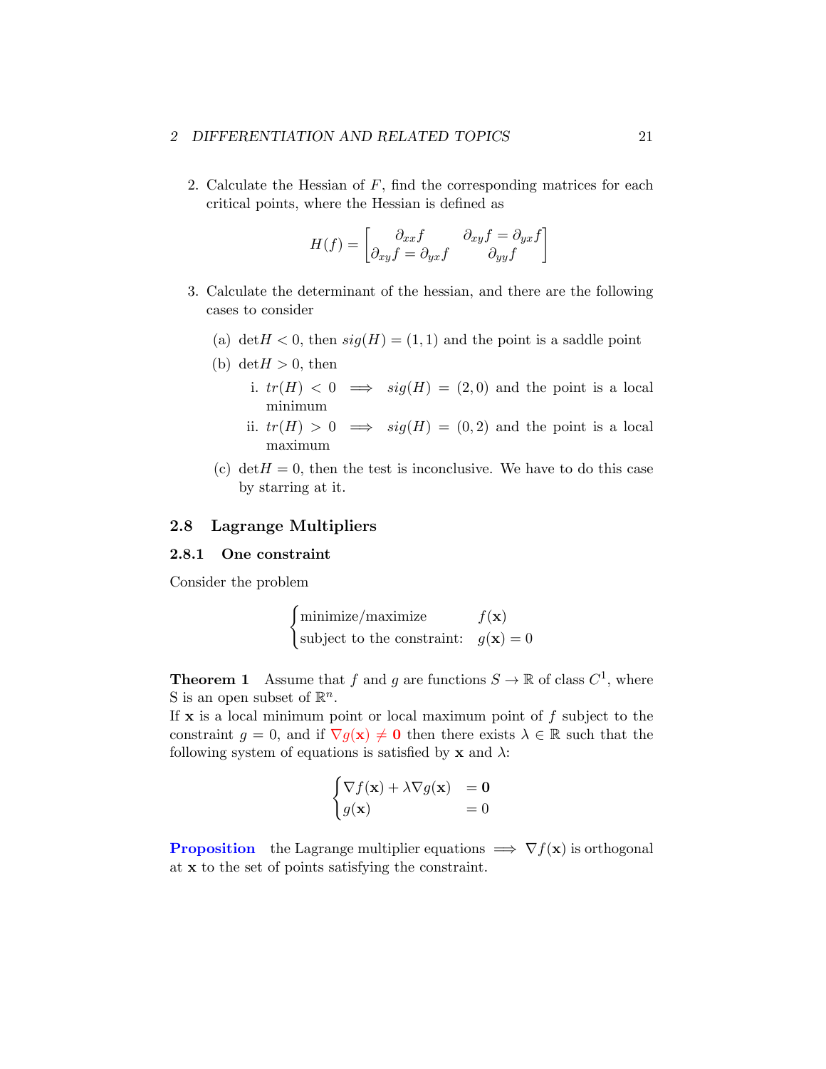2. Calculate the Hessian of *F*, find the corresponding matrices for each critical points, where the Hessian is defined as

$$
H(f) = \begin{bmatrix} \partial_{xx} f & \partial_{xy} f = \partial_{yx} f \\ \partial_{xy} f = \partial_{yx} f & \partial_{yy} f \end{bmatrix}
$$

- 3. Calculate the determinant of the hessian, and there are the following cases to consider
	- (a) det $H < 0$ , then  $sig(H) = (1, 1)$  and the point is a saddle point
	- (b) det $H > 0$ , then
		- i.  $tr(H) < 0 \implies sig(H) = (2,0)$  and the point is a local minimum
		- ii.  $tr(H) > 0 \implies sig(H) = (0, 2)$  and the point is a local maximum
	- (c)  $\det H = 0$ , then the test is inconclusive. We have to do this case by starring at it.

## <span id="page-20-0"></span>2.8 Lagrange Multipliers

#### <span id="page-20-1"></span>2.8.1 One constraint

Consider the problem

$$
\begin{cases}\n\text{minimize}/\text{maximize} & f(\mathbf{x})\\ \n\text{subject to the constraint:} & g(\mathbf{x}) = 0\n\end{cases}
$$

**Theorem 1** Assume that *f* and *g* are functions  $S \to \mathbb{R}$  of class  $C^1$ , where S is an open subset of  $\mathbb{R}^n$ .

If x is a local minimum point or local maximum point of *f* subject to the constraint  $g = 0$ , and if  $\nabla g(\mathbf{x}) \neq \mathbf{0}$  then there exists  $\lambda \in \mathbb{R}$  such that the following system of equations is satisfied by  $x$  and  $\lambda$ :

$$
\begin{cases} \nabla f(\mathbf{x}) + \lambda \nabla g(\mathbf{x}) &= \mathbf{0} \\ g(\mathbf{x}) &= 0 \end{cases}
$$

**Proposition** the Lagrange multiplier equations  $\implies \nabla f(\mathbf{x})$  is orthogonal at x to the set of points satisfying the constraint.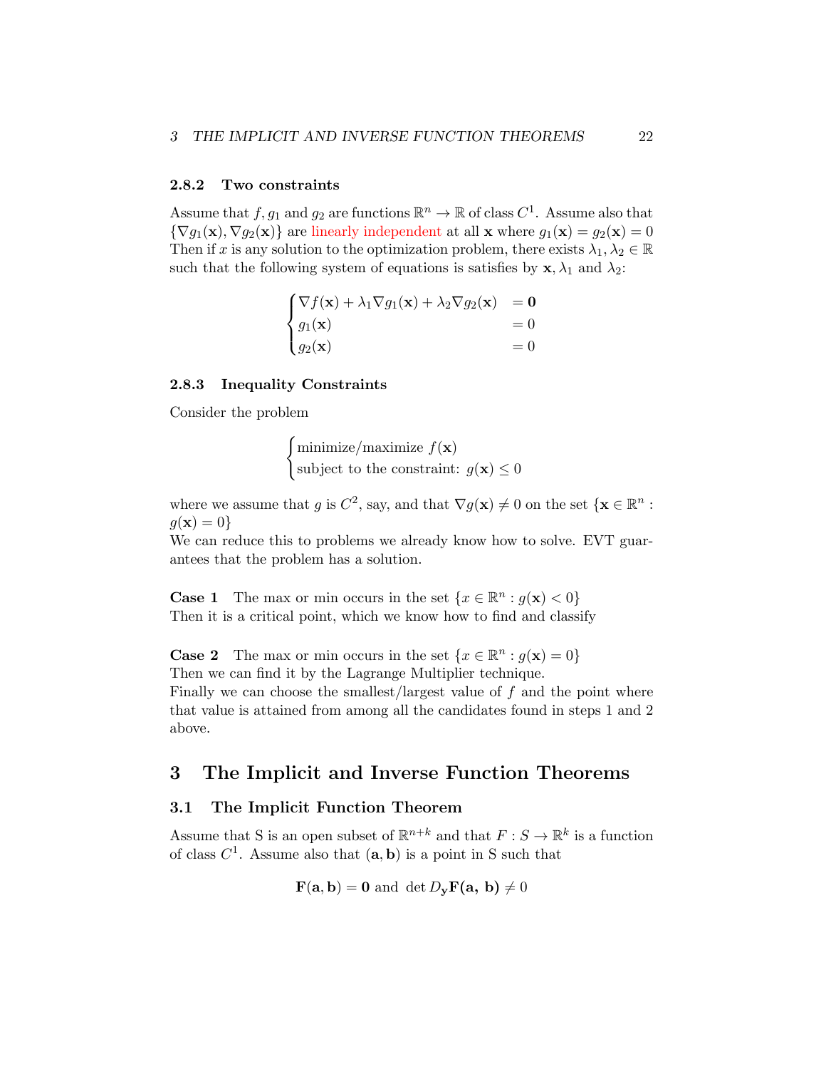#### <span id="page-21-0"></span>2.8.2 Two constraints

Assume that  $f, g_1$  and  $g_2$  are functions  $\mathbb{R}^n \to \mathbb{R}$  of class  $C^1$ . Assume also that  $\{\nabla g_1(\mathbf{x}), \nabla g_2(\mathbf{x})\}$  are linearly independent at all **x** where  $g_1(\mathbf{x}) = g_2(\mathbf{x}) = 0$ Then if *x* is any solution to the optimization problem, there exists  $\lambda_1, \lambda_2 \in \mathbb{R}$ such that the following system of equations is satisfies by  $\mathbf{x}, \lambda_1$  and  $\lambda_2$ :

$$
\begin{cases}\n\nabla f(\mathbf{x}) + \lambda_1 \nabla g_1(\mathbf{x}) + \lambda_2 \nabla g_2(\mathbf{x}) &= \mathbf{0} \\
g_1(\mathbf{x}) &= 0 \\
g_2(\mathbf{x}) &= 0\n\end{cases}
$$

#### <span id="page-21-1"></span>2.8.3 Inequality Constraints

Consider the problem

$$
\begin{cases} \text{minimize}/\text{maximize } f(\mathbf{x}) \\ \text{subject to the constraint: } g(\mathbf{x}) \leq 0 \end{cases}
$$

where we assume that *g* is  $C^2$ , say, and that  $\nabla g(\mathbf{x}) \neq 0$  on the set  $\{\mathbf{x} \in \mathbb{R}^n :$  $g(\mathbf{x}) = 0$ 

We can reduce this to problems we already know how to solve. EVT guarantees that the problem has a solution.

**Case 1** The max or min occurs in the set  $\{x \in \mathbb{R}^n : g(\mathbf{x}) < 0\}$ Then it is a critical point, which we know how to find and classify

**Case 2** The max or min occurs in the set  $\{x \in \mathbb{R}^n : q(\mathbf{x}) = 0\}$ Then we can find it by the Lagrange Multiplier technique.

Finally we can choose the smallest/largest value of *f* and the point where that value is attained from among all the candidates found in steps 1 and 2 above.

## <span id="page-21-2"></span>3 The Implicit and Inverse Function Theorems

## 3.1 The Implicit Function Theorem

Assume that S is an open subset of  $\mathbb{R}^{n+k}$  and that  $F: S \to \mathbb{R}^k$  is a function of class  $C^1$ . Assume also that  $(a, b)$  is a point in S such that

$$
\mathbf{F}(\mathbf{a},\mathbf{b})=\mathbf{0} \text{ and } \det D_{\mathbf{y}}\mathbf{F}(\mathbf{a},\mathbf{b}) \neq 0
$$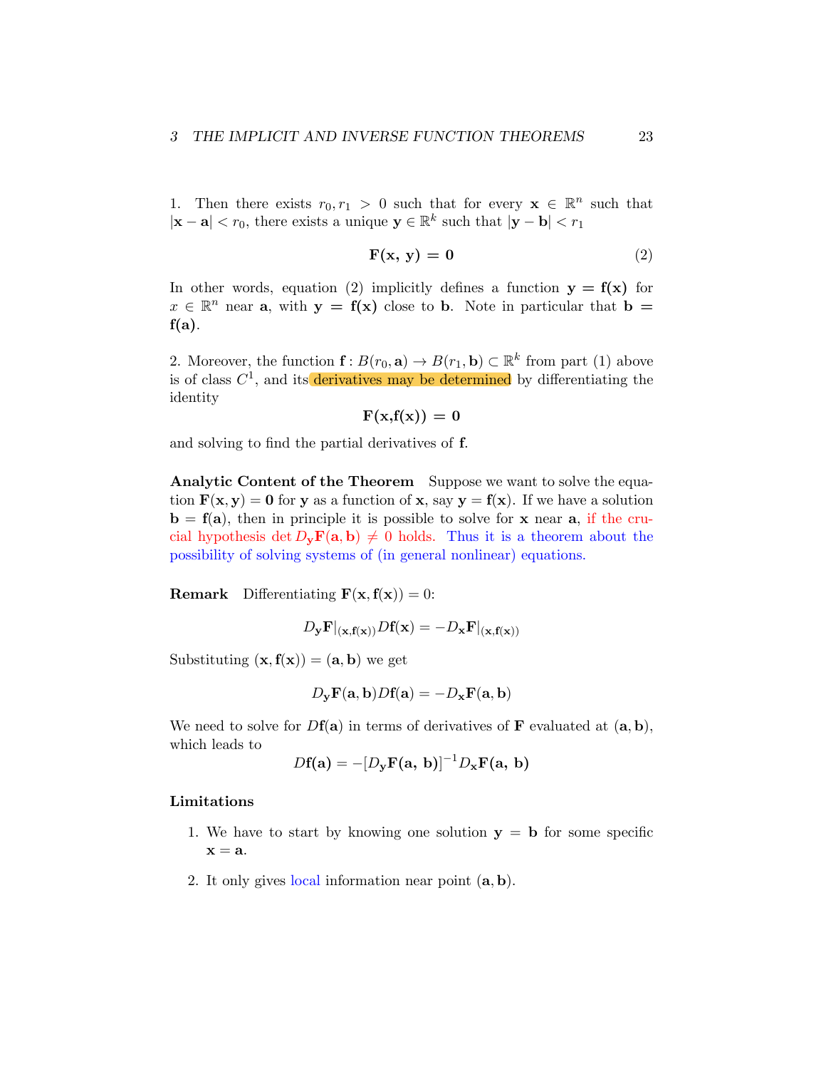1. Then there exists  $r_0, r_1 > 0$  such that for every  $\mathbf{x} \in \mathbb{R}^n$  such that *|***x** − **a***| < r*<sub>0</sub>, there exists a unique  $\mathbf{y} \in \mathbb{R}^k$  such that  $|\mathbf{y} - \mathbf{b}| < r_1$ 

$$
\mathbf{F}(\mathbf{x}, \mathbf{y}) = \mathbf{0} \tag{2}
$$

In other words, equation (2) implicitly defines a function  $y = f(x)$  for  $x \in \mathbb{R}^n$  near **a**, with  $y = f(x)$  close to **b**. Note in particular that **b** =  $f(a)$ .

2. Moreover, the function  $f : B(r_0, \mathbf{a}) \to B(r_1, \mathbf{b}) \subset \mathbb{R}^k$  from part (1) above is of class  $C^1$ , and its derivatives may be determined by differentiating the identity

 $F(x,f(x)) = 0$ 

and solving to find the partial derivatives of f.

Analytic Content of the Theorem Suppose we want to solve the equation  $F(x, y) = 0$  for y as a function of x, say  $y = f(x)$ . If we have a solution  $\mathbf{b} = \mathbf{f}(\mathbf{a})$ , then in principle it is possible to solve for **x** near **a**, if the crucial hypothesis det  $D_v\mathbf{F}(\mathbf{a},\mathbf{b}) \neq 0$  holds. Thus it is a theorem about the possibility of solving systems of (in general nonlinear) equations.

**Remark** Differentiating  $\mathbf{F}(\mathbf{x}, \mathbf{f}(\mathbf{x})) = 0$ :

$$
D_{\mathbf{y}} \mathbf{F}|_{(\mathbf{x}, \mathbf{f}(\mathbf{x}))} D\mathbf{f}(\mathbf{x}) = -D_{\mathbf{x}} \mathbf{F}|_{(\mathbf{x}, \mathbf{f}(\mathbf{x}))}
$$

Substituting  $(\mathbf{x}, \mathbf{f}(\mathbf{x})) = (\mathbf{a}, \mathbf{b})$  we get

$$
D_{\mathbf{y}}\mathbf{F}(\mathbf{a},\mathbf{b})D\mathbf{f}(\mathbf{a}) = -D_{\mathbf{x}}\mathbf{F}(\mathbf{a},\mathbf{b})
$$

We need to solve for  $Df(a)$  in terms of derivatives of **F** evaluated at  $(a, b)$ , which leads to

$$
Df(\mathbf{a}) = -[D_{\mathbf{y}}\mathbf{F}(\mathbf{a}, \mathbf{b})]^{-1}D_{\mathbf{x}}\mathbf{F}(\mathbf{a}, \mathbf{b})
$$

#### Limitations

- 1. We have to start by knowing one solution  $y = b$  for some specific  $x = a$ .
- 2. It only gives local information near point (a*,* b).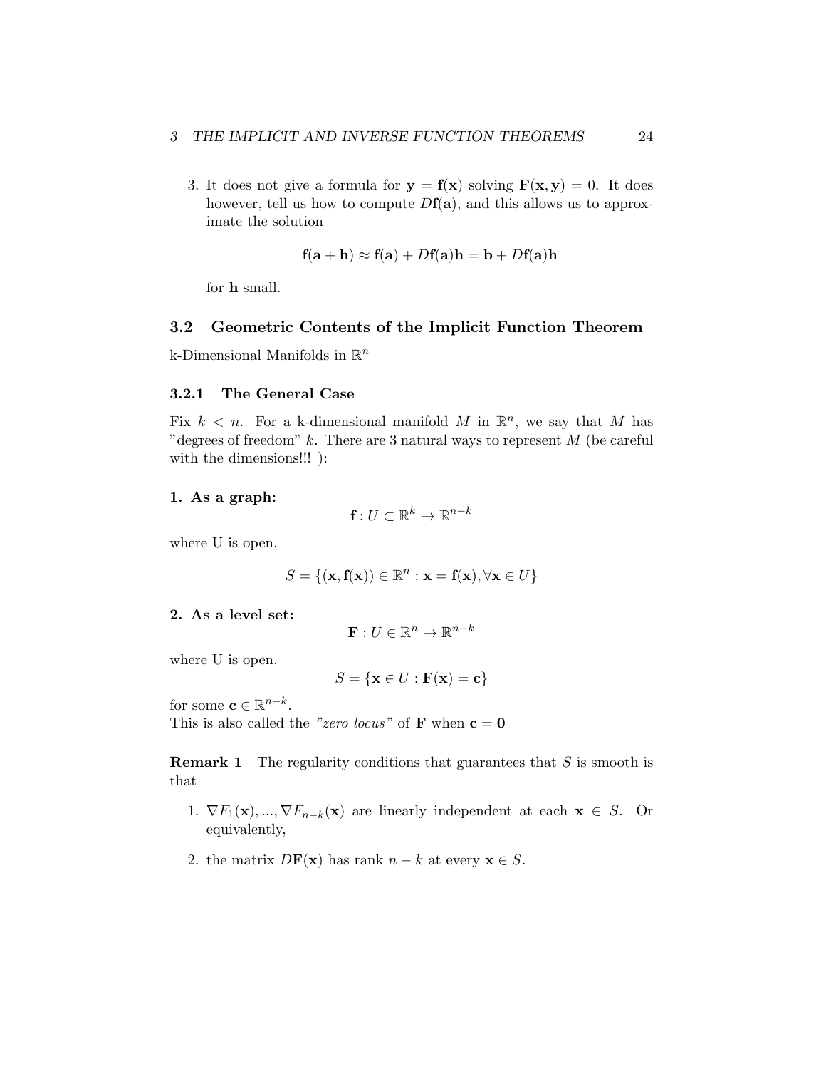3. It does not give a formula for  $y = f(x)$  solving  $F(x, y) = 0$ . It does however, tell us how to compute  $Df(\mathbf{a})$ , and this allows us to approximate the solution

$$
\mathbf{f}(\mathbf{a} + \mathbf{h}) \approx \mathbf{f}(\mathbf{a}) + D\mathbf{f}(\mathbf{a})\mathbf{h} = \mathbf{b} + D\mathbf{f}(\mathbf{a})\mathbf{h}
$$

for h small.

## <span id="page-23-0"></span>3.2 Geometric Contents of the Implicit Function Theorem

k-Dimensional Manifolds in R*<sup>n</sup>*

#### <span id="page-23-1"></span>3.2.1 The General Case

Fix  $k < n$ . For a k-dimensional manifold M in  $\mathbb{R}^n$ , we say that M has "degrees of freedom" *k*. There are 3 natural ways to represent *M* (be careful with the dimensions!!! ):

#### 1. As a graph:

$$
\mathbf{f}: U \subset \mathbb{R}^k \to \mathbb{R}^{n-k}
$$

where U is open.

$$
S = \{(\mathbf{x}, \mathbf{f}(\mathbf{x})) \in \mathbb{R}^n : \mathbf{x} = \mathbf{f}(\mathbf{x}), \forall \mathbf{x} \in U\}
$$

#### 2. As a level set:

$$
\mathbf{F}: U \in \mathbb{R}^n \to \mathbb{R}^{n-k}
$$

where U is open.

$$
S = \{ \mathbf{x} \in U : \mathbf{F}(\mathbf{x}) = \mathbf{c} \}
$$

for some  $\mathbf{c} \in \mathbb{R}^{n-k}$ .

This is also called the *"zero locus*" of **F** when  $c = 0$ 

Remark 1 The regularity conditions that guarantees that *S* is smooth is that

- 1.  $\nabla F_1(\mathbf{x}),...,\nabla F_{n-k}(\mathbf{x})$  are linearly independent at each  $\mathbf{x} \in S$ . Or equivalently,
- 2. the matrix  $D\mathbf{F}(\mathbf{x})$  has rank  $n k$  at every  $\mathbf{x} \in S$ .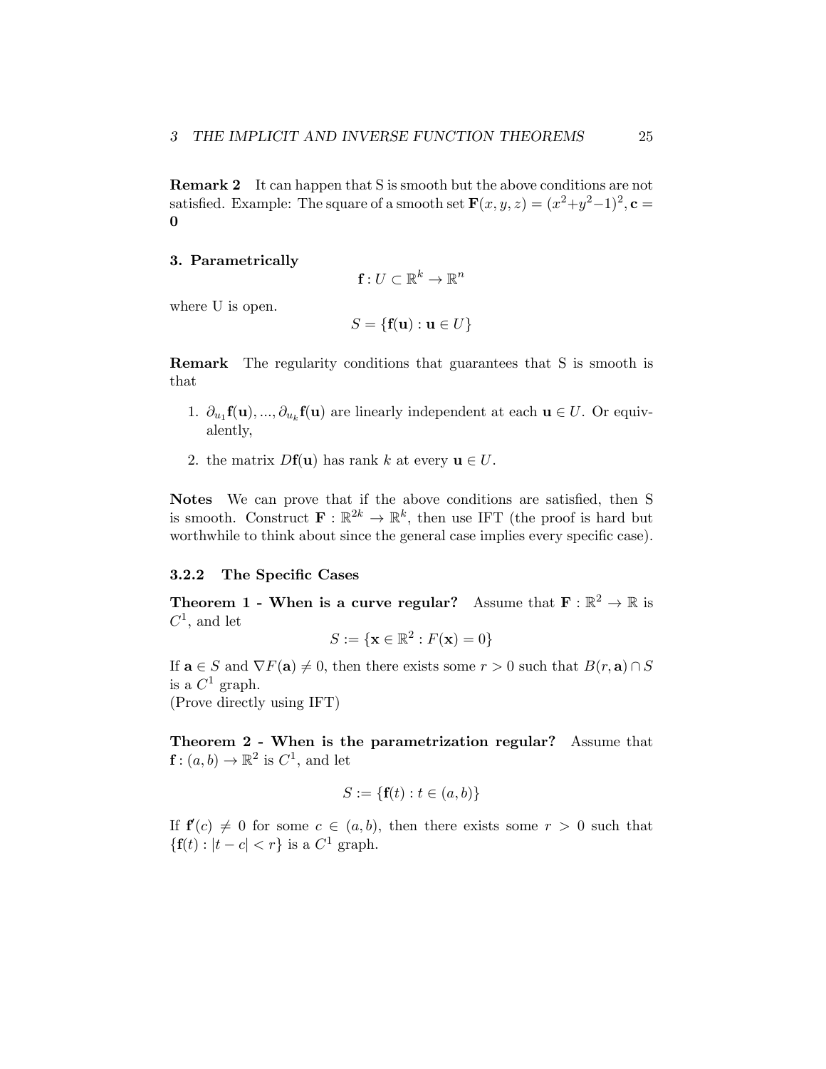Remark 2 It can happen that S is smooth but the above conditions are not satisfied. Example: The square of a smooth set  $\mathbf{F}(x, y, z) = (x^2+y^2-1)^2$ ,  $\mathbf{c} =$ 0

#### 3. Parametrically

$$
\mathbf{f}:U\subset\mathbb{R}^k\to\mathbb{R}^n
$$

where U is open.

$$
S = \{ \mathbf{f}(\mathbf{u}) : \mathbf{u} \in U \}
$$

Remark The regularity conditions that guarantees that S is smooth is that

- 1.  $\partial_{u_1} f(u), ..., \partial_{u_k} f(u)$  are linearly independent at each  $u \in U$ . Or equivalently,
- 2. the matrix  $Df(\mathbf{u})$  has rank k at every  $\mathbf{u} \in U$ .

Notes We can prove that if the above conditions are satisfied, then S is smooth. Construct  $\mathbf{F} : \mathbb{R}^{2k} \to \mathbb{R}^k$ , then use IFT (the proof is hard but worthwhile to think about since the general case implies every specific case).

#### <span id="page-24-0"></span>3.2.2 The Specific Cases

**Theorem 1 - When is a curve regular?** Assume that  $\mathbf{F} : \mathbb{R}^2 \to \mathbb{R}$  is *C*1, and let

$$
S := \{ \mathbf{x} \in \mathbb{R}^2 : F(\mathbf{x}) = 0 \}
$$

If  $\mathbf{a} \in S$  and  $\nabla F(\mathbf{a}) \neq 0$ , then there exists some  $r > 0$  such that  $B(r, \mathbf{a}) \cap S$ is a  $C^1$  graph.

(Prove directly using IFT)

Theorem 2 - When is the parametrization regular? Assume that  $f : (a, b) \to \mathbb{R}^2$  is  $C^1$ , and let

$$
S := \{ \mathbf{f}(t) : t \in (a, b) \}
$$

If  $f'(c) \neq 0$  for some  $c \in (a, b)$ , then there exists some  $r > 0$  such that  ${f(t) : |t - c| < r}$  is a  $C<sup>1</sup>$  graph.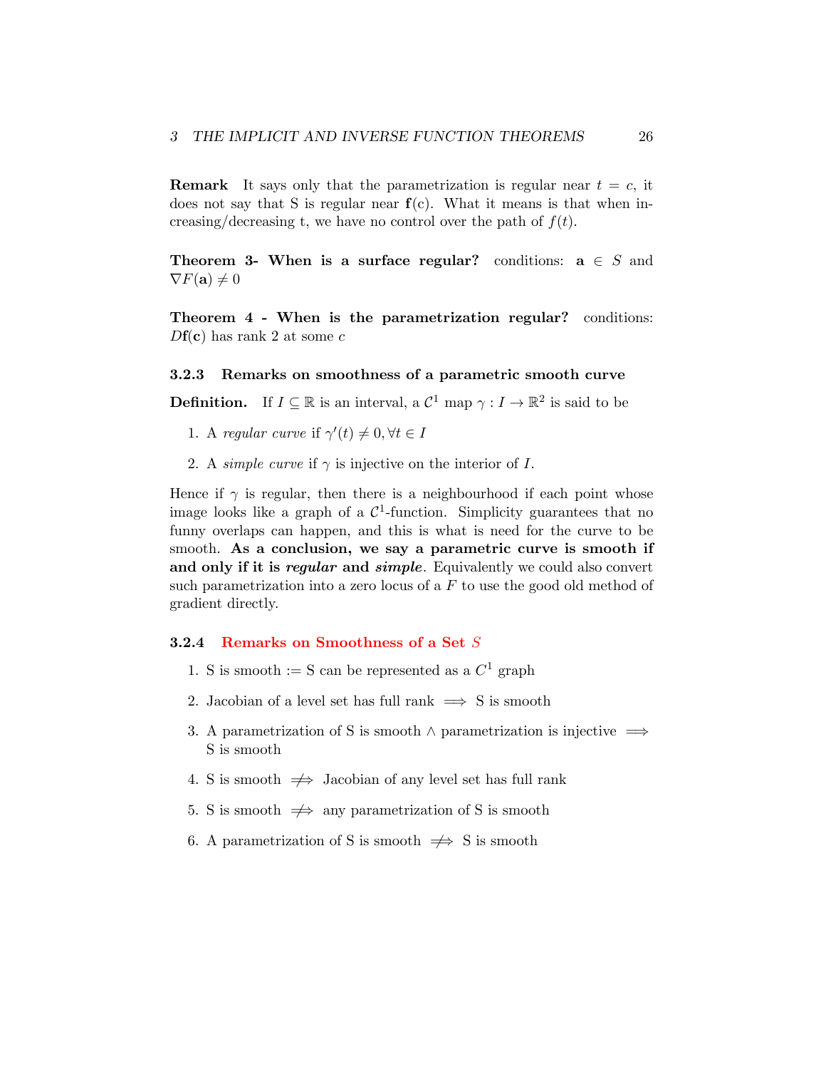**Remark** It says only that the parametrization is regular near  $t = c$ , it does not say that S is regular near  $f(c)$ . What it means is that when increasing/decreasing t, we have no control over the path of  $f(t)$ .

Theorem 3- When is a surface regular? conditions:  $a \in S$  and  $\nabla F(\mathbf{a}) \neq 0$ 

Theorem 4 - When is the parametrization regular? conditions: *D*f(c) has rank 2 at some *c*

#### <span id="page-25-0"></span>3.2.3 Remarks on smoothness of a parametric smooth curve

**Definition.** If  $I \subseteq \mathbb{R}$  is an interval, a  $\mathcal{C}^1$  map  $\gamma : I \to \mathbb{R}^2$  is said to be

- 1. A *regular curve* if  $\gamma'(t) \neq 0, \forall t \in I$
- 2. A *simple* curve if  $\gamma$  is injective on the interior of *I*.

Hence if  $\gamma$  is regular, then there is a neighbourhood if each point whose image looks like a graph of a  $\mathcal{C}^1$ -function. Simplicity guarantees that no funny overlaps can happen, and this is what is need for the curve to be smooth. As a conclusion, we say a parametric curve is smooth if and only if it is *regular* and *simple*. Equivalently we could also convert such parametrization into a zero locus of a *F* to use the good old method of gradient directly.

#### <span id="page-25-1"></span>3.2.4 Remarks on Smoothness of a Set *S*

- 1. S is smooth := S can be represented as a  $C^1$  graph
- 2. Jacobian of a level set has full rank  $\implies$  S is smooth
- 3. A parametrization of S is smooth  $\land$  parametrization is injective  $\implies$ S is smooth
- 4. S is smooth  $\Rightarrow$  Jacobian of any level set has full rank
- 5. S is smooth  $\Rightarrow$  any parametrization of S is smooth
- 6. A parametrization of S is smooth  $\Rightarrow$  S is smooth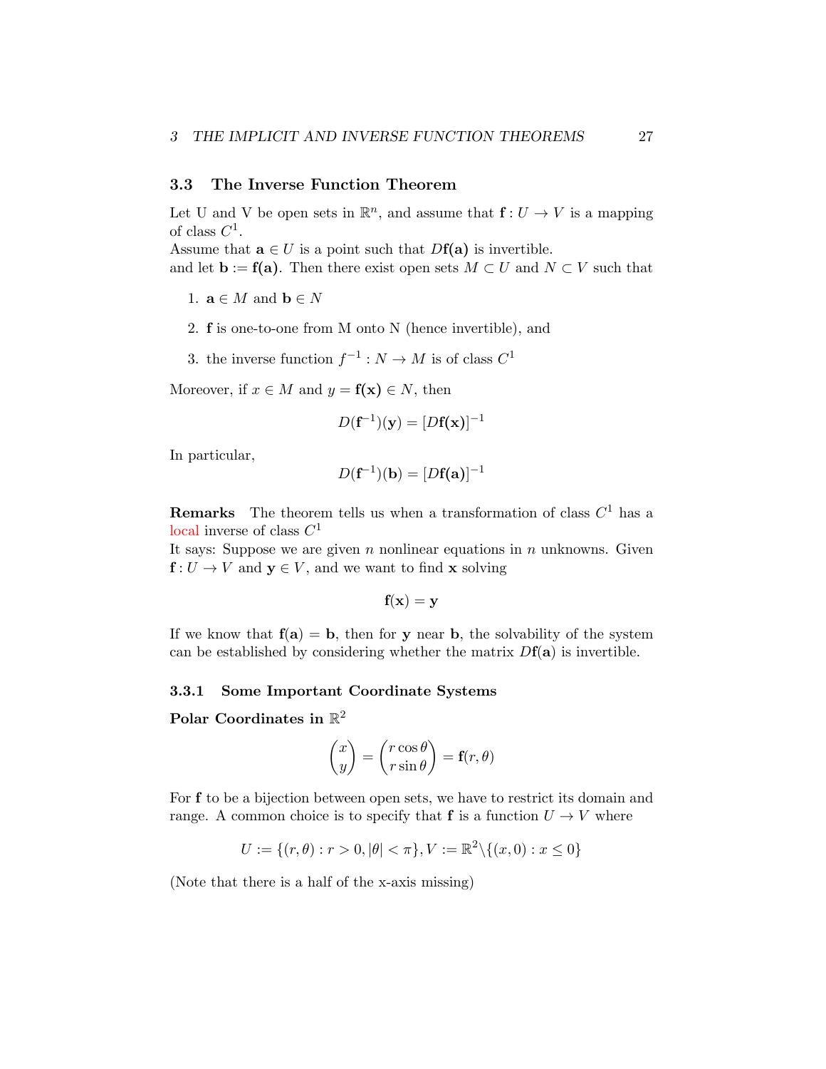## <span id="page-26-0"></span>3.3 The Inverse Function Theorem

Let U and V be open sets in  $\mathbb{R}^n$ , and assume that  $f: U \to V$  is a mapping of class *C*1.

Assume that  $\mathbf{a} \in U$  is a point such that  $Df(\mathbf{a})$  is invertible.

and let  $\mathbf{b} := \mathbf{f}(\mathbf{a})$ . Then there exist open sets  $M \subset U$  and  $N \subset V$  such that

- 1.  $\mathbf{a} \in M$  and  $\mathbf{b} \in N$
- 2. f is one-to-one from M onto N (hence invertible), and
- 3. the inverse function  $f^{-1}: N \to M$  is of class  $C^1$

Moreover, if  $x \in M$  and  $y = f(x) \in N$ , then

$$
D(\mathbf{f}^{-1})(\mathbf{y}) = [D\mathbf{f}(\mathbf{x})]^{-1}
$$

In particular,

$$
D(\mathbf{f}^{-1})(\mathbf{b}) = [D\mathbf{f}(\mathbf{a})]^{-1}
$$

**Remarks** The theorem tells us when a transformation of class  $C<sup>1</sup>$  has a local inverse of class *C*<sup>1</sup>

It says: Suppose we are given *n* nonlinear equations in *n* unknowns. Given  $f: U \to V$  and  $y \in V$ , and we want to find **x** solving

$$
\mathbf{f}(\mathbf{x}) = \mathbf{y}
$$

If we know that  $f(a) = b$ , then for y near b, the solvability of the system can be established by considering whether the matrix  $Df(\mathbf{a})$  is invertible.

#### <span id="page-26-1"></span>3.3.1 Some Important Coordinate Systems

Polar Coordinates in  $\mathbb{R}^2$ 

$$
\begin{pmatrix} x \\ y \end{pmatrix} = \begin{pmatrix} r\cos\theta \\ r\sin\theta \end{pmatrix} = \mathbf{f}(r,\theta)
$$

For f to be a bijection between open sets, we have to restrict its domain and range. A common choice is to specify that **f** is a function  $U \rightarrow V$  where

$$
U := \{(r, \theta) : r > 0, |\theta| < \pi\}, V := \mathbb{R}^2 \setminus \{(x, 0) : x \le 0\}
$$

(Note that there is a half of the x-axis missing)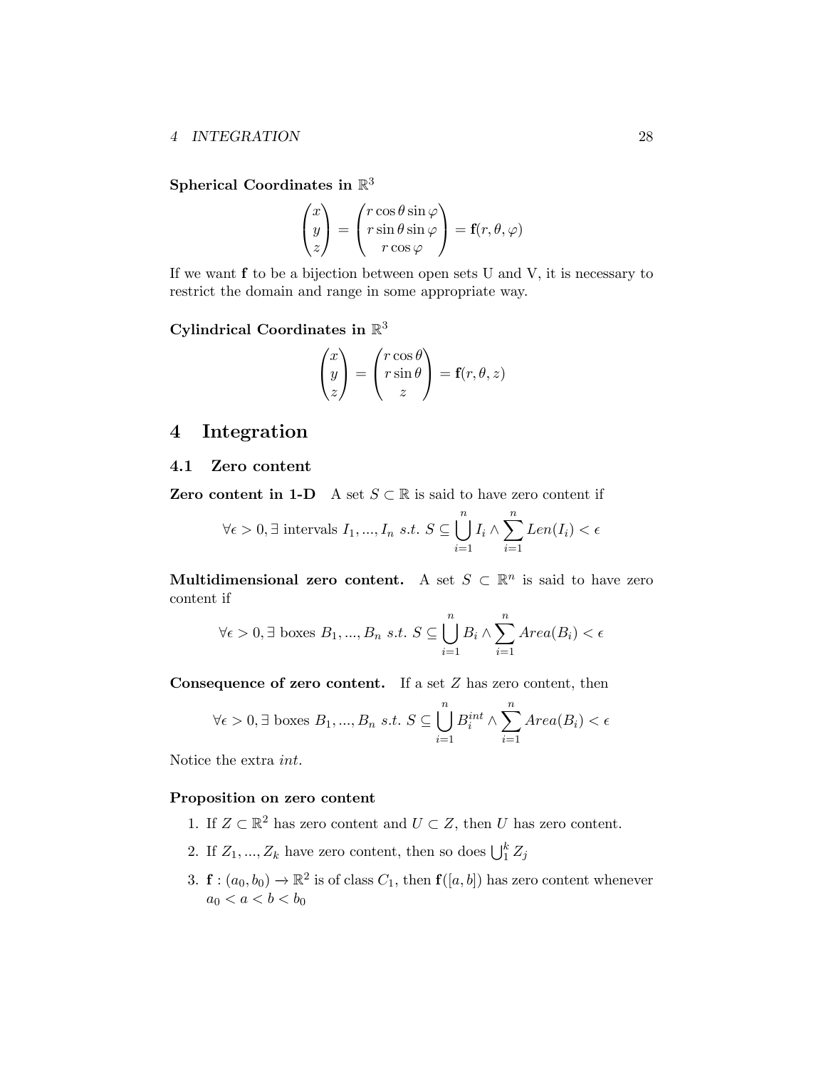Spherical Coordinates in  $\mathbb{R}^3$ 

$$
\begin{pmatrix} x \\ y \\ z \end{pmatrix} = \begin{pmatrix} r \cos \theta \sin \varphi \\ r \sin \theta \sin \varphi \\ r \cos \varphi \end{pmatrix} = \mathbf{f}(r, \theta, \varphi)
$$

If we want f to be a bijection between open sets U and V, it is necessary to restrict the domain and range in some appropriate way.

Cylindrical Coordinates in  $\mathbb{R}^3$ 

$$
\begin{pmatrix} x \\ y \\ z \end{pmatrix} = \begin{pmatrix} r\cos\theta \\ r\sin\theta \\ z \end{pmatrix} = \mathbf{f}(r,\theta,z)
$$

## <span id="page-27-0"></span>4 Integration

## <span id="page-27-1"></span>4.1 Zero content

**Zero content in 1-D** A set  $S \subset \mathbb{R}$  is said to have zero content if

$$
\forall \epsilon > 0, \exists \text{ intervals } I_1, ..., I_n \text{ s.t. } S \subseteq \bigcup_{i=1}^n I_i \wedge \sum_{i=1}^n Len(I_i) < \epsilon
$$

Multidimensional zero content. A set  $S \subset \mathbb{R}^n$  is said to have zero content if

$$
\forall \epsilon > 0, \exists
$$
 boxes  $B_1, ..., B_n$  s.t.  $S \subseteq \bigcup_{i=1}^n B_i \wedge \sum_{i=1}^n Area(B_i) < \epsilon$ 

Consequence of zero content. If a set *Z* has zero content, then

$$
\forall \epsilon > 0, \exists
$$
 boxes  $B_1, ..., B_n$  s.t.  $S \subseteq \bigcup_{i=1}^n B_i^{int} \wedge \sum_{i=1}^n Area(B_i) < \epsilon$ 

Notice the extra *int*.

## Proposition on zero content

- 1. If  $Z \subset \mathbb{R}^2$  has zero content and  $U \subset Z$ , then *U* has zero content.
- 2. If  $Z_1, ..., Z_k$  have zero content, then so does  $\bigcup_1^k Z_j$
- 3.  $f: (a_0, b_0) \to \mathbb{R}^2$  is of class  $C_1$ , then  $f([a, b])$  has zero content whenever  $a_0 < a < b < b_0$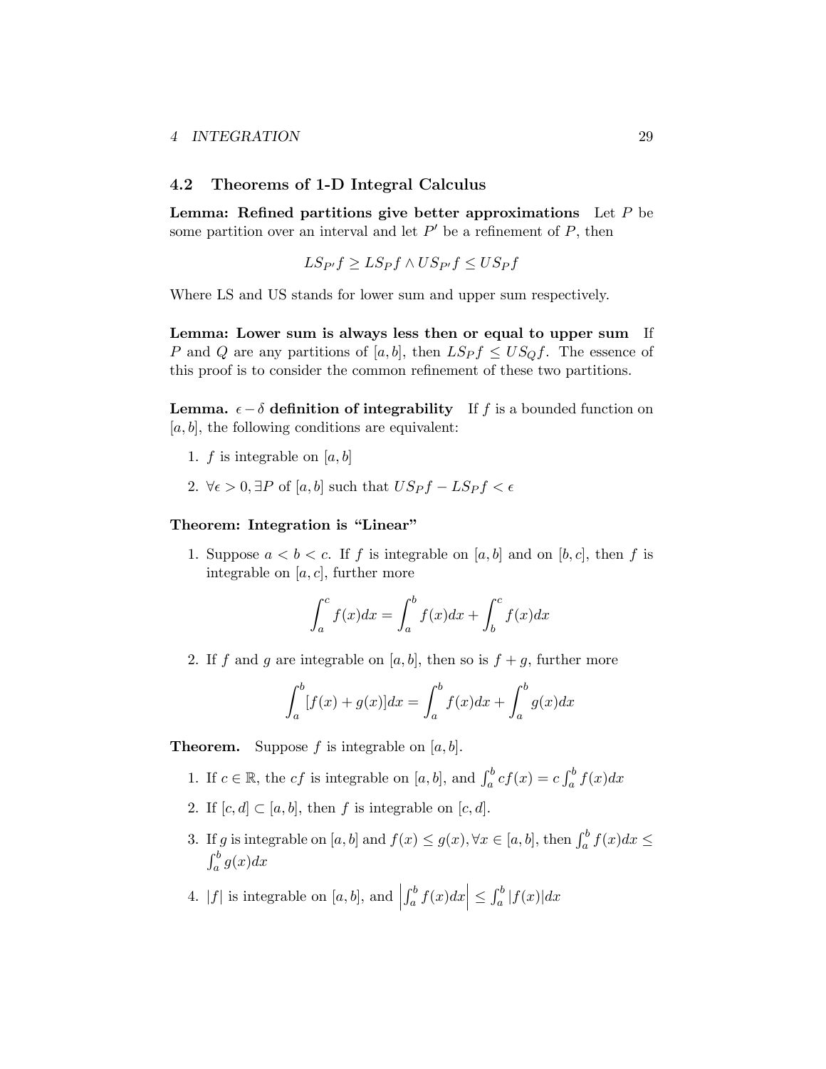#### <span id="page-28-0"></span>4.2 Theorems of 1-D Integral Calculus

Lemma: Refined partitions give better approximations Let *P* be some partition over an interval and let  $P'$  be a refinement of  $P$ , then

$$
LS_{P'}f \geq LS_{P}f \land US_{P'}f \leq US_{P}f
$$

Where LS and US stands for lower sum and upper sum respectively.

Lemma: Lower sum is always less then or equal to upper sum If *P* and *Q* are any partitions of [*a, b*], then  $LSpf \leq US_Qf$ . The essence of this proof is to consider the common refinement of these two partitions.

**Lemma.**  $\epsilon - \delta$  definition of integrability If f is a bounded function on [*a, b*], the following conditions are equivalent:

- 1.  $f$  is integrable on  $[a, b]$
- 2.  $\forall \epsilon > 0, \exists P \text{ of } [a, b] \text{ such that } US_Pf LSpf < \epsilon$

#### Theorem: Integration is "Linear"

1. Suppose  $a < b < c$ . If  $f$  is integrable on [a, b] and on [b, c], then  $f$  is integrable on  $[a, c]$ , further more

$$
\int_{a}^{c} f(x)dx = \int_{a}^{b} f(x)dx + \int_{b}^{c} f(x)dx
$$

2. If *f* and *g* are integrable on [a, b], then so is  $f + g$ , further more

$$
\int_{a}^{b} [f(x) + g(x)]dx = \int_{a}^{b} f(x)dx + \int_{a}^{b} g(x)dx
$$

**Theorem.** Suppose  $f$  is integrable on  $[a, b]$ .

- 1. If  $c \in \mathbb{R}$ , the *cf* is integrable on [a, b], and  $\int_a^b cf(x) = c \int_a^b f(x) dx$
- 2. If  $[c, d] \subset [a, b]$ , then *f* is integrable on  $[c, d]$ .
- 3. If *g* is integrable on  $[a, b]$  and  $f(x) \le g(x)$ ,  $\forall x \in [a, b]$ , then  $\int_a^b f(x) dx \le$  $\int_a^b g(x)dx$
- 4. |*f*| is integrable on [a, b], and  $\left| \int_a^b f(x) dx \right| \leq \int_a^b |f(x)| dx$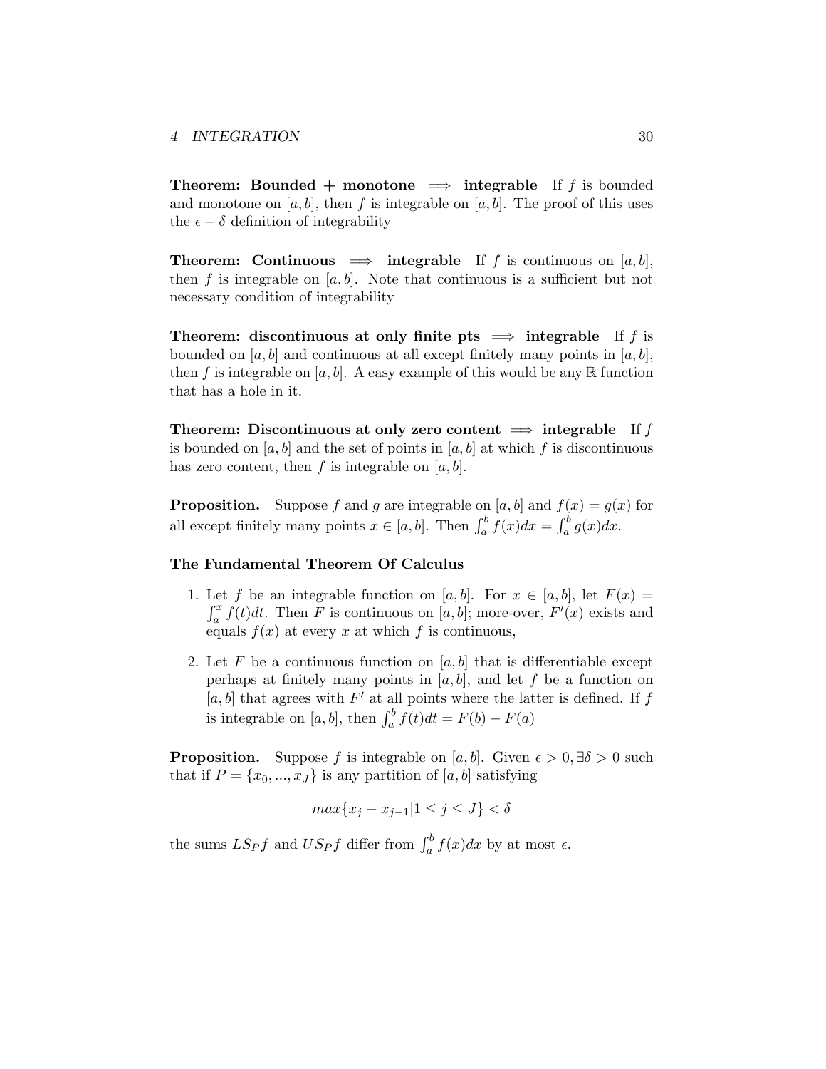**Theorem:** Bounded + monotone  $\implies$  integrable If f is bounded and monotone on  $[a, b]$ , then  $f$  is integrable on  $[a, b]$ . The proof of this uses the  $\epsilon - \delta$  definition of integrability

**Theorem:** Continuous  $\implies$  integrable If *f* is continuous on [*a, b*], then  $f$  is integrable on  $[a, b]$ . Note that continuous is a sufficient but not necessary condition of integrability

Theorem: discontinuous at only finite pts  $\implies$  integrable If *f* is bounded on  $[a, b]$  and continuous at all except finitely many points in  $[a, b]$ , then f is integrable on  $[a, b]$ . A easy example of this would be any  $\mathbb R$  function that has a hole in it.

Theorem: Discontinuous at only zero content  $\implies$  integrable If f is bounded on  $[a, b]$  and the set of points in  $[a, b]$  at which  $f$  is discontinuous has zero content, then  $f$  is integrable on  $[a, b]$ .

**Proposition.** Suppose *f* and *g* are integrable on [*a*, *b*] and  $f(x) = g(x)$  for all except finitely many points  $x \in [a, b]$ . Then  $\int_a^b f(x)dx = \int_a^b g(x)dx$ .

#### The Fundamental Theorem Of Calculus

- 1. Let f be an integrable function on [a, b]. For  $x \in [a, b]$ , let  $F(x) = \int_a^x f(t)dt$ . Then F is continuous on [a, b]; more-over,  $F'(x)$  exists and equals  $f(x)$  at every x at which f is continuous,
- 2. Let F be a continuous function on  $[a, b]$  that is differentiable except perhaps at finitely many points in  $[a, b]$ , and let  $f$  be a function on  $[a, b]$  that agrees with  $F'$  at all points where the latter is defined. If  $f$ is integrable on  $[a, b]$ , then  $\int_a^b f(t)dt = F(b) - F(a)$

**Proposition.** Suppose *f* is integrable on [*a, b*]. Given  $\epsilon > 0$ ,  $\exists \delta > 0$  such that if  $P = \{x_0, ..., x_J\}$  is any partition of [*a, b*] satisfying

$$
\max\{x_j - x_{j-1} | 1 \le j \le J\} < \delta
$$

the sums  $LS_{P}f$  and  $US_{P}f$  differ from  $\int_{a}^{b} f(x)dx$  by at most  $\epsilon$ .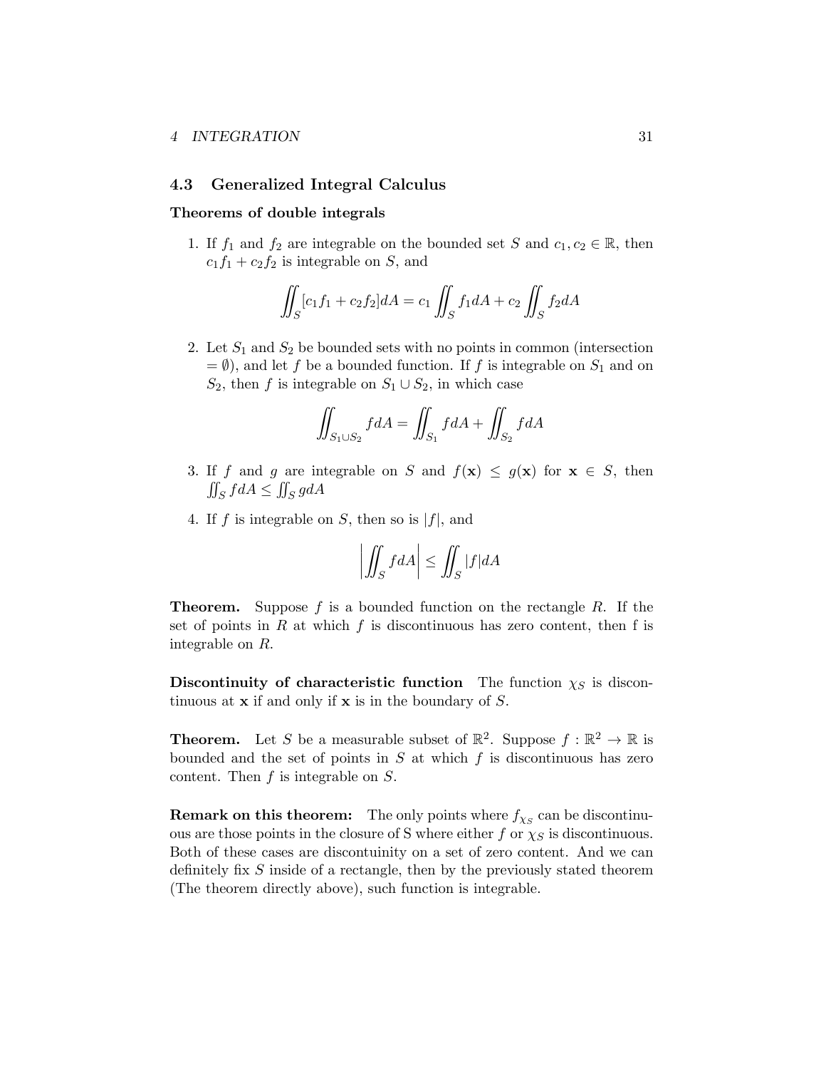#### <span id="page-30-0"></span>4.3 Generalized Integral Calculus

#### Theorems of double integrals

1. If  $f_1$  and  $f_2$  are integrable on the bounded set *S* and  $c_1, c_2 \in \mathbb{R}$ , then  $c_1 f_1 + c_2 f_2$  is integrable on *S*, and

$$
\iint_{S} [c_1 f_1 + c_2 f_2] dA = c_1 \iint_{S} f_1 dA + c_2 \iint_{S} f_2 dA
$$

2. Let *S*<sup>1</sup> and *S*<sup>2</sup> be bounded sets with no points in common (intersection  $= \emptyset$ , and let *f* be a bounded function. If *f* is integrable on  $S_1$  and on *S*<sub>2</sub>, then *f* is integrable on  $S_1 \cup S_2$ , in which case

$$
\iint_{S_1 \cup S_2} f dA = \iint_{S_1} f dA + \iint_{S_2} f dA
$$

- 3. If *f* and *g* are integrable on *S* and  $f(\mathbf{x}) \leq g(\mathbf{x})$  for  $\mathbf{x} \in S$ , then  $\iint_S f dA \le \iint_S g dA$
- 4. If  $f$  is integrable on  $S$ , then so is  $|f|$ , and

$$
\left| \iint_S f dA \right| \le \iint_S |f| dA
$$

Theorem. Suppose *f* is a bounded function on the rectangle *R*. If the set of points in *R* at which *f* is discontinuous has zero content, then f is integrable on *R*.

Discontinuity of characteristic function The function  $\chi_S$  is discontinuous at x if and only if x is in the boundary of *S*.

**Theorem.** Let *S* be a measurable subset of  $\mathbb{R}^2$ . Suppose  $f : \mathbb{R}^2 \to \mathbb{R}$  is bounded and the set of points in *S* at which *f* is discontinuous has zero content. Then *f* is integrable on *S*.

**Remark on this theorem:** The only points where  $f_{\chi_S}$  can be discontinuous are those points in the closure of S where either  $f$  or  $\chi_S$  is discontinuous. Both of these cases are discontuinity on a set of zero content. And we can definitely fix *S* inside of a rectangle, then by the previously stated theorem (The theorem directly above), such function is integrable.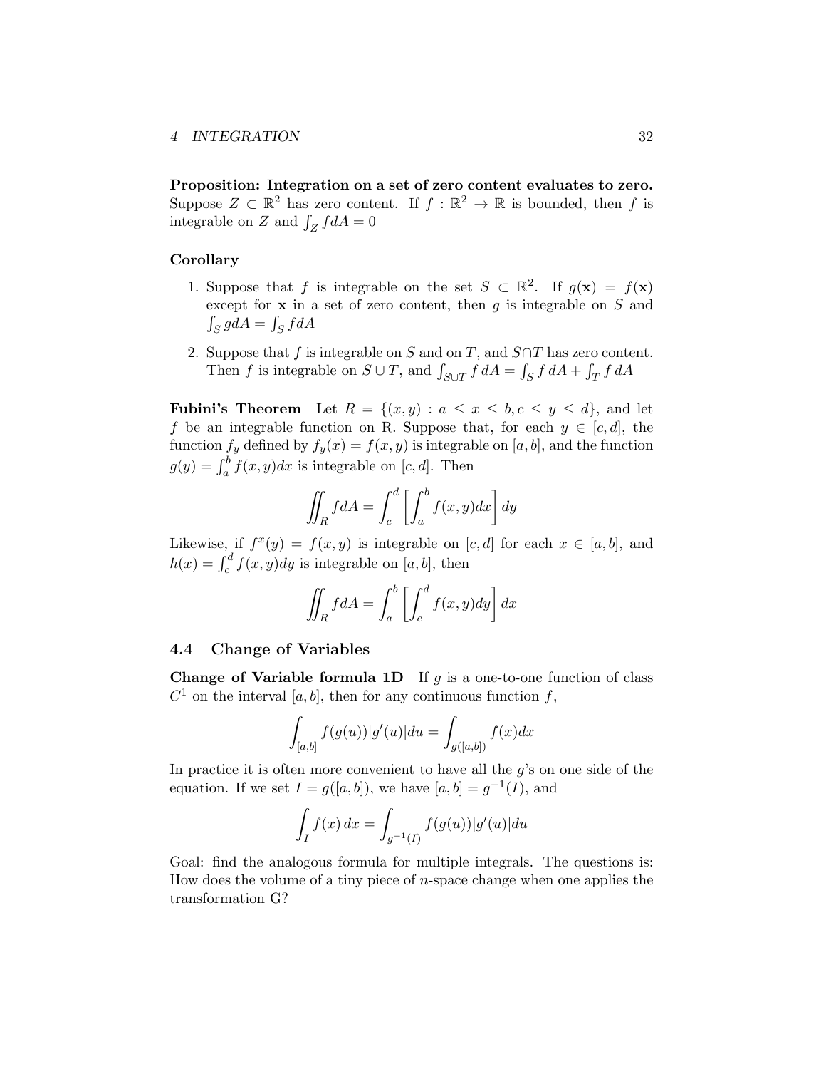Proposition: Integration on a set of zero content evaluates to zero. Suppose  $Z \subset \mathbb{R}^2$  has zero content. If  $f : \mathbb{R}^2 \to \mathbb{R}$  is bounded, then f is integrable on *Z* and  $\int_Z f dA = 0$ 

#### Corollary

- 1. Suppose that *f* is integrable on the set  $S \subset \mathbb{R}^2$ . If  $g(\mathbf{x}) = f(\mathbf{x})$ except for x in a set of zero content, then *g* is integrable on *S* and  $\int_S g dA = \int_S f dA$
- 2. Suppose that  $f$  is integrable on  $S$  and on  $T$ , and  $S \cap T$  has zero content. Then *f* is integrable on  $S \cup T$ , and  $\int_{S \cup T} f dA = \int_S f dA + \int_T f dA$

**Fubini's Theorem** Let  $R = \{(x, y) : a \leq x \leq b, c \leq y \leq d\}$ , and let *f* be an integrable function on R. Suppose that, for each  $y \in [c, d]$ , the function  $f_y$  defined by  $f_y(x) = f(x, y)$  is integrable on [*a, b*], and the function  $g(y) = \int_a^b f(x, y) dx$  is integrable on [*c, d*]. Then

$$
\iint_R f dA = \int_c^d \left[ \int_a^b f(x, y) dx \right] dy
$$

Likewise, if  $f^x(y) = f(x, y)$  is integrable on  $[c, d]$  for each  $x \in [a, b]$ , and  $h(x) = \int_c^d f(x, y) dy$  is integrable on [*a, b*], then

$$
\iint_R f dA = \int_a^b \left[ \int_c^d f(x, y) dy \right] dx
$$

#### <span id="page-31-0"></span>4.4 Change of Variables

**Change of Variable formula 1D** If  $q$  is a one-to-one function of class  $C^1$  on the interval [*a, b*], then for any continuous function *f*,

$$
\int_{[a,b]} f(g(u))|g'(u)| du = \int_{g([a,b])} f(x) dx
$$

In practice it is often more convenient to have all the *g*'s on one side of the equation. If we set  $I = g([a, b])$ , we have  $[a, b] = g^{-1}(I)$ , and

$$
\int_I f(x) \, dx = \int_{g^{-1}(I)} f(g(u)) |g'(u)| \, du
$$

Goal: find the analogous formula for multiple integrals. The questions is: How does the volume of a tiny piece of *n*-space change when one applies the transformation G?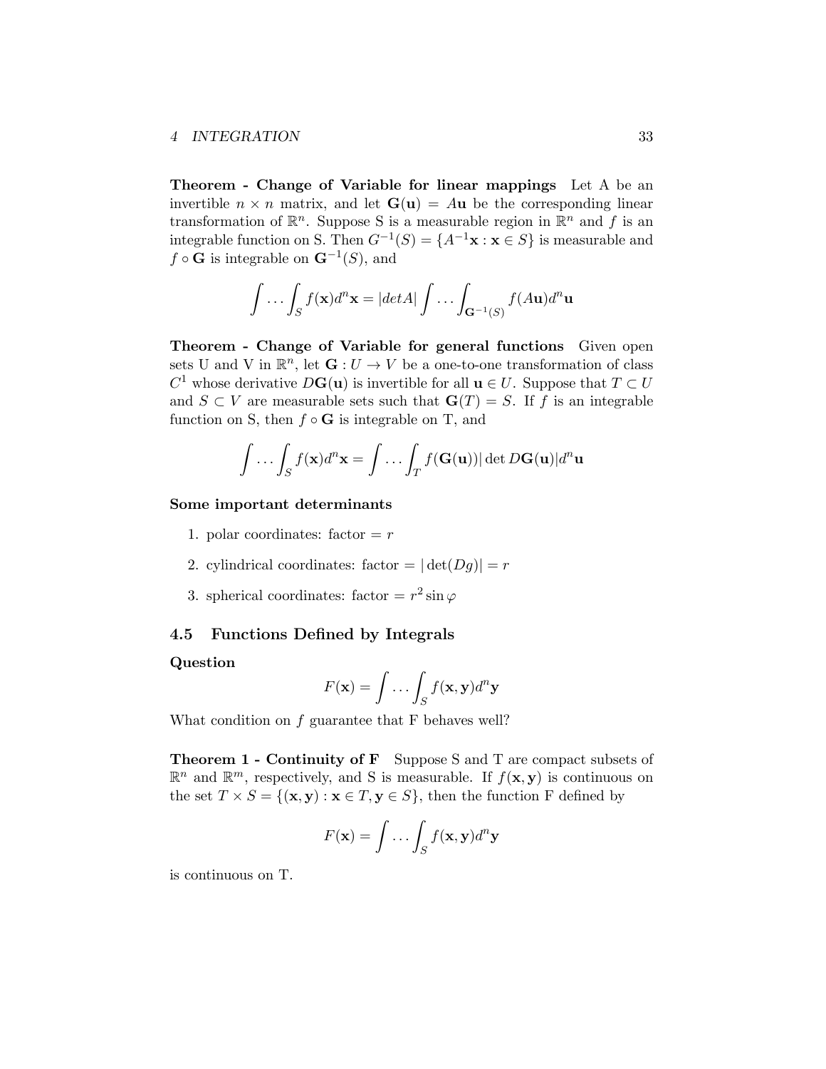Theorem - Change of Variable for linear mappings Let A be an invertible  $n \times n$  matrix, and let  $\mathbf{G}(\mathbf{u}) = A\mathbf{u}$  be the corresponding linear transformation of  $\mathbb{R}^n$ . Suppose S is a measurable region in  $\mathbb{R}^n$  and f is an integrable function on S. Then  $G^{-1}(S) = \{A^{-1}x : x \in S\}$  is measurable and  $f \circ \mathbf{G}$  is integrable on  $\mathbf{G}^{-1}(S)$ , and

$$
\int \dots \int_S f(\mathbf{x}) d^n \mathbf{x} = |det A| \int \dots \int_{\mathbf{G}^{-1}(S)} f(A\mathbf{u}) d^n \mathbf{u}
$$

Theorem - Change of Variable for general functions Given open sets U and V in  $\mathbb{R}^n$ , let  $\mathbf{G}: U \to V$  be a one-to-one transformation of class *C*<sup>1</sup> whose derivative  $D\mathbf{G}(\mathbf{u})$  is invertible for all  $\mathbf{u} \in U$ . Suppose that  $T \subset U$ and  $S \subset V$  are measurable sets such that  $\mathbf{G}(T) = S$ . If *f* is an integrable function on S, then  $f \circ G$  is integrable on T, and

$$
\int \ldots \int_S f(\mathbf{x}) d^n \mathbf{x} = \int \ldots \int_T f(\mathbf{G}(\mathbf{u})) |\det D\mathbf{G}(\mathbf{u})| d^n \mathbf{u}
$$

#### Some important determinants

- 1. polar coordinates:  $factor = r$
- 2. cylindrical coordinates: factor =  $|\det(Dg)| = r$
- 3. spherical coordinates: factor  $= r^2 \sin \varphi$

#### <span id="page-32-0"></span>4.5 Functions Defined by Integrals

#### Question

$$
F(\mathbf{x}) = \int \dots \int_S f(\mathbf{x}, \mathbf{y}) d^n \mathbf{y}
$$

What condition on *f* guarantee that F behaves well?

Theorem 1 - Continuity of F Suppose S and T are compact subsets of  $\mathbb{R}^n$  and  $\mathbb{R}^m$ , respectively, and S is measurable. If  $f(\mathbf{x}, \mathbf{y})$  is continuous on the set  $T \times S = \{(\mathbf{x}, \mathbf{y}) : \mathbf{x} \in T, \mathbf{y} \in S\}$ , then the function F defined by

$$
F(\mathbf{x}) = \int \dots \int_S f(\mathbf{x}, \mathbf{y}) d^n \mathbf{y}
$$

is continuous on T.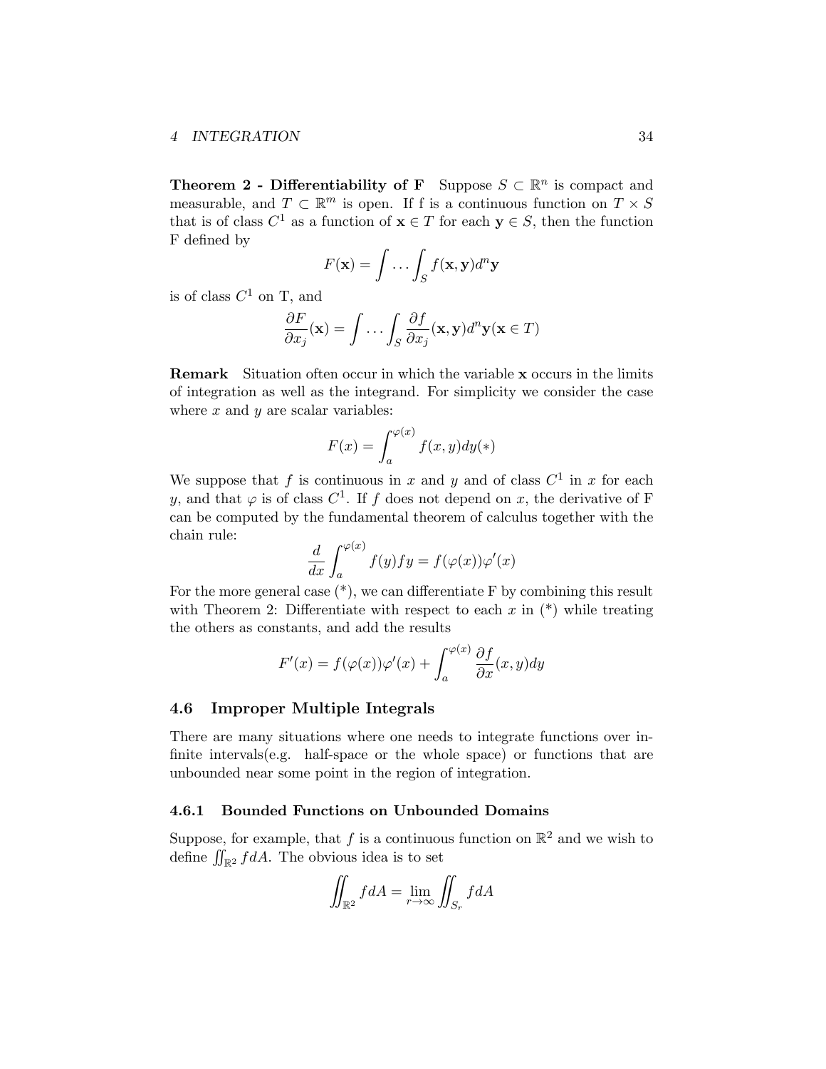**Theorem 2 - Differentiability of F** Suppose  $S \subset \mathbb{R}^n$  is compact and measurable, and  $T \subset \mathbb{R}^m$  is open. If f is a continuous function on  $T \times S$ that is of class  $C^1$  as a function of  $\mathbf{x} \in T$  for each  $\mathbf{y} \in S$ , then the function F defined by

$$
F(\mathbf{x}) = \int \dots \int_S f(\mathbf{x}, \mathbf{y}) d^n \mathbf{y}
$$

is of class  $C^1$  on T, and

$$
\frac{\partial F}{\partial x_j}(\mathbf{x}) = \int \dots \int_S \frac{\partial f}{\partial x_j}(\mathbf{x}, \mathbf{y}) d^n \mathbf{y}(\mathbf{x} \in T)
$$

Remark Situation often occur in which the variable x occurs in the limits of integration as well as the integrand. For simplicity we consider the case where *x* and *y* are scalar variables:

$$
F(x) = \int_{a}^{\varphi(x)} f(x, y) dy(*)
$$

We suppose that f is continuous in x and y and of class  $C^1$  in x for each *y*, and that  $\varphi$  is of class  $C^1$ . If *f* does not depend on *x*, the derivative of F can be computed by the fundamental theorem of calculus together with the chain rule:

$$
\frac{d}{dx}\int_{a}^{\varphi(x)}f(y)fy = f(\varphi(x))\varphi'(x)
$$

For the more general case  $(*)$ , we can differentiate F by combining this result with Theorem 2: Differentiate with respect to each  $x$  in  $(*)$  while treating the others as constants, and add the results

$$
F'(x) = f(\varphi(x))\varphi'(x) + \int_a^{\varphi(x)} \frac{\partial f}{\partial x}(x, y) dy
$$

#### <span id="page-33-0"></span>4.6 Improper Multiple Integrals

There are many situations where one needs to integrate functions over infinite intervals(e.g. half-space or the whole space) or functions that are unbounded near some point in the region of integration.

#### <span id="page-33-1"></span>4.6.1 Bounded Functions on Unbounded Domains

Suppose, for example, that *f* is a continuous function on  $\mathbb{R}^2$  and we wish to define  $\iint_{\mathbb{R}^2} f dA$ . The obvious idea is to set

$$
\iint_{\mathbb{R}^2} f dA = \lim_{r \to \infty} \iint_{S_r} f dA
$$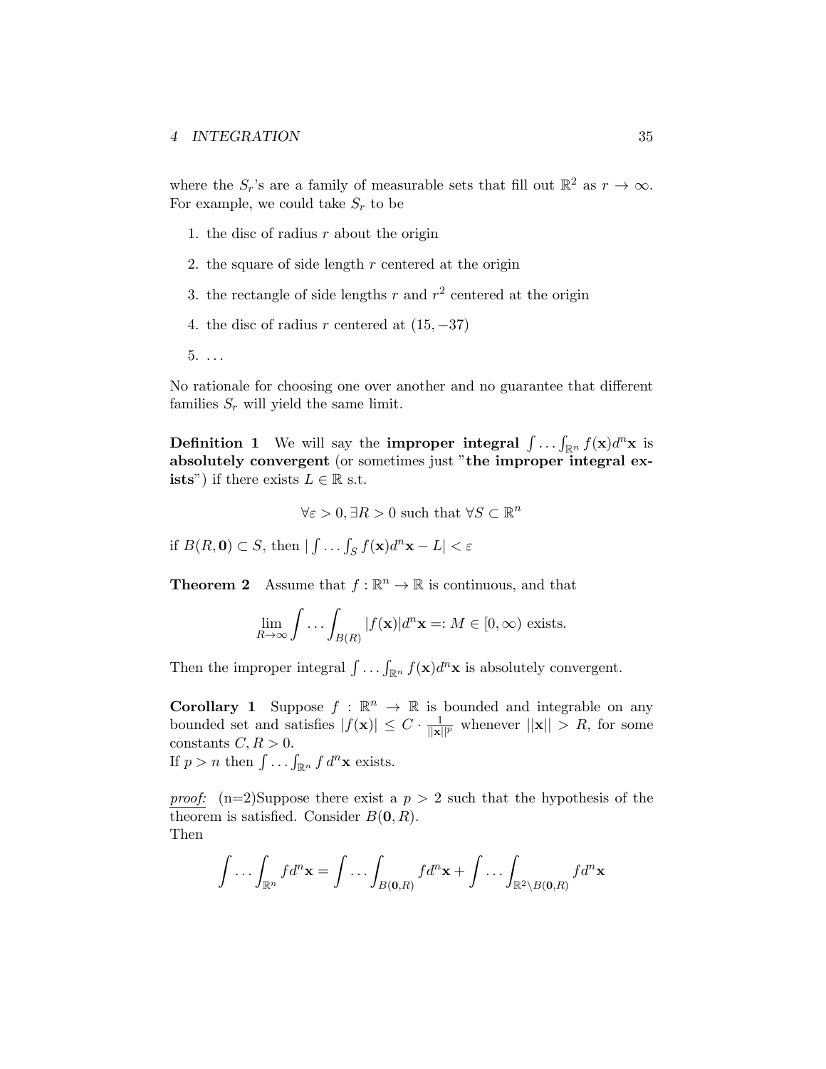where the  $S_r$ 's are a family of measurable sets that fill out  $\mathbb{R}^2$  as  $r \to \infty$ . For example, we could take  $S_r$  to be

- 1. the disc of radius *r* about the origin
- 2. the square of side length *r* centered at the origin
- 3. the rectangle of side lengths  $r$  and  $r^2$  centered at the origin
- 4. the disc of radius  $r$  centered at  $(15, -37)$
- 5. *. . .*

No rationale for choosing one over another and no guarantee that different families  $S_r$  will yield the same limit.

**Definition 1** We will say the **improper integral**  $\int \ldots \int_{\mathbb{R}^n} f(\mathbf{x}) d^n \mathbf{x}$  is absolutely convergent (or sometimes just "the improper integral ex**ists**") if there exists  $L \in \mathbb{R}$  s.t.

 $\forall \varepsilon > 0, \exists R > 0$  such that  $\forall S \subset \mathbb{R}^n$ 

if  $B(R, 0) \subset S$ , then  $| \int \dots \int_S f(\mathbf{x}) d^n \mathbf{x} - L | < \varepsilon$ 

**Theorem 2** Assume that  $f : \mathbb{R}^n \to \mathbb{R}$  is continuous, and that

$$
\lim_{R \to \infty} \int \dots \int_{B(R)} |f(\mathbf{x})| d^n \mathbf{x} =: M \in [0, \infty) \text{ exists.}
$$

Then the improper integral  $\int \ldots \int_{\mathbb{R}^n} f(\mathbf{x}) d^n \mathbf{x}$  is absolutely convergent.

**Corollary 1** Suppose  $f : \mathbb{R}^n \to \mathbb{R}$  is bounded and integrable on any bounded set and satisfies  $|f(\mathbf{x})| \leq C \cdot \frac{1}{\|\mathbf{x}\|^p}$  whenever  $||\mathbf{x}|| > R$ , for some constants  $C, R > 0$ . If  $p > n$  then  $\int \ldots \int_{\mathbb{R}^n} f \, d^n \mathbf{x}$  exists.

*proof:*  $(n=2)$ Suppose there exist a  $p > 2$  such that the hypothesis of the theorem is satisfied. Consider  $B(0, R)$ . Then

$$
\int \ldots \int_{\mathbb{R}^n} f d^n \mathbf{x} = \int \ldots \int_{B(\mathbf{0},R)} f d^n \mathbf{x} + \int \ldots \int_{\mathbb{R}^2 \setminus B(\mathbf{0},R)} f d^n \mathbf{x}
$$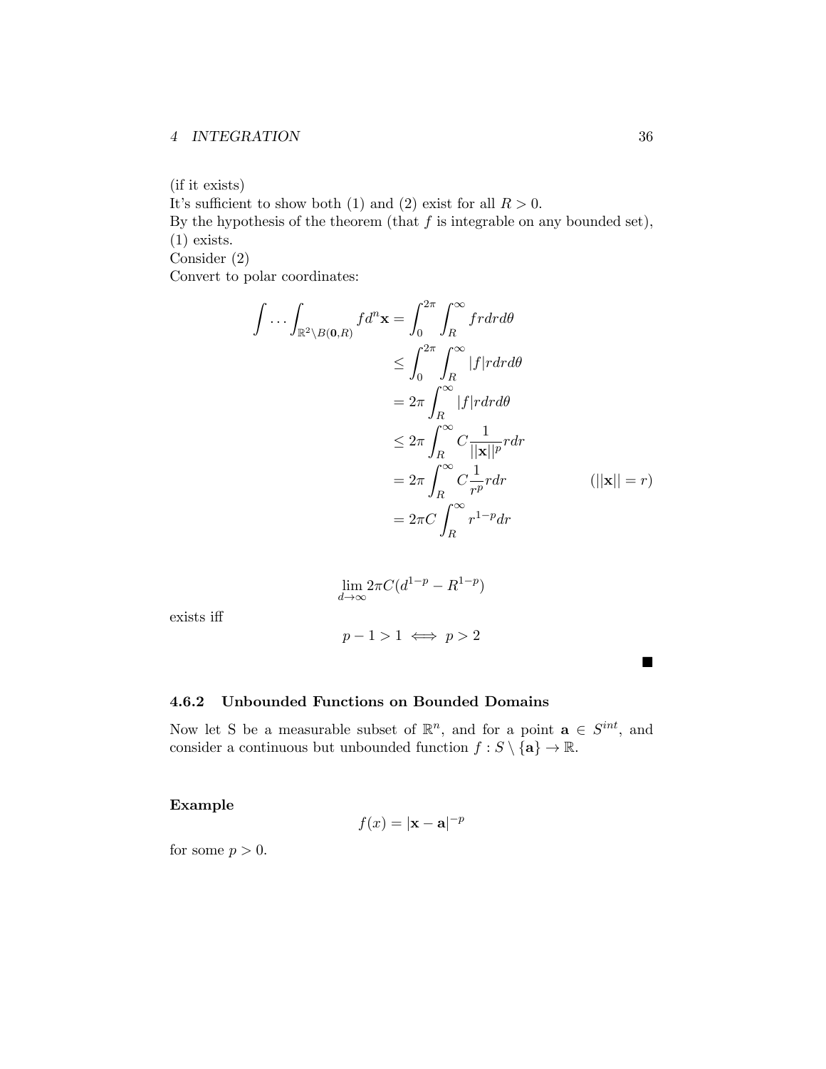### *4 INTEGRATION* 36

(if it exists)

It's sufficient to show both (1) and (2) exist for all  $R > 0$ .

By the hypothesis of the theorem (that *f* is integrable on any bounded set), (1) exists.

Consider (2)

Convert to polar coordinates:

$$
\int \cdots \int_{\mathbb{R}^2 \setminus B(0,R)} f d^n \mathbf{x} = \int_0^{2\pi} \int_R^{\infty} f r dr d\theta
$$
  
\n
$$
\leq \int_0^{2\pi} \int_R^{\infty} |f| r dr d\theta
$$
  
\n
$$
= 2\pi \int_R^{\infty} |f| r dr d\theta
$$
  
\n
$$
\leq 2\pi \int_R^{\infty} C \frac{1}{||\mathbf{x}||^p} r dr
$$
  
\n
$$
= 2\pi \int_R^{\infty} C \frac{1}{r^p} r dr \qquad (||\mathbf{x}|| = r)
$$
  
\n
$$
= 2\pi C \int_R^{\infty} r^{1-p} dr
$$

$$
\lim_{d \to \infty} 2\pi C (d^{1-p} - R^{1-p})
$$

exists iff

$$
p-1>1 \iff p>2
$$

<span id="page-35-0"></span>4.6.2 Unbounded Functions on Bounded Domains

Now let S be a measurable subset of  $\mathbb{R}^n$ , and for a point  $\mathbf{a} \in S^{int}$ , and consider a continuous but unbounded function  $f : S \setminus \{a\} \to \mathbb{R}$ .

Example

$$
f(x) = |\mathbf{x} - \mathbf{a}|^{-p}
$$

for some  $p > 0$ .

 $\blacksquare$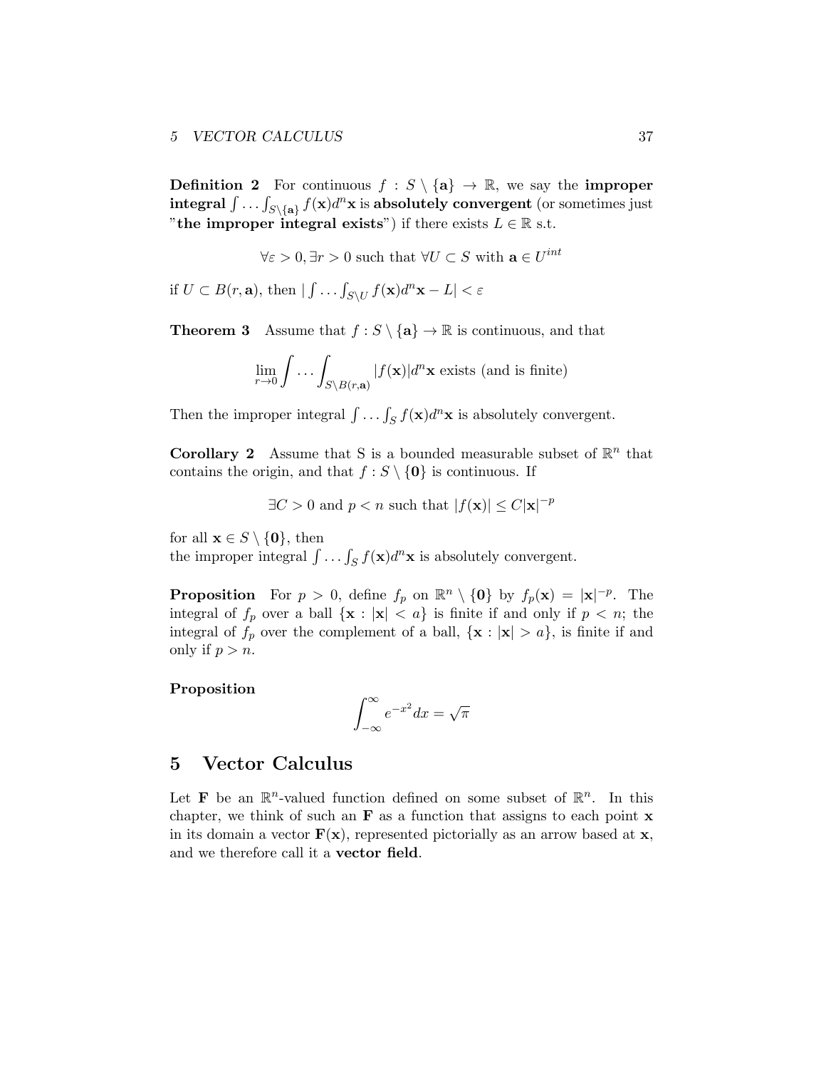**Definition 2** For continuous  $f : S \setminus \{a\} \to \mathbb{R}$ , we say the **improper**  $\int \ldots \int_{S \setminus \{a\}} f(x) d^n x$  is absolutely convergent (or sometimes just "the improper integral exists") if there exists  $L \in \mathbb{R}$  s.t.

 $\forall \varepsilon > 0, \exists r > 0$  such that  $\forall U \subset S$  with  $\mathbf{a} \in U^{int}$ 

if  $U \subset B(r, \mathbf{a})$ , then  $| \int \ldots \int_{S \setminus U} f(\mathbf{x}) d^n \mathbf{x} - L | < \varepsilon$ 

**Theorem 3** Assume that  $f : S \setminus \{a\} \to \mathbb{R}$  is continuous, and that

$$
\lim_{r \to 0} \int \dots \int_{S \setminus B(r, \mathbf{a})} |f(\mathbf{x})| d^n \mathbf{x} \text{ exists (and is finite)}
$$

Then the improper integral  $\int \ldots \int_S f(\mathbf{x}) d^n \mathbf{x}$  is absolutely convergent.

**Corollary 2** Assume that S is a bounded measurable subset of  $\mathbb{R}^n$  that contains the origin, and that  $f : S \setminus \{0\}$  is continuous. If

 $\exists C > 0$  and  $p < n$  such that  $|f(\mathbf{x})| \leq C |\mathbf{x}|^{-p}$ 

for all  $\mathbf{x} \in S \setminus \{0\}$ , then

the improper integral  $\int \ldots \int_S f(\mathbf{x}) d^n \mathbf{x}$  is absolutely convergent.

**Proposition** For  $p > 0$ , define  $f_p$  on  $\mathbb{R}^n \setminus \{0\}$  by  $f_p(\mathbf{x}) = |\mathbf{x}|^{-p}$ . The integral of  $f_p$  over a ball  $\{x : |x| < a\}$  is finite if and only if  $p < n$ ; the integral of  $f_p$  over the complement of a ball,  $\{x : |x| > a\}$ , is finite if and only if  $p > n$ .

## Proposition

$$
\int_{-\infty}^{\infty} e^{-x^2} dx = \sqrt{\pi}
$$

## <span id="page-36-0"></span>5 Vector Calculus

Let **F** be an  $\mathbb{R}^n$ -valued function defined on some subset of  $\mathbb{R}^n$ . In this chapter, we think of such an  $\bf{F}$  as a function that assigns to each point  $\bf{x}$ in its domain a vector  $\mathbf{F}(\mathbf{x})$ , represented pictorially as an arrow based at  $\mathbf{x}$ , and we therefore call it a vector field.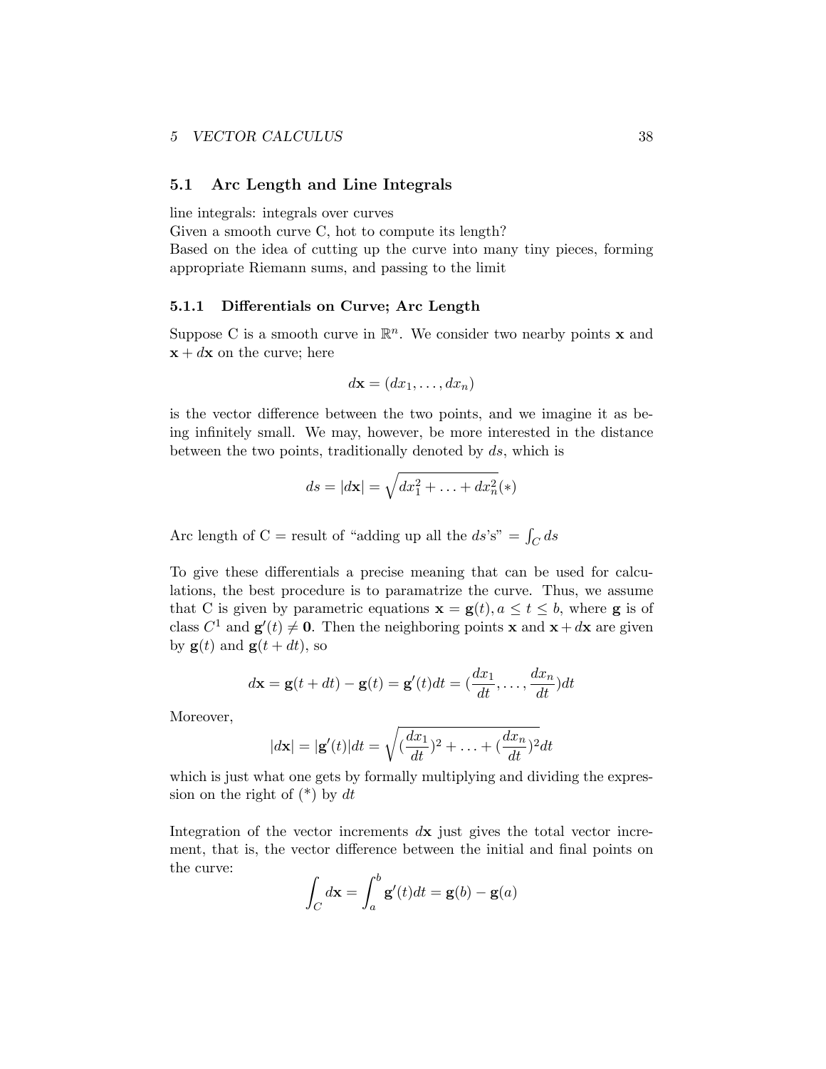#### <span id="page-37-0"></span>5.1 Arc Length and Line Integrals

line integrals: integrals over curves

Given a smooth curve C, hot to compute its length?

Based on the idea of cutting up the curve into many tiny pieces, forming appropriate Riemann sums, and passing to the limit

#### <span id="page-37-1"></span>5.1.1 Differentials on Curve; Arc Length

Suppose C is a smooth curve in  $\mathbb{R}^n$ . We consider two nearby points **x** and  $x + dx$  on the curve; here

$$
d\mathbf{x} = (dx_1, \dots, dx_n)
$$

is the vector difference between the two points, and we imagine it as being infinitely small. We may, however, be more interested in the distance between the two points, traditionally denoted by *ds*, which is

$$
ds = |d\mathbf{x}| = \sqrt{dx_1^2 + \ldots + dx_n^2} (*)
$$

Arc length of  $C =$  result of "adding up all the  $ds's'' = \int_C ds$ 

To give these differentials a precise meaning that can be used for calculations, the best procedure is to paramatrize the curve. Thus, we assume that C is given by parametric equations  $\mathbf{x} = \mathbf{g}(t)$ ,  $a \le t \le b$ , where **g** is of class  $C^1$  and  $\mathbf{g}'(t) \neq \mathbf{0}$ . Then the neighboring points **x** and **x** + *d***x** are given by  $\mathbf{g}(t)$  and  $\mathbf{g}(t+dt)$ , so

$$
d\mathbf{x} = \mathbf{g}(t + dt) - \mathbf{g}(t) = \mathbf{g}'(t)dt = (\frac{dx_1}{dt}, \dots, \frac{dx_n}{dt})dt
$$

Moreover,

$$
|d\mathbf{x}| = |\mathbf{g}'(t)|dt = \sqrt{(\frac{dx_1}{dt})^2 + \ldots + (\frac{dx_n}{dt})^2}dt
$$

which is just what one gets by formally multiplying and dividing the expression on the right of (\*) by *dt*

Integration of the vector increments *d*x just gives the total vector increment, that is, the vector difference between the initial and final points on the curve:

$$
\int_C d\mathbf{x} = \int_a^b \mathbf{g}'(t)dt = \mathbf{g}(b) - \mathbf{g}(a)
$$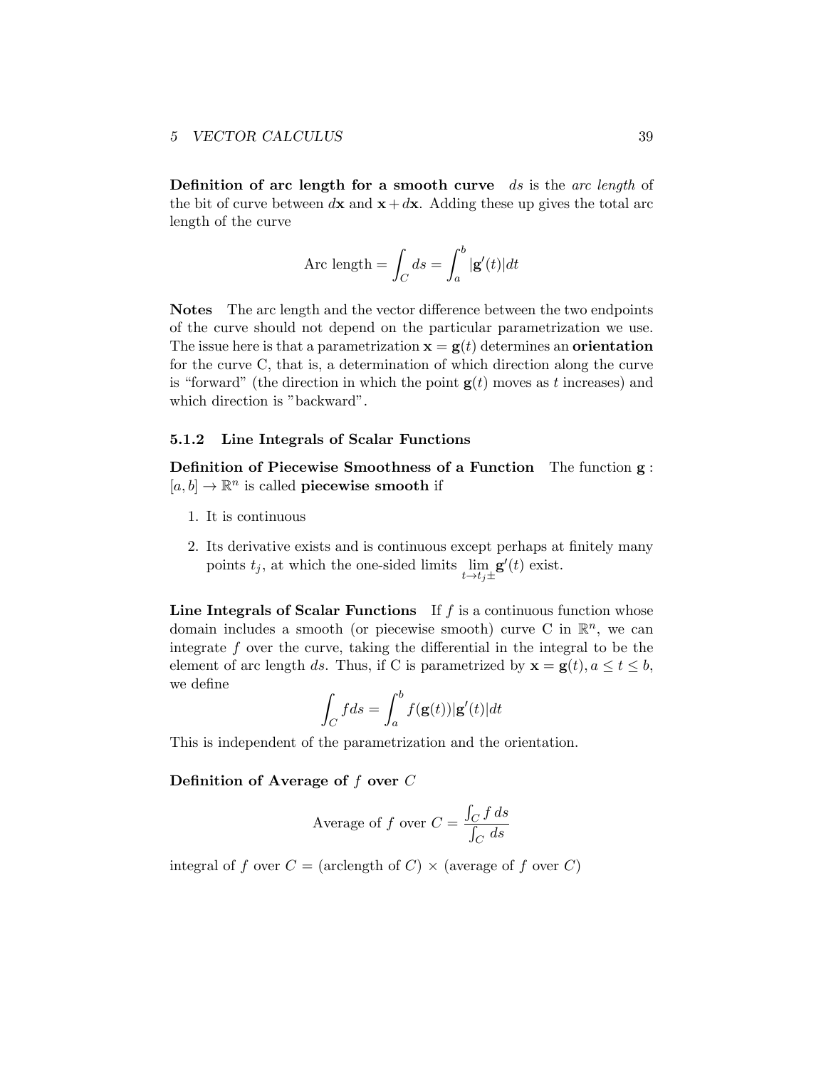Definition of arc length for a smooth curve *ds* is the *arc length* of the bit of curve between  $d\mathbf{x}$  and  $\mathbf{x} + d\mathbf{x}$ . Adding these up gives the total arc length of the curve

Arc length = 
$$
\int_C ds = \int_a^b |\mathbf{g}'(t)| dt
$$

Notes The arc length and the vector difference between the two endpoints of the curve should not depend on the particular parametrization we use. The issue here is that a parametrization  $\mathbf{x} = \mathbf{g}(t)$  determines an **orientation** for the curve C, that is, a determination of which direction along the curve is "forward" (the direction in which the point  $g(t)$  moves as t increases) and which direction is "backward".

#### <span id="page-38-0"></span>5.1.2 Line Integrals of Scalar Functions

Definition of Piecewise Smoothness of a Function The function g :  $[a, b] \to \mathbb{R}^n$  is called **piecewise smooth** if

- 1. It is continuous
- 2. Its derivative exists and is continuous except perhaps at finitely many points  $t_j$ , at which the one-sided limits  $\lim_{t \to t_j \pm}$  $\mathbf{g}'(t)$  exist.

Line Integrals of Scalar Functions If *f* is a continuous function whose domain includes a smooth (or piecewise smooth) curve C in  $\mathbb{R}^n$ , we can integrate *f* over the curve, taking the differential in the integral to be the element of arc length *ds*. Thus, if C is parametrized by  $\mathbf{x} = \mathbf{g}(t), a \le t \le b$ , we define

$$
\int_C f ds = \int_a^b f(\mathbf{g}(t)) |\mathbf{g}'(t)| dt
$$

This is independent of the parametrization and the orientation.

#### Definition of Average of *f* over *C*

Average of *f* over 
$$
C = \frac{\int_C f ds}{\int_C ds}
$$

integral of *f* over  $C = (\text{arclength of } C) \times (\text{average of } f \text{ over } C)$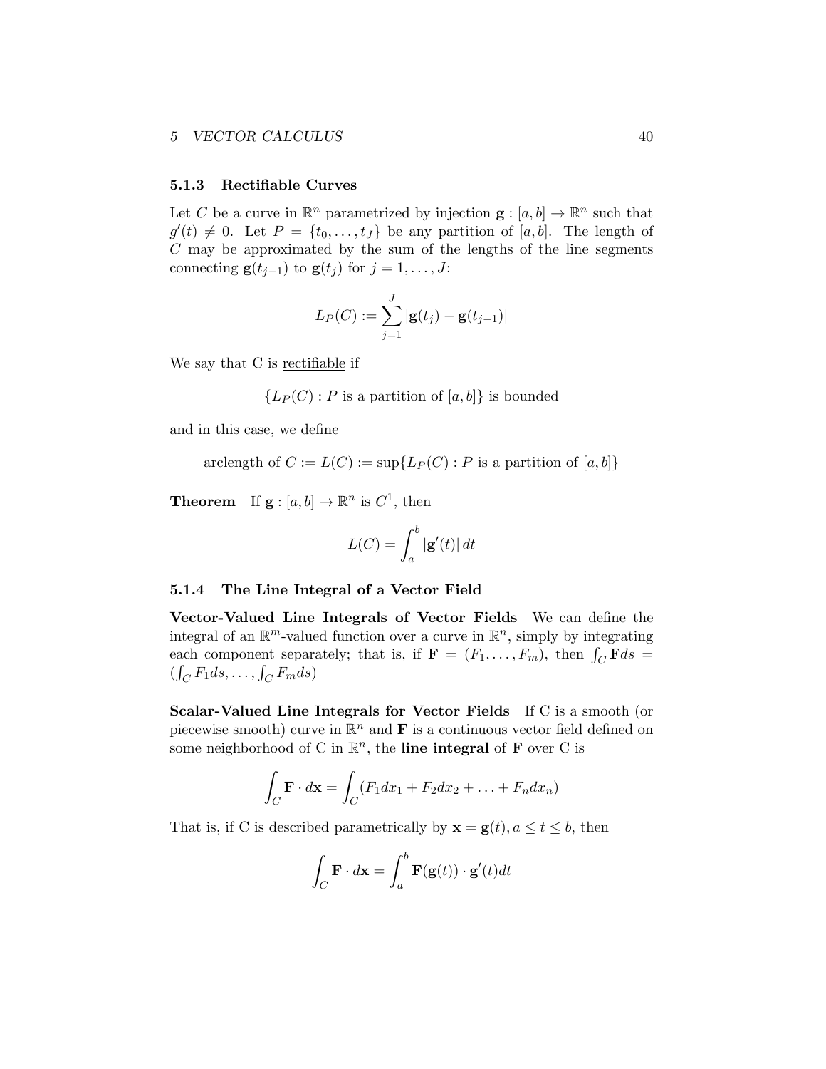#### <span id="page-39-0"></span>5.1.3 Rectifiable Curves

Let *C* be a curve in  $\mathbb{R}^n$  parametrized by injection  $\mathbf{g} : [a, b] \to \mathbb{R}^n$  such that  $g'(t) \neq 0$ . Let  $P = \{t_0, \ldots, t_J\}$  be any partition of [*a, b*]. The length of *C* may be approximated by the sum of the lengths of the line segments connecting  $\mathbf{g}(t_{j-1})$  to  $\mathbf{g}(t_j)$  for  $j = 1, \ldots, J$ :

$$
L_P(C) := \sum_{j=1}^J |\mathbf{g}(t_j) - \mathbf{g}(t_{j-1})|
$$

We say that C is rectifiable if

 ${L_P(C) : P$  is a partition of [*a, b*]*}* is bounded

and in this case, we define

arclength of 
$$
C := L(C) := \sup\{L_P(C) : P \text{ is a partition of } [a, b]\}
$$

**Theorem** If  $\mathbf{g}: [a, b] \to \mathbb{R}^n$  is  $C^1$ , then

$$
L(C) = \int_{a}^{b} |\mathbf{g}'(t)| dt
$$

#### <span id="page-39-1"></span>5.1.4 The Line Integral of a Vector Field

Vector-Valued Line Integrals of Vector Fields We can define the integral of an  $\mathbb{R}^m$ -valued function over a curve in  $\mathbb{R}^n$ , simply by integrating each component separately; that is, if  $\mathbf{F} = (F_1, \ldots, F_m)$ , then  $\int_C \mathbf{F} ds =$  $(\int_C F_1 ds, \ldots, \int_C F_m ds)$ 

Scalar-Valued Line Integrals for Vector Fields If C is a smooth (or piecewise smooth) curve in  $\mathbb{R}^n$  and **F** is a continuous vector field defined on some neighborhood of C in  $\mathbb{R}^n$ , the **line integral** of **F** over C is

$$
\int_C \mathbf{F} \cdot d\mathbf{x} = \int_C (F_1 dx_1 + F_2 dx_2 + \dots + F_n dx_n)
$$

That is, if C is described parametrically by  $\mathbf{x} = \mathbf{g}(t)$ ,  $a \le t \le b$ , then

$$
\int_C \mathbf{F} \cdot d\mathbf{x} = \int_a^b \mathbf{F}(\mathbf{g}(t)) \cdot \mathbf{g}'(t) dt
$$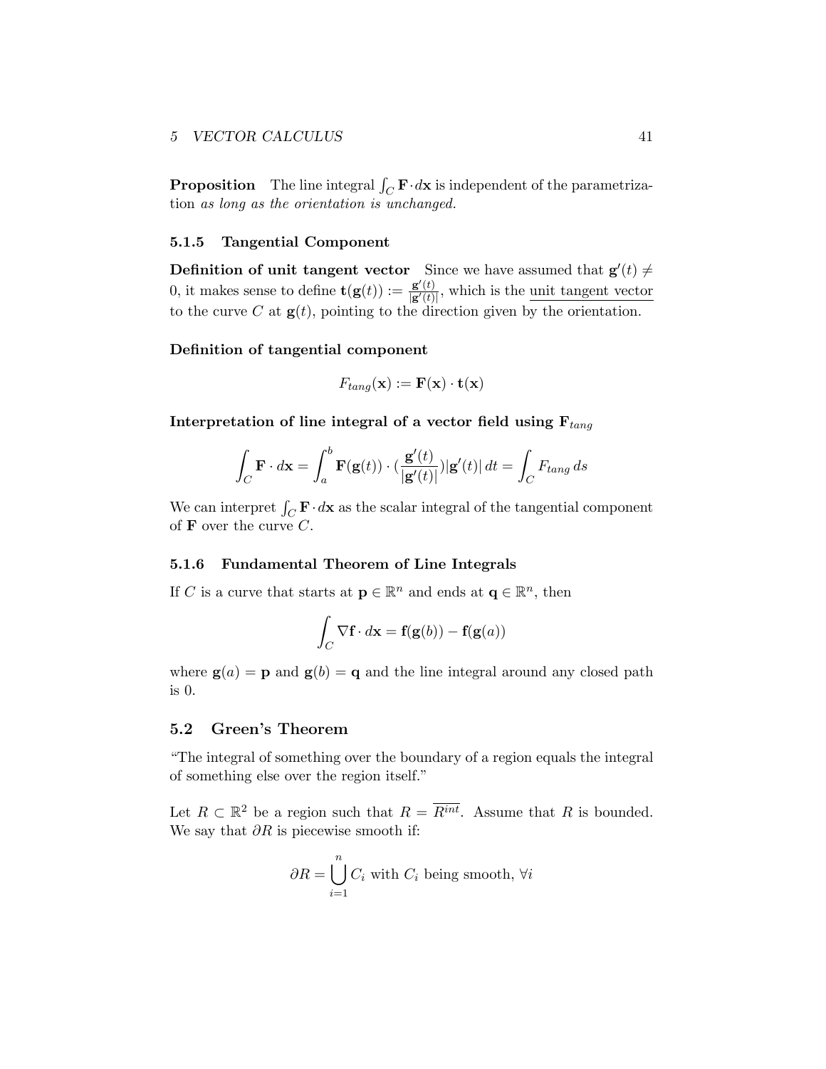**Proposition** The line integral  $\int_C \mathbf{F} \cdot d\mathbf{x}$  is independent of the parametrization *as long as the orientation is unchanged.*

#### <span id="page-40-0"></span>5.1.5 Tangential Component

**Definition of unit tangent vector** Since we have assumed that  $\mathbf{g}'(t) \neq 0$ 0, it makes sense to define  $\mathbf{t}(\mathbf{g}(t)) := \frac{\mathbf{g}'(t)}{|\mathbf{g}'(t)|}$  $\frac{g(t)}{g'(t)}$ , which is the <u>unit tangent vector</u> to the curve  $C$  at  $\mathbf{g}(t)$ , pointing to the direction given by the orientation.

#### Definition of tangential component

$$
F_{tang}(\mathbf{x}) := \mathbf{F}(\mathbf{x}) \cdot \mathbf{t}(\mathbf{x})
$$

Interpretation of line integral of a vector field using F*tang*

$$
\int_C \mathbf{F} \cdot d\mathbf{x} = \int_a^b \mathbf{F}(\mathbf{g}(t)) \cdot \left(\frac{\mathbf{g}'(t)}{|\mathbf{g}'(t)|}\right) |\mathbf{g}'(t)| dt = \int_C F_{tang} ds
$$

We can interpret  $\int_C \mathbf{F} \cdot d\mathbf{x}$  as the scalar integral of the tangential component of F over the curve *C*.

## <span id="page-40-1"></span>5.1.6 Fundamental Theorem of Line Integrals

If *C* is a curve that starts at  $\mathbf{p} \in \mathbb{R}^n$  and ends at  $\mathbf{q} \in \mathbb{R}^n$ , then

$$
\int_C \nabla \mathbf{f} \cdot d\mathbf{x} = \mathbf{f}(\mathbf{g}(b)) - \mathbf{f}(\mathbf{g}(a))
$$

where  $g(a) = p$  and  $g(b) = q$  and the line integral around any closed path is 0.

## <span id="page-40-2"></span>5.2 Green's Theorem

"The integral of something over the boundary of a region equals the integral of something else over the region itself."

Let  $R \subset \mathbb{R}^2$  be a region such that  $R = \overline{R^{int}}$ . Assume that R is bounded. We say that ∂*R* is piecewise smooth if:

$$
\partial R = \bigcup_{i=1}^{n} C_i \text{ with } C_i \text{ being smooth, } \forall i
$$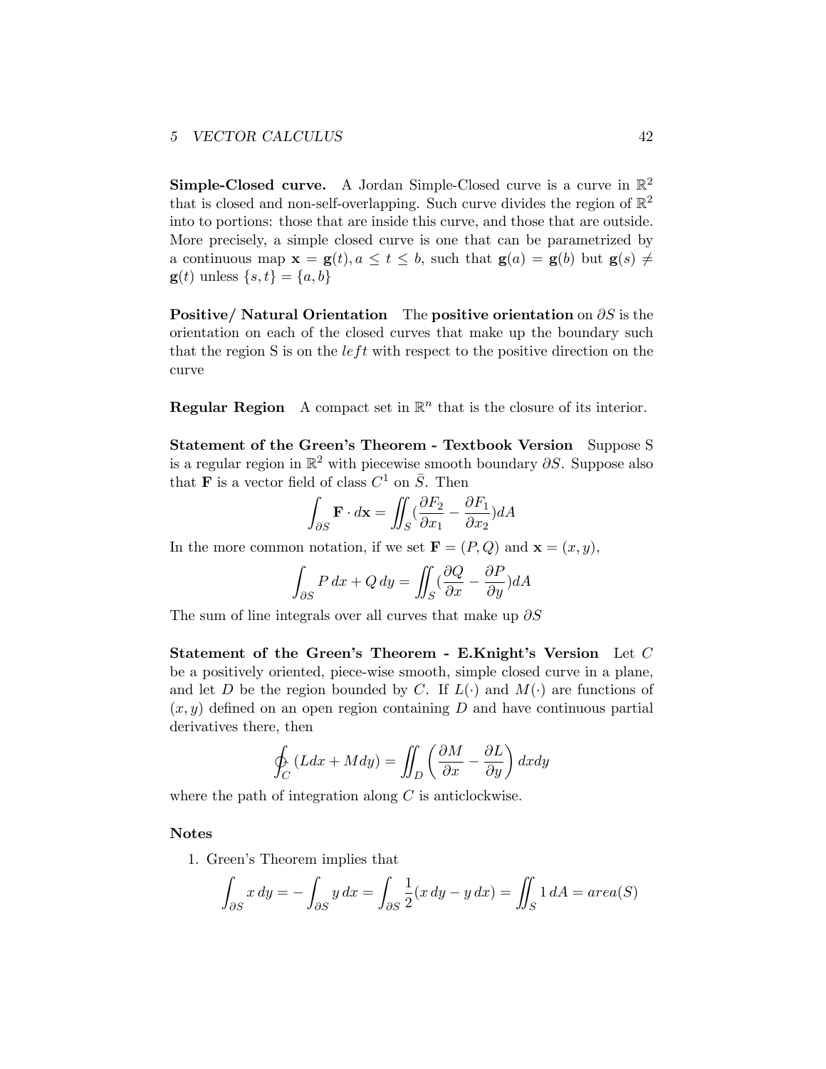**Simple-Closed curve.** A Jordan Simple-Closed curve is a curve in  $\mathbb{R}^2$ that is closed and non-self-overlapping. Such curve divides the region of  $\mathbb{R}^2$ into to portions: those that are inside this curve, and those that are outside. More precisely, a simple closed curve is one that can be parametrized by a continuous map  $\mathbf{x} = \mathbf{g}(t), a \le t \le b$ , such that  $\mathbf{g}(a) = \mathbf{g}(b)$  but  $\mathbf{g}(s) \ne$  $g(t)$  unless  $\{s, t\} = \{a, b\}$ 

Positive/ Natural Orientation The positive orientation on ∂*S* is the orientation on each of the closed curves that make up the boundary such that the region S is on the *left* with respect to the positive direction on the curve

**Regular Region** A compact set in  $\mathbb{R}^n$  that is the closure of its interior.

Statement of the Green's Theorem - Textbook Version Suppose S is a regular region in R<sup>2</sup> with piecewise smooth boundary ∂*S*. Suppose also that **F** is a vector field of class  $C^1$  on  $\overline{S}$ . Then

$$
\int_{\partial S} \mathbf{F} \cdot d\mathbf{x} = \iint_{S} (\frac{\partial F_2}{\partial x_1} - \frac{\partial F_1}{\partial x_2}) dA
$$

In the more common notation, if we set  $\mathbf{F} = (P, Q)$  and  $\mathbf{x} = (x, y)$ ,

$$
\int_{\partial S} P dx + Q dy = \iint_{S} (\frac{\partial Q}{\partial x} - \frac{\partial P}{\partial y}) dA
$$

The sum of line integrals over all curves that make up ∂*S*

Statement of the Green's Theorem - E.Knight's Version Let *C* be a positively oriented, piece-wise smooth, simple closed curve in a plane, and let *D* be the region bounded by *C*. If  $L(\cdot)$  and  $M(\cdot)$  are functions of  $(x, y)$  defined on an open region containing D and have continuous partial derivatives there, then

$$
\oint_C (Ldx + Mdy) = \iint_D \left(\frac{\partial M}{\partial x} - \frac{\partial L}{\partial y}\right) dxdy
$$

where the path of integration along *C* is anticlockwise.

#### Notes

1. Green's Theorem implies that

$$
\int_{\partial S} x \, dy = -\int_{\partial S} y \, dx = \int_{\partial S} \frac{1}{2} (x \, dy - y \, dx) = \iint_{S} 1 \, dA = area(S)
$$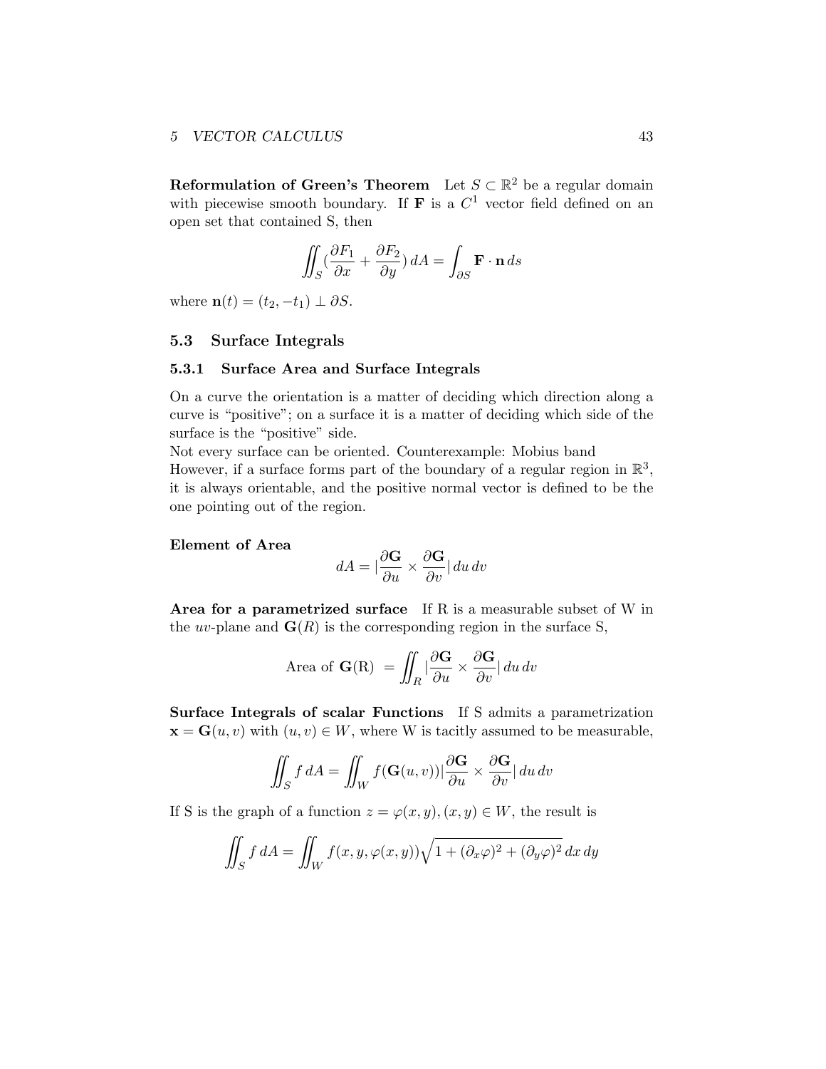**Reformulation of Green's Theorem** Let  $S \subset \mathbb{R}^2$  be a regular domain with piecewise smooth boundary. If **F** is a  $C^1$  vector field defined on an open set that contained S, then

$$
\iint_{S} \left( \frac{\partial F_1}{\partial x} + \frac{\partial F_2}{\partial y} \right) dA = \int_{\partial S} \mathbf{F} \cdot \mathbf{n} \, ds
$$

where  $\mathbf{n}(t) = (t_2, -t_1) \perp \partial S$ .

#### <span id="page-42-0"></span>5.3 Surface Integrals

#### <span id="page-42-1"></span>5.3.1 Surface Area and Surface Integrals

On a curve the orientation is a matter of deciding which direction along a curve is "positive"; on a surface it is a matter of deciding which side of the surface is the "positive" side.

Not every surface can be oriented. Counterexample: Mobius band However, if a surface forms part of the boundary of a regular region in  $\mathbb{R}^3$ , it is always orientable, and the positive normal vector is defined to be the one pointing out of the region.

#### Element of Area

$$
dA = |\frac{\partial \mathbf{G}}{\partial u} \times \frac{\partial \mathbf{G}}{\partial v}| du dv
$$

Area for a parametrized surface If R is a measurable subset of W in the *uv*-plane and  $\mathbf{G}(R)$  is the corresponding region in the surface S,

Area of 
$$
\mathbf{G}(R) = \iint_R \left| \frac{\partial \mathbf{G}}{\partial u} \times \frac{\partial \mathbf{G}}{\partial v} \right| du dv
$$

Surface Integrals of scalar Functions If S admits a parametrization  $\mathbf{x} = \mathbf{G}(u, v)$  with  $(u, v) \in W$ , where W is tacitly assumed to be measurable,

$$
\iint_{S} f dA = \iint_{W} f(\mathbf{G}(u, v)) |\frac{\partial \mathbf{G}}{\partial u} \times \frac{\partial \mathbf{G}}{\partial v}| du dv
$$

If S is the graph of a function  $z = \varphi(x, y), (x, y) \in W$ , the result is

$$
\iint_S f \, dA = \iint_W f(x, y, \varphi(x, y)) \sqrt{1 + (\partial_x \varphi)^2 + (\partial_y \varphi)^2} \, dx \, dy
$$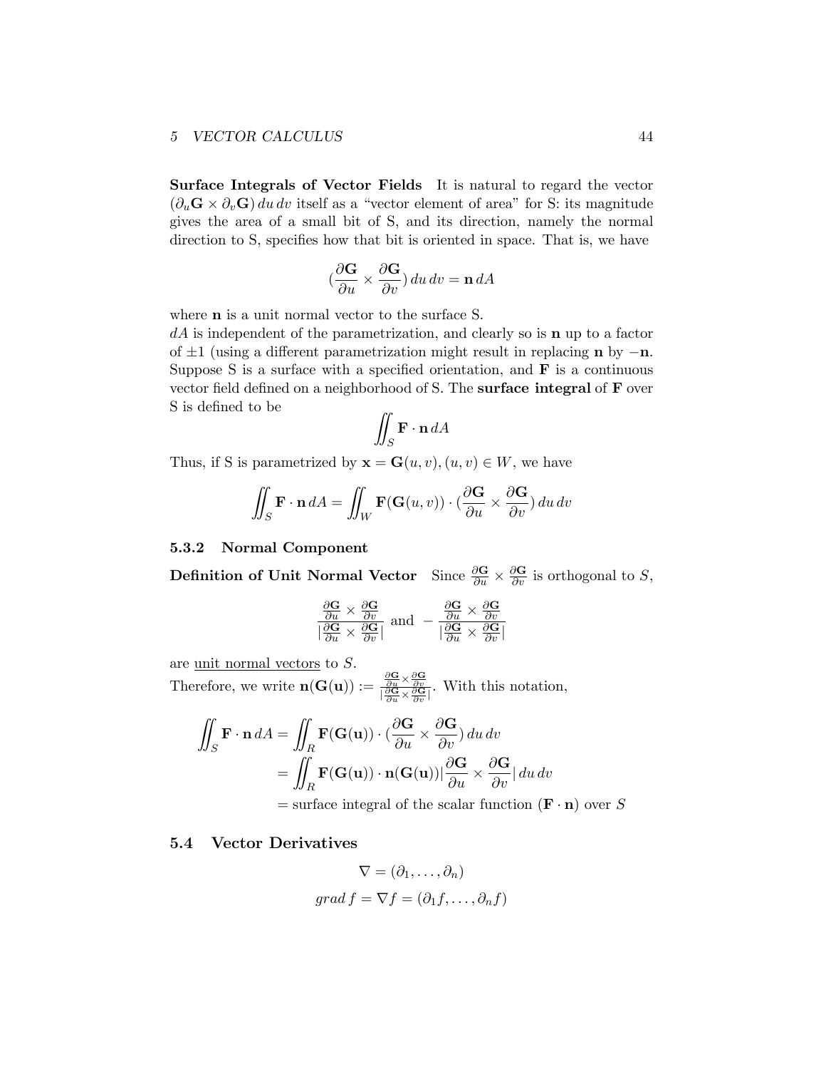Surface Integrals of Vector Fields It is natural to regard the vector  $(\partial_u \mathbf{G} \times \partial_v \mathbf{G}) du dv$  itself as a "vector element of area" for S: its magnitude gives the area of a small bit of S, and its direction, namely the normal direction to S, specifies how that bit is oriented in space. That is, we have

$$
(\frac{\partial \mathbf{G}}{\partial u} \times \frac{\partial \mathbf{G}}{\partial v}) du dv = \mathbf{n} dA
$$

where **n** is a unit normal vector to the surface S.

*dA* is independent of the parametrization, and clearly so is n up to a factor of *±*1 (using a different parametrization might result in replacing n by −n. Suppose S is a surface with a specified orientation, and  $\bf{F}$  is a continuous vector field defined on a neighborhood of S. The surface integral of F over S is defined to be

$$
\iint_{S} \mathbf{F} \cdot \mathbf{n} \, dA
$$

Thus, if S is parametrized by  $\mathbf{x} = \mathbf{G}(u, v), (u, v) \in W$ , we have

$$
\iint_{S} \mathbf{F} \cdot \mathbf{n} dA = \iint_{W} \mathbf{F}(\mathbf{G}(u, v)) \cdot (\frac{\partial \mathbf{G}}{\partial u} \times \frac{\partial \mathbf{G}}{\partial v}) du dv
$$

#### <span id="page-43-0"></span>5.3.2 Normal Component

**Definition of Unit Normal Vector** Since  $\frac{\partial \mathbf{G}}{\partial u} \times \frac{\partial \mathbf{G}}{\partial v}$  is orthogonal to *S*,

$$
\frac{\frac{\partial \mathbf{G}}{\partial u} \times \frac{\partial \mathbf{G}}{\partial v}}{|\frac{\partial \mathbf{G}}{\partial u} \times \frac{\partial \mathbf{G}}{\partial v}|} \text{ and } -\frac{\frac{\partial \mathbf{G}}{\partial u} \times \frac{\partial \mathbf{G}}{\partial v}}{|\frac{\partial \mathbf{G}}{\partial u} \times \frac{\partial \mathbf{G}}{\partial v}|}
$$

are unit normal vectors to *S*. Therefore, we write  $\mathbf{n}(\mathbf{G}(\mathbf{u})) := \frac{\partial \mathbf{G}}{\partial u} \times \frac{\partial \mathbf{G}}{\partial v} \overline{\partial}_{\overline{v}}}$ . With this notation,

$$
\iint_{S} \mathbf{F} \cdot \mathbf{n} dA = \iint_{R} \mathbf{F}(\mathbf{G}(\mathbf{u})) \cdot (\frac{\partial \mathbf{G}}{\partial u} \times \frac{\partial \mathbf{G}}{\partial v}) du dv
$$
  
= 
$$
\iint_{R} \mathbf{F}(\mathbf{G}(\mathbf{u})) \cdot \mathbf{n}(\mathbf{G}(\mathbf{u})) |\frac{\partial \mathbf{G}}{\partial u} \times \frac{\partial \mathbf{G}}{\partial v}| du dv
$$
  
= surface integral of the scalar function (**F** · **n**) over *S*

#### <span id="page-43-1"></span>5.4 Vector Derivatives

$$
\nabla = (\partial_1, \dots, \partial_n)
$$
  
grad  $f = \nabla f = (\partial_1 f, \dots, \partial_n f)$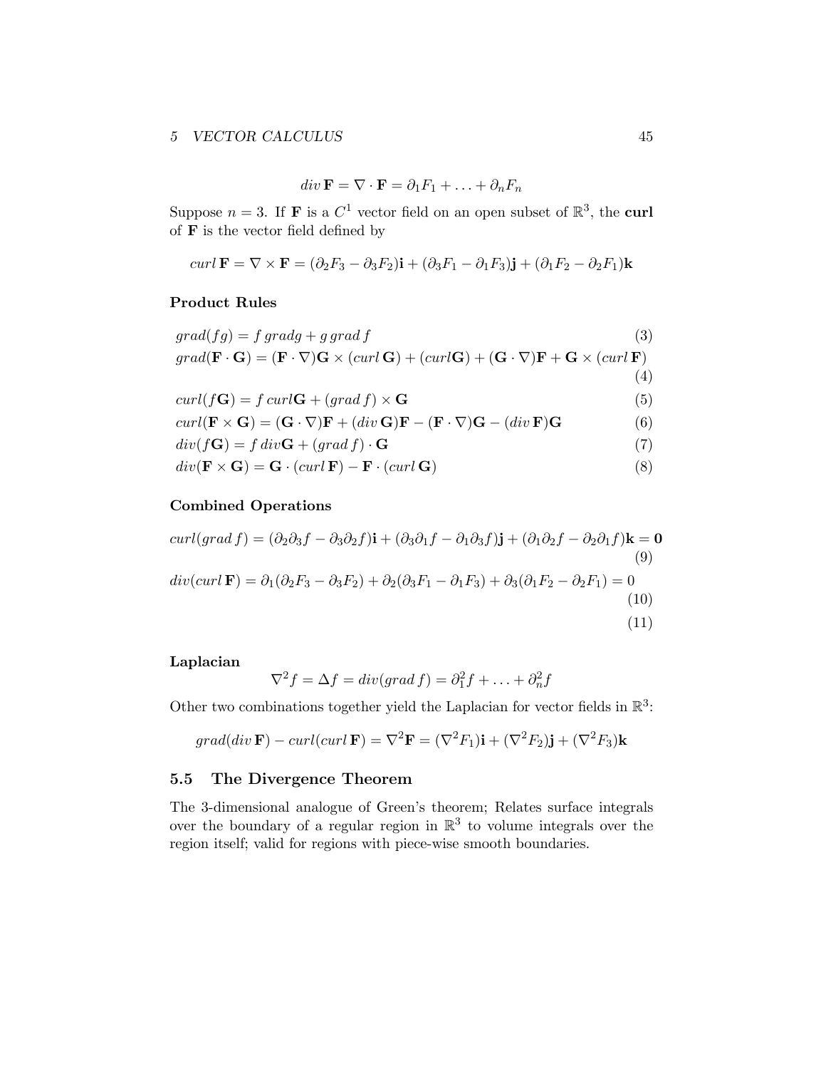$$
div \mathbf{F} = \nabla \cdot \mathbf{F} = \partial_1 F_1 + \ldots + \partial_n F_n
$$

Suppose  $n = 3$ . If **F** is a  $C^1$  vector field on an open subset of  $\mathbb{R}^3$ , the **curl** of  $\bf{F}$  is the vector field defined by

$$
curl \mathbf{F} = \nabla \times \mathbf{F} = (\partial_2 F_3 - \partial_3 F_2)\mathbf{i} + (\partial_3 F_1 - \partial_1 F_3)\mathbf{j} + (\partial_1 F_2 - \partial_2 F_1)\mathbf{k}
$$

#### Product Rules

| $grad(fg) = f gradg + g grad f$                                                                                                                                                                    | (3) |
|----------------------------------------------------------------------------------------------------------------------------------------------------------------------------------------------------|-----|
| $grad(\mathbf{F} \cdot \mathbf{G}) = (\mathbf{F} \cdot \nabla)\mathbf{G} \times (curl \mathbf{G}) + (curl \mathbf{G}) + (\mathbf{G} \cdot \nabla)\mathbf{F} + \mathbf{G} \times (curl \mathbf{F})$ |     |
|                                                                                                                                                                                                    | (4) |
| $curl(f\mathbf{G}) = f curl\mathbf{G} + (grad f) \times \mathbf{G}$                                                                                                                                | (5) |
| $curl(\mathbf{F} \times \mathbf{G}) = (\mathbf{G} \cdot \nabla)\mathbf{F} + (div \mathbf{G})\mathbf{F} - (\mathbf{F} \cdot \nabla)\mathbf{G} - (div \mathbf{F})\mathbf{G}$                         | (6) |
| $div(f\mathbf{G}) = f \, div \mathbf{G} + (grad f) \cdot \mathbf{G}$                                                                                                                               | (7) |
| $div(\mathbf{F} \times \mathbf{G}) = \mathbf{G} \cdot (curl \, \mathbf{F}) - \mathbf{F} \cdot (curl \, \mathbf{G})$                                                                                | (8) |

## Combined Operations

$$
curl(grad f) = (\partial_2 \partial_3 f - \partial_3 \partial_2 f)\mathbf{i} + (\partial_3 \partial_1 f - \partial_1 \partial_3 f)\mathbf{j} + (\partial_1 \partial_2 f - \partial_2 \partial_1 f)\mathbf{k} = \mathbf{0}
$$
\n
$$
div(curl \mathbf{F}) = \partial_1(\partial_2 F_3 - \partial_3 F_2) + \partial_2(\partial_3 F_1 - \partial_1 F_3) + \partial_3(\partial_1 F_2 - \partial_2 F_1) = 0
$$
\n
$$
(10)
$$
\n(11)

## Laplacian

$$
\nabla^2 f = \Delta f = div(grad f) = \partial_1^2 f + \dots + \partial_n^2 f
$$

Other two combinations together yield the Laplacian for vector fields in  $\mathbb{R}^3$ :

$$
grad(div \mathbf{F}) - curl(curl \mathbf{F}) = \nabla^2 \mathbf{F} = (\nabla^2 F_1)\mathbf{i} + (\nabla^2 F_2)\mathbf{j} + (\nabla^2 F_3)\mathbf{k}
$$

## <span id="page-44-0"></span>5.5 The Divergence Theorem

The 3-dimensional analogue of Green's theorem; Relates surface integrals over the boundary of a regular region in  $\mathbb{R}^3$  to volume integrals over the region itself; valid for regions with piece-wise smooth boundaries.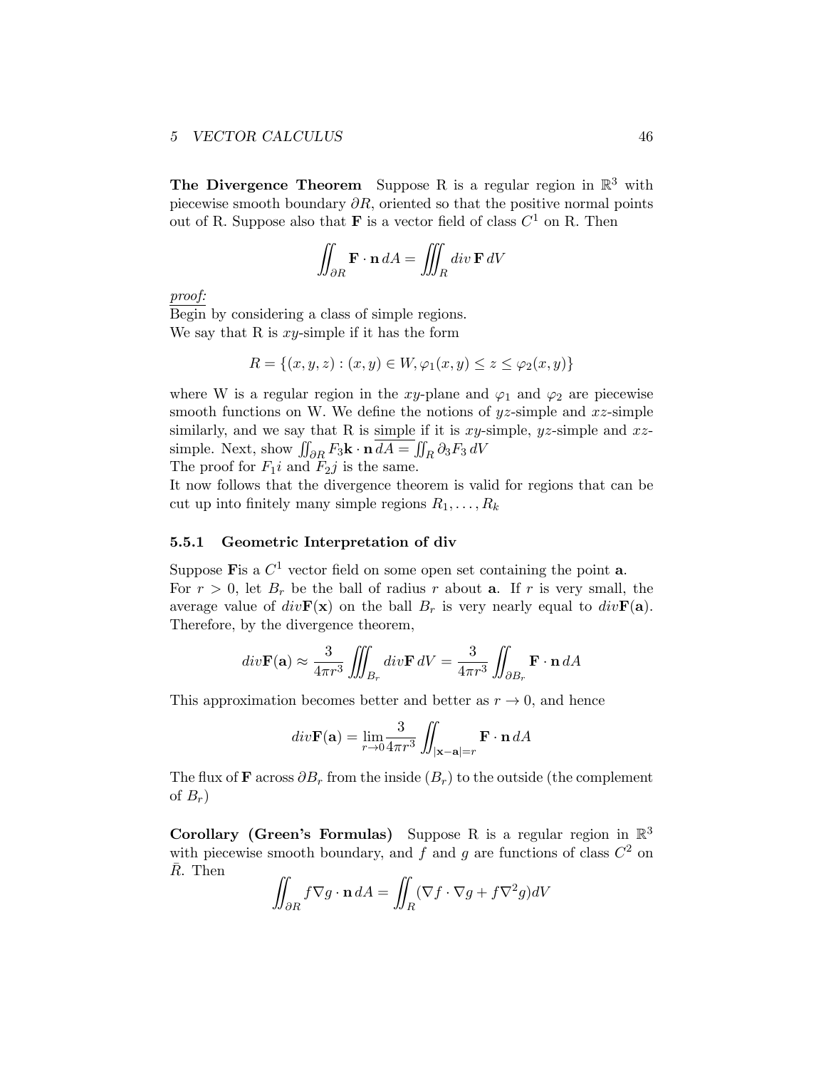The Divergence Theorem Suppose R is a regular region in  $\mathbb{R}^3$  with piecewise smooth boundary ∂*R*, oriented so that the positive normal points out of R. Suppose also that **F** is a vector field of class  $C^1$  on R. Then

$$
\iint_{\partial R} \mathbf{F} \cdot \mathbf{n} \, dA = \iiint_R \operatorname{div} \mathbf{F} \, dV
$$

*proof:*

Begin by considering a class of simple regions. We say that R is *xy*-simple if it has the form

$$
R = \{(x, y, z) : (x, y) \in W, \varphi_1(x, y) \le z \le \varphi_2(x, y)\}
$$

where W is a regular region in the *xy*-plane and  $\varphi_1$  and  $\varphi_2$  are piecewise smooth functions on W. We define the notions of *yz*-simple and *xz*-simple similarly, and we say that R is simple if it is *xy*-simple, *yz*-simple and *xz*simple. Next, show  $\iint_{\partial R} F_3 \mathbf{k} \cdot \mathbf{n} dA = \iint_R \partial_3 F_3 dV$ The proof for  $F_1 i$  and  $F_2 j$  is the same.

It now follows that the divergence theorem is valid for regions that can be cut up into finitely many simple regions  $R_1, \ldots, R_k$ 

#### <span id="page-45-0"></span>5.5.1 Geometric Interpretation of div

Suppose Fis a  $C^1$  vector field on some open set containing the point  $a$ . For  $r > 0$ , let  $B_r$  be the ball of radius  $r$  about **a**. If  $r$  is very small, the average value of  $div\mathbf{F}(\mathbf{x})$  on the ball  $B_r$  is very nearly equal to  $div\mathbf{F}(\mathbf{a})$ . Therefore, by the divergence theorem,

$$
div\mathbf{F}(\mathbf{a}) \approx \frac{3}{4\pi r^3} \iiint_{B_r} div\mathbf{F} dV = \frac{3}{4\pi r^3} \iint_{\partial B_r} \mathbf{F} \cdot \mathbf{n} dA
$$

This approximation becomes better and better as  $r \to 0$ , and hence

$$
div\mathbf{F}(\mathbf{a}) = \lim_{r \to 0} \frac{3}{4\pi r^3} \iint_{|\mathbf{x} - \mathbf{a}| = r} \mathbf{F} \cdot \mathbf{n} \, dA
$$

The flux of **F** across  $\partial B_r$  from the inside  $(B_r)$  to the outside (the complement of  $B_r$ )

Corollary (Green's Formulas) Suppose R is a regular region in  $\mathbb{R}^3$ with piecewise smooth boundary, and  $\overrightarrow{f}$  and  $\overrightarrow{g}$  are functions of class  $C^2$  on  $\bar{R}$ . Then

$$
\iint_{\partial R} f \nabla g \cdot \mathbf{n} \, dA = \iint_{R} (\nabla f \cdot \nabla g + f \nabla^2 g) dV
$$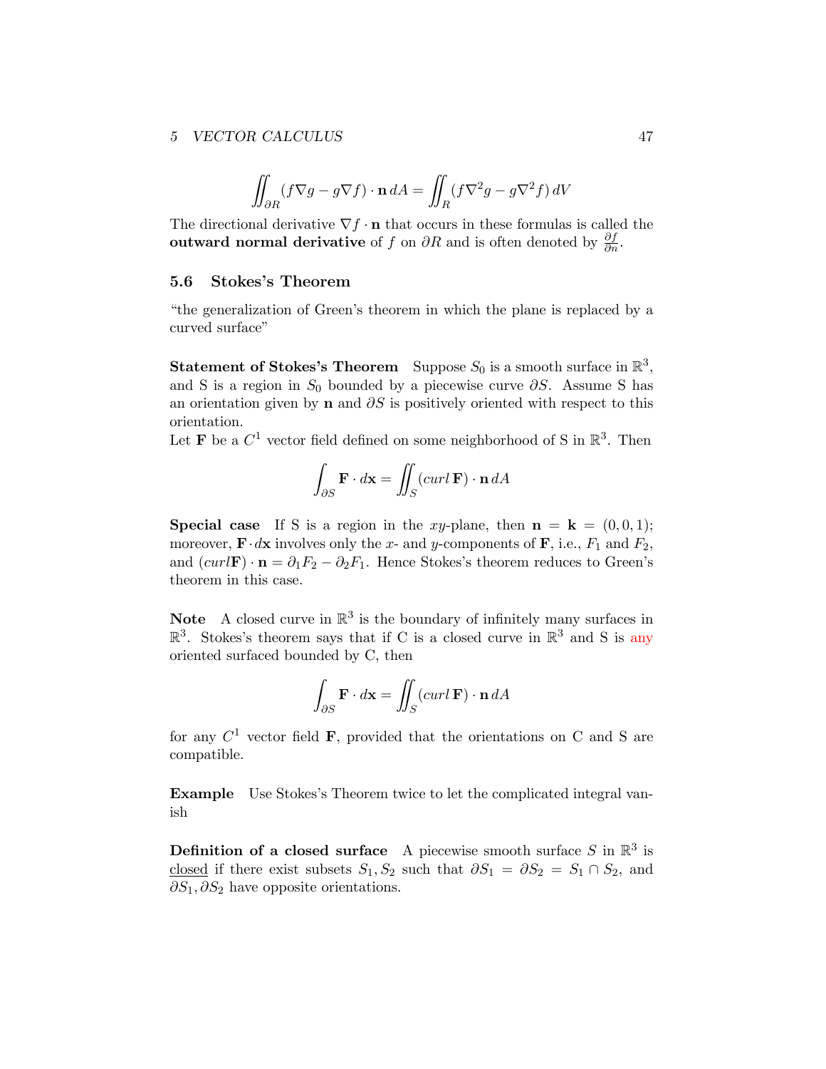$$
\iint_{\partial R} (f \nabla g - g \nabla f) \cdot \mathbf{n} dA = \iint_{R} (f \nabla^2 g - g \nabla^2 f) dV
$$

The directional derivative  $\nabla f \cdot \mathbf{n}$  that occurs in these formulas is called the outward normal derivative of *f* on  $\partial R$  and is often denoted by  $\frac{\partial f}{\partial n}$ .

#### <span id="page-46-0"></span>5.6 Stokes's Theorem

"the generalization of Green's theorem in which the plane is replaced by a curved surface"

**Statement of Stokes's Theorem** Suppose  $S_0$  is a smooth surface in  $\mathbb{R}^3$ , and S is a region in  $S_0$  bounded by a piecewise curve  $\partial S$ . Assume S has an orientation given by **n** and  $\partial S$  is positively oriented with respect to this orientation.

Let **F** be a  $C^1$  vector field defined on some neighborhood of S in  $\mathbb{R}^3$ . Then

$$
\int_{\partial S} \mathbf{F} \cdot d\mathbf{x} = \iint_{S} (curl \, \mathbf{F}) \cdot \mathbf{n} \, dA
$$

**Special case** If S is a region in the *xy*-plane, then  $\mathbf{n} = \mathbf{k} = (0,0,1);$ moreover,  $\mathbf{F} \cdot d\mathbf{x}$  involves only the *x*- and *y*-components of  $\mathbf{F}$ , i.e.,  $F_1$  and  $F_2$ , and  $(curl\mathbf{F}) \cdot \mathbf{n} = \partial_1 F_2 - \partial_2 F_1$ . Hence Stokes's theorem reduces to Green's theorem in this case.

**Note** A closed curve in  $\mathbb{R}^3$  is the boundary of infinitely many surfaces in  $\mathbb{R}^3$ . Stokes's theorem says that if C is a closed curve in  $\mathbb{R}^3$  and S is any oriented surfaced bounded by C, then

$$
\int_{\partial S} \mathbf{F} \cdot d\mathbf{x} = \iint_{S} (curl \, \mathbf{F}) \cdot \mathbf{n} \, dA
$$

for any  $C^1$  vector field **F**, provided that the orientations on C and S are compatible.

Example Use Stokes's Theorem twice to let the complicated integral vanish

**Definition of a closed surface** A piecewise smooth surface  $S$  in  $\mathbb{R}^3$  is closed if there exist subsets  $S_1, S_2$  such that  $\partial S_1 = \partial S_2 = S_1 \cap S_2$ , and ∂*S*<sub>1</sub>,∂*S*<sub>2</sub> have opposite orientations.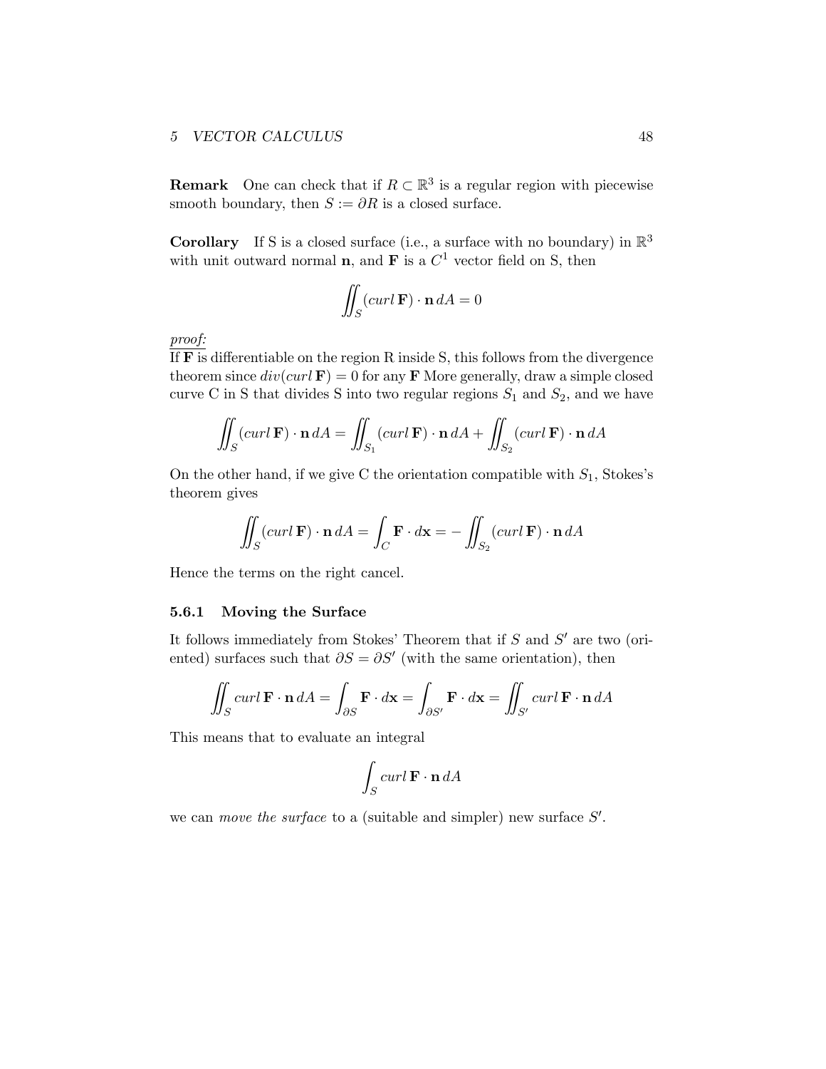**Remark** One can check that if  $R \subset \mathbb{R}^3$  is a regular region with piecewise smooth boundary, then  $S := \partial R$  is a closed surface.

**Corollary** If S is a closed surface (i.e., a surface with no boundary) in  $\mathbb{R}^3$ with unit outward normal **n**, and **F** is a  $C<sup>1</sup>$  vector field on S, then

$$
\iint_{S} (curl \, \mathbf{F}) \cdot \mathbf{n} \, dA = 0
$$

*proof:*

If  $\overline{F}$  is differentiable on the region R inside S, this follows from the divergence theorem since  $div(curl \mathbf{F}) = 0$  for any **F** More generally, draw a simple closed curve C in S that divides S into two regular regions  $S_1$  and  $S_2$ , and we have

$$
\iint_{S} (curl \mathbf{F}) \cdot \mathbf{n} dA = \iint_{S_1} (curl \mathbf{F}) \cdot \mathbf{n} dA + \iint_{S_2} (curl \mathbf{F}) \cdot \mathbf{n} dA
$$

On the other hand, if we give C the orientation compatible with *S*1, Stokes's theorem gives

$$
\iint_{S} (curl \mathbf{F}) \cdot \mathbf{n} dA = \int_{C} \mathbf{F} \cdot d\mathbf{x} = -\iint_{S_2} (curl \mathbf{F}) \cdot \mathbf{n} dA
$$

Hence the terms on the right cancel.

#### <span id="page-47-0"></span>5.6.1 Moving the Surface

It follows immediately from Stokes' Theorem that if *S* and *S*′ are two (oriented) surfaces such that  $\partial S = \partial S'$  (with the same orientation), then

$$
\iint_{S} curl \mathbf{F} \cdot \mathbf{n} dA = \int_{\partial S} \mathbf{F} \cdot d\mathbf{x} = \int_{\partial S'} \mathbf{F} \cdot d\mathbf{x} = \iint_{S'} curl \mathbf{F} \cdot \mathbf{n} dA
$$

This means that to evaluate an integral

$$
\int_{S} curl \mathbf{F} \cdot \mathbf{n} dA
$$

we can *move the surface* to a (suitable and simpler) new surface *S*′ .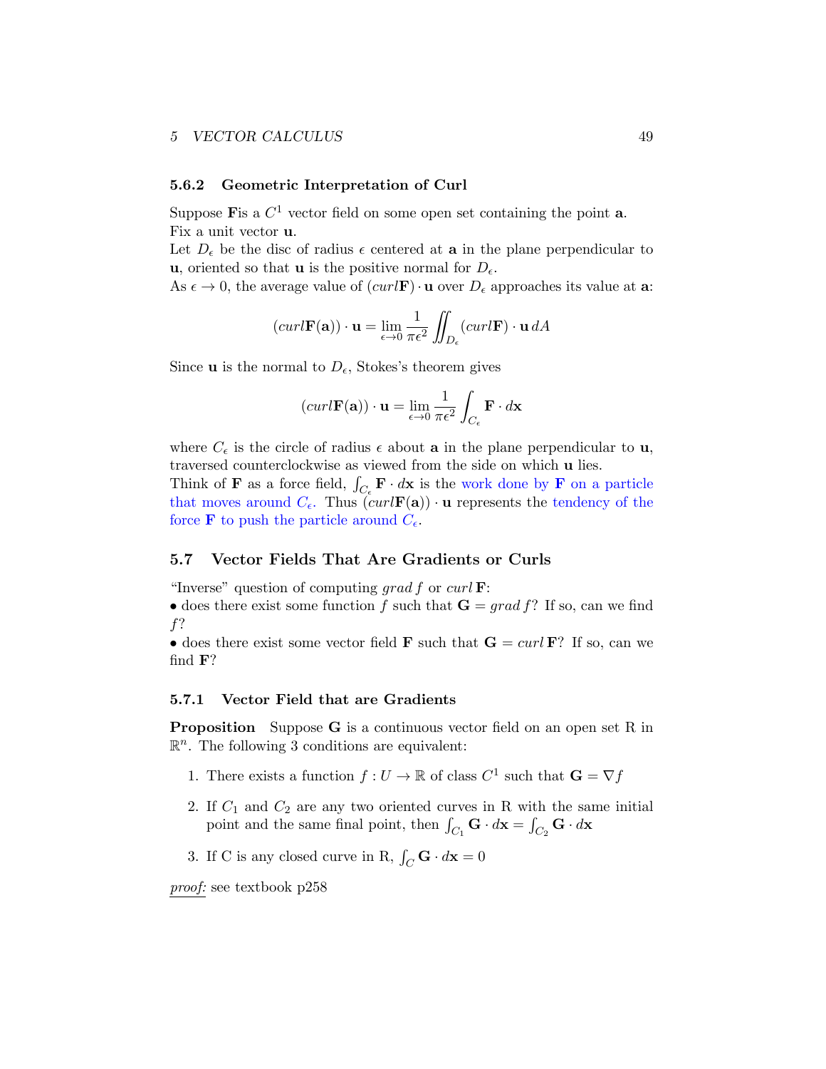#### <span id="page-48-0"></span>5.6.2 Geometric Interpretation of Curl

Suppose Fis a  $C^1$  vector field on some open set containing the point **a**. Fix a unit vector u.

Let  $D_{\epsilon}$  be the disc of radius  $\epsilon$  centered at **a** in the plane perpendicular to u, oriented so that u is the positive normal for  $D_{\epsilon}$ .

As  $\epsilon \to 0$ , the average value of  $(curl\mathbf{F}) \cdot \mathbf{u}$  over  $D_{\epsilon}$  approaches its value at **a**:

$$
(curl \mathbf{F}(\mathbf{a})) \cdot \mathbf{u} = \lim_{\epsilon \to 0} \frac{1}{\pi \epsilon^2} \iint_{D_{\epsilon}} (curl \mathbf{F}) \cdot \mathbf{u} \, dA
$$

Since **u** is the normal to  $D_{\epsilon}$ , Stokes's theorem gives

$$
(curl \mathbf{F}(\mathbf{a})) \cdot \mathbf{u} = \lim_{\epsilon \to 0} \frac{1}{\pi \epsilon^2} \int_{C_{\epsilon}} \mathbf{F} \cdot d\mathbf{x}
$$

where  $C_{\epsilon}$  is the circle of radius  $\epsilon$  about **a** in the plane perpendicular to **u**, traversed counterclockwise as viewed from the side on which u lies.

Think of **F** as a force field,  $\int_{C_{\epsilon}} \mathbf{F} \cdot d\mathbf{x}$  is the work done by **F** on a particle that moves around  $C_{\epsilon}$ . Thus  $\left(\frac{curl \mathbf{F}(\mathbf{a})\right) \cdot \mathbf{u}}$  represents the tendency of the force **F** to push the particle around  $C_{\epsilon}$ .

#### <span id="page-48-1"></span>5.7 Vector Fields That Are Gradients or Curls

"Inverse" question of computing *grad f* or *curl* F:

• does there exist some function  $f$  such that  $\mathbf{G} = grad f$ ? If so, can we find *f*?

• does there exist some vector field **F** such that  $G = \text{curl } F$ ? If so, can we find F?

#### <span id="page-48-2"></span>5.7.1 Vector Field that are Gradients

Proposition Suppose G is a continuous vector field on an open set R in  $\mathbb{R}^n$ . The following 3 conditions are equivalent:

- 1. There exists a function  $f: U \to \mathbb{R}$  of class  $C^1$  such that  $\mathbf{G} = \nabla f$
- 2. If *C*<sup>1</sup> and *C*<sup>2</sup> are any two oriented curves in R with the same initial point and the same final point, then  $\int_{C_1} \mathbf{G} \cdot d\mathbf{x} = \int_{C_2} \mathbf{G} \cdot d\mathbf{x}$
- 3. If C is any closed curve in R,  $\int_C \mathbf{G} \cdot d\mathbf{x} = 0$

*proof:* see textbook p258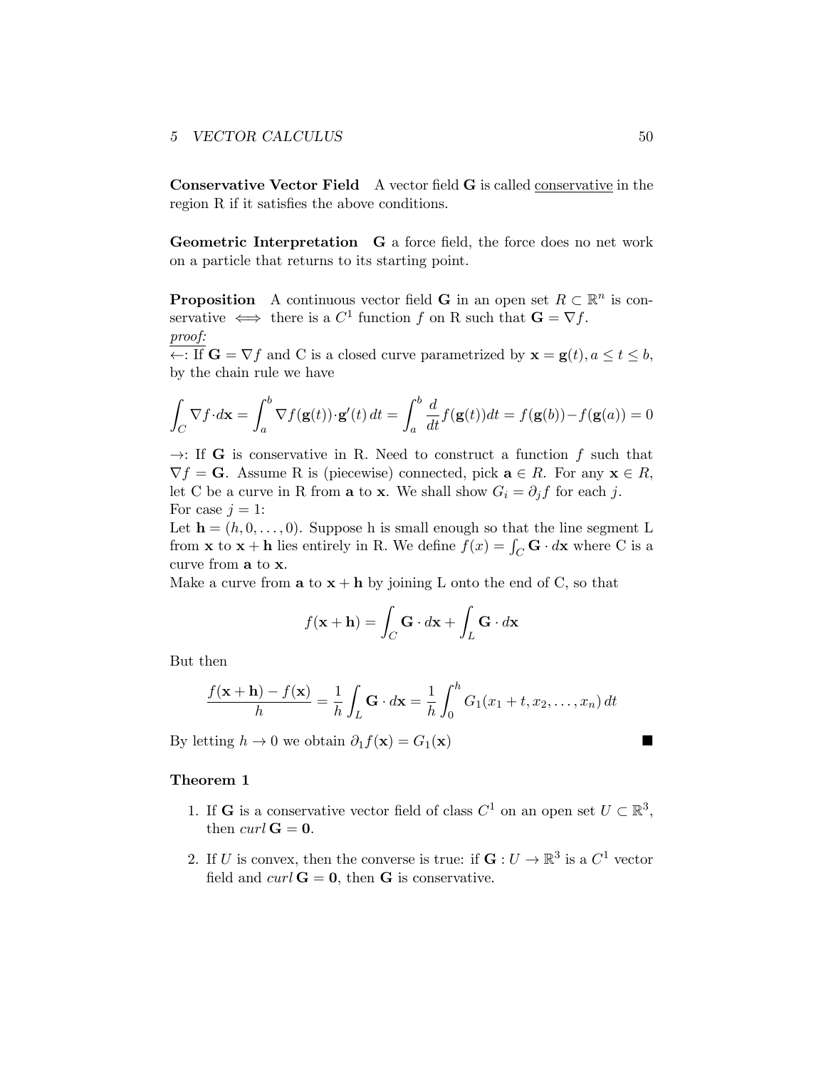Conservative Vector Field A vector field G is called conservative in the region R if it satisfies the above conditions.

Geometric Interpretation G a force field, the force does no net work on a particle that returns to its starting point.

**Proposition** A continuous vector field **G** in an open set  $R \subset \mathbb{R}^n$  is conservative  $\iff$  there is a  $C^1$  function  $f$  on R such that  $\mathbf{G} = \nabla f$ . *proof:*

 $\leftarrow$ : If  $\mathbf{G} = \nabla f$  and C is a closed curve parametrized by  $\mathbf{x} = \mathbf{g}(t), a \le t \le b$ , by the chain rule we have

$$
\int_C \nabla f \cdot d\mathbf{x} = \int_a^b \nabla f(\mathbf{g}(t)) \cdot \mathbf{g}'(t) dt = \int_a^b \frac{d}{dt} f(\mathbf{g}(t)) dt = f(\mathbf{g}(b)) - f(\mathbf{g}(a)) = 0
$$

 $\rightarrow$ : If **G** is conservative in R. Need to construct a function f such that  $\nabla f = \mathbf{G}$ . Assume R is (piecewise) connected, pick  $\mathbf{a} \in R$ . For any  $\mathbf{x} \in R$ , let C be a curve in R from **a** to **x**. We shall show  $G_i = \partial_j f$  for each *j*. For case  $j = 1$ :

Let  $h = (h, 0, \ldots, 0)$ . Suppose h is small enough so that the line segment L from **x** to **x** + **h** lies entirely in R. We define  $f(x) = \int_C \mathbf{G} \cdot d\mathbf{x}$  where C is a curve from a to x.

Make a curve from  $\mathbf{a}$  to  $\mathbf{x} + \mathbf{h}$  by joining L onto the end of C, so that

$$
f(\mathbf{x} + \mathbf{h}) = \int_C \mathbf{G} \cdot d\mathbf{x} + \int_L \mathbf{G} \cdot d\mathbf{x}
$$

But then

$$
\frac{f(\mathbf{x} + \mathbf{h}) - f(\mathbf{x})}{h} = \frac{1}{h} \int_L \mathbf{G} \cdot d\mathbf{x} = \frac{1}{h} \int_0^h G_1(x_1 + t, x_2, \dots, x_n) dt
$$

By letting  $h \to 0$  we obtain  $\partial_1 f(\mathbf{x}) = G_1(\mathbf{x})$ 

#### Theorem 1

- 1. If **G** is a conservative vector field of class  $C^1$  on an open set  $U \subset \mathbb{R}^3$ , then *curl*  $G = 0$ .
- 2. If *U* is convex, then the converse is true: if  $\mathbf{G}: U \to \mathbb{R}^3$  is a  $C^1$  vector field and  $curl \, \mathbf{G} = \mathbf{0}$ , then  $\mathbf{G}$  is conservative.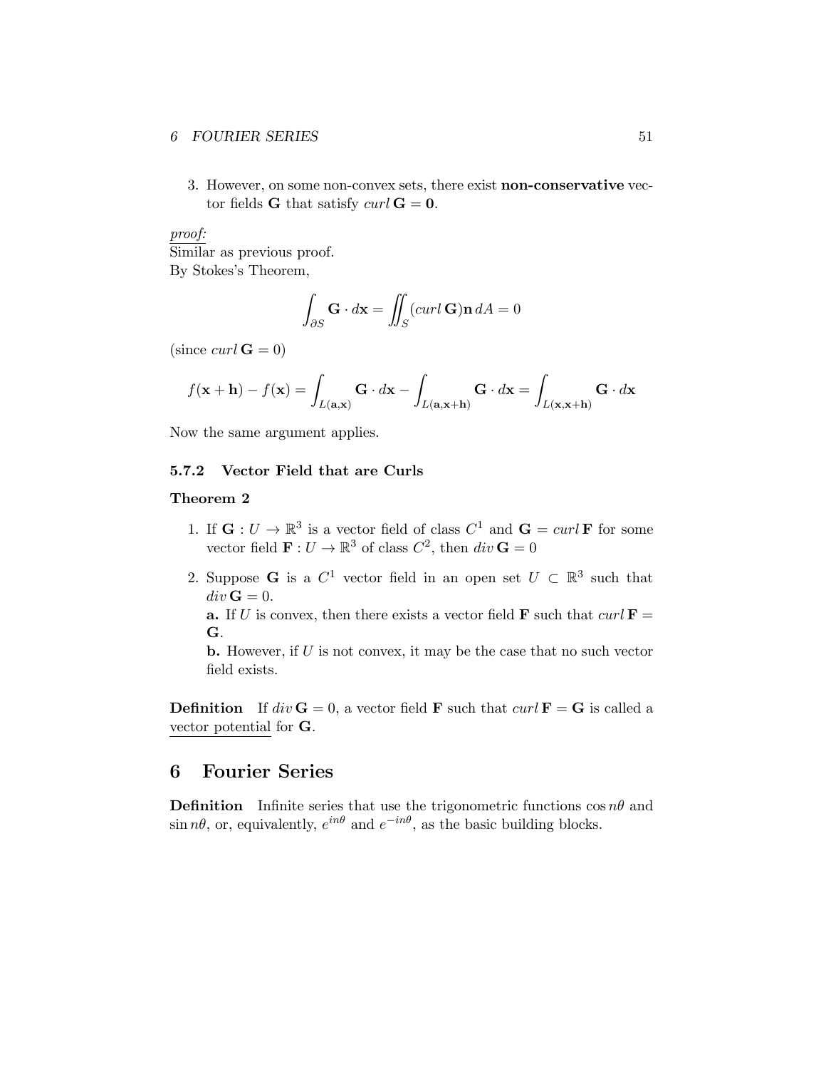#### *6* **FOURIER SERIES** 51

3. However, on some non-convex sets, there exist non-conservative vector fields **G** that satisfy *curl*  $G = 0$ .

## *proof:*

Similar as previous proof. By Stokes's Theorem,

$$
\int_{\partial S} \mathbf{G} \cdot d\mathbf{x} = \iint_{S} (curl \, \mathbf{G}) \mathbf{n} \, dA = 0
$$

 $(since \ curl \mathbf{G} = 0)$ 

$$
f(\mathbf{x} + \mathbf{h}) - f(\mathbf{x}) = \int_{L(\mathbf{a}, \mathbf{x})} \mathbf{G} \cdot d\mathbf{x} - \int_{L(\mathbf{a}, \mathbf{x} + \mathbf{h})} \mathbf{G} \cdot d\mathbf{x} = \int_{L(\mathbf{x}, \mathbf{x} + \mathbf{h})} \mathbf{G} \cdot d\mathbf{x}
$$

Now the same argument applies.

## <span id="page-50-0"></span>5.7.2 Vector Field that are Curls

#### Theorem 2

- 1. If  $\mathbf{G}: U \to \mathbb{R}^3$  is a vector field of class  $C^1$  and  $\mathbf{G} = \text{curl } \mathbf{F}$  for some vector field  $\mathbf{F}: U \to \mathbb{R}^3$  of class  $C^2$ , then  $div \mathbf{G} = 0$
- 2. Suppose **G** is a  $C^1$  vector field in an open set  $U \subset \mathbb{R}^3$  such that  $div \mathbf{G} = 0.$

a. If *U* is convex, then there exists a vector field **F** such that  $curl \mathbf{F} =$ G.

b. However, if *U* is not convex, it may be the case that no such vector field exists.

**Definition** If  $div \mathbf{G} = 0$ , a vector field **F** such that  $curl \mathbf{F} = \mathbf{G}$  is called a vector potential for G.

## <span id="page-50-1"></span>6 Fourier Series

**Definition** Infinite series that use the trigonometric functions  $\cos n\theta$  and  $\sin n\theta$ , or, equivalently,  $e^{in\theta}$  and  $e^{-in\theta}$ , as the basic building blocks.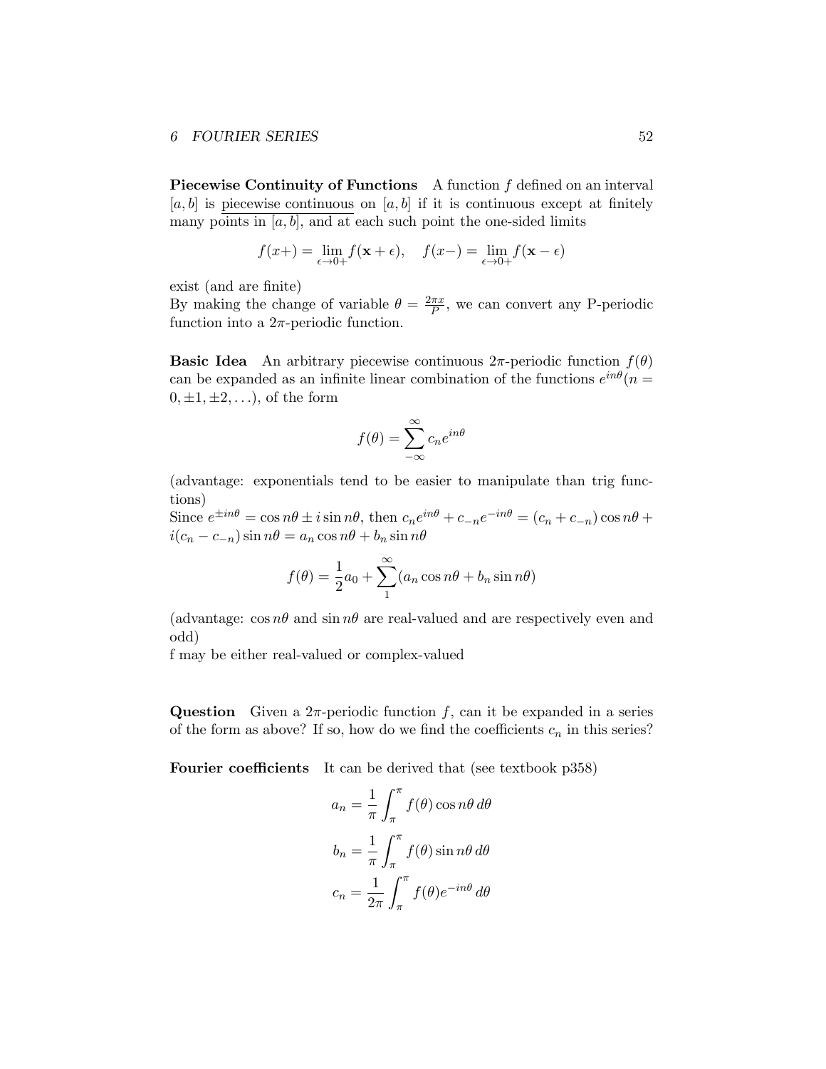Piecewise Continuity of Functions A function *f* defined on an interval  $[a, b]$  is piecewise continuous on  $[a, b]$  if it is continuous except at finitely many points in  $[a, b]$ , and at each such point the one-sided limits

$$
f(x+) = \lim_{\epsilon \to 0+} f(\mathbf{x} + \epsilon), \quad f(x-) = \lim_{\epsilon \to 0+} f(\mathbf{x} - \epsilon)
$$

exist (and are finite)

By making the change of variable  $\theta = \frac{2\pi x}{P}$ , we can convert any P-periodic function into a  $2\pi$ -periodic function.

**Basic Idea** An arbitrary piecewise continuous  $2\pi$ -periodic function  $f(\theta)$ can be expanded as an infinite linear combination of the functions  $e^{in\theta}(n=$  $0, \pm 1, \pm 2, \ldots$ , of the form

$$
f(\theta) = \sum_{-\infty}^{\infty} c_n e^{in\theta}
$$

(advantage: exponentials tend to be easier to manipulate than trig functions)

Since  $e^{\pm in\theta} = \cos n\theta \pm i \sin n\theta$ , then  $c_n e^{in\theta} + c_{-n} e^{-in\theta} = (c_n + c_{-n}) \cos n\theta + c_n$  $i(c_n - c_{-n}) \sin n\theta = a_n \cos n\theta + b_n \sin n\theta$ 

$$
f(\theta) = \frac{1}{2}a_0 + \sum_{n=1}^{\infty} (a_n \cos n\theta + b_n \sin n\theta)
$$

(advantage:  $\cos n\theta$  and  $\sin n\theta$  are real-valued and are respectively even and odd)

f may be either real-valued or complex-valued

**Question** Given a  $2\pi$ -periodic function *f*, can it be expanded in a series of the form as above? If so, how do we find the coefficients  $c_n$  in this series?

Fourier coefficients It can be derived that (see textbook p358)

$$
a_n = \frac{1}{\pi} \int_{\pi}^{\pi} f(\theta) \cos n\theta \, d\theta
$$

$$
b_n = \frac{1}{\pi} \int_{\pi}^{\pi} f(\theta) \sin n\theta \, d\theta
$$

$$
c_n = \frac{1}{2\pi} \int_{\pi}^{\pi} f(\theta) e^{-in\theta} \, d\theta
$$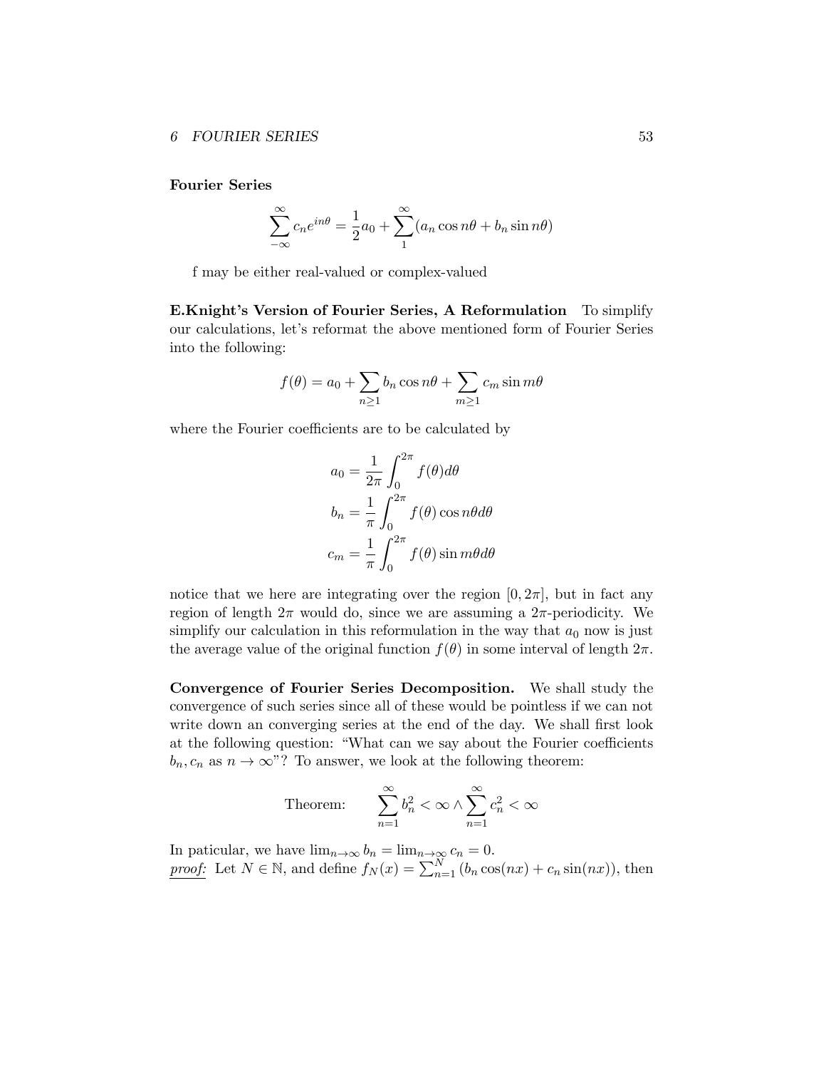Fourier Series

$$
\sum_{-\infty}^{\infty} c_n e^{in\theta} = \frac{1}{2}a_0 + \sum_{n=1}^{\infty} (a_n \cos n\theta + b_n \sin n\theta)
$$

f may be either real-valued or complex-valued

E.Knight's Version of Fourier Series, A Reformulation To simplify our calculations, let's reformat the above mentioned form of Fourier Series into the following:

$$
f(\theta) = a_0 + \sum_{n \ge 1} b_n \cos n\theta + \sum_{m \ge 1} c_m \sin m\theta
$$

where the Fourier coefficients are to be calculated by

$$
a_0 = \frac{1}{2\pi} \int_0^{2\pi} f(\theta) d\theta
$$
  

$$
b_n = \frac{1}{\pi} \int_0^{2\pi} f(\theta) \cos n\theta d\theta
$$
  

$$
c_m = \frac{1}{\pi} \int_0^{2\pi} f(\theta) \sin m\theta d\theta
$$

notice that we here are integrating over the region  $[0, 2\pi]$ , but in fact any region of length  $2\pi$  would do, since we are assuming a  $2\pi$ -periodicity. We simplify our calculation in this reformulation in the way that  $a_0$  now is just the average value of the original function  $f(\theta)$  in some interval of length  $2\pi$ .

Convergence of Fourier Series Decomposition. We shall study the convergence of such series since all of these would be pointless if we can not write down an converging series at the end of the day. We shall first look at the following question: "What can we say about the Fourier coefficients  $b_n, c_n$  as  $n \to \infty$ "? To answer, we look at the following theorem:

Theorem: 
$$
\sum_{n=1}^{\infty} b_n^2 < \infty \land \sum_{n=1}^{\infty} c_n^2 < \infty
$$

In paticular, we have  $\lim_{n\to\infty} b_n = \lim_{n\to\infty} c_n = 0.$ *proof:* Let  $N \in \mathbb{N}$ , and define  $f_N(x) = \sum_{n=1}^N (b_n \cos(nx) + c_n \sin(nx))$ , then